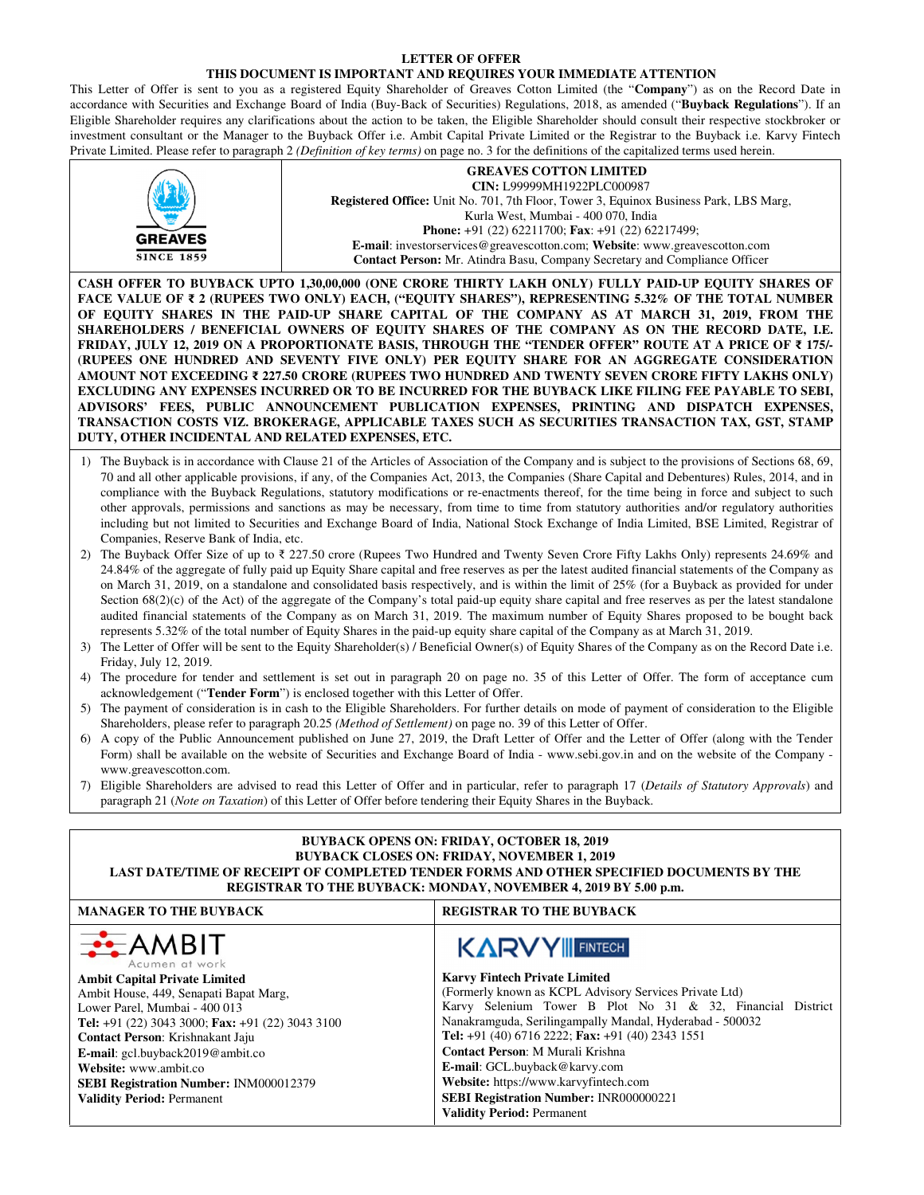## **LETTER OF OFFER**

## **THIS DOCUMENT IS IMPORTANT AND REQUIRES YOUR IMMEDIATE ATTENTION**

This Letter of Offer is sent to you as a registered Equity Shareholder of Greaves Cotton Limited (the "**Company**") as on the Record Date in accordance with Securities and Exchange Board of India (Buy-Back of Securities) Regulations, 2018, as amended ("**Buyback Regulations**"). If an Eligible Shareholder requires any clarifications about the action to be taken, the Eligible Shareholder should consult their respective stockbroker or investment consultant or the Manager to the Buyback Offer i.e. Ambit Capital Private Limited or the Registrar to the Buyback i.e. Karvy Fintech Private Limited. Please refer to paragraph 2 *(Definition of key terms)* on page no. 3 for the definitions of the capitalized terms used herein.

|                                                                                                                                                                                                                                                                                                                                                                                                                                                                                                                                                                                                                                                                                                                                                                                                                                                                                                                                                                                                                                                                                   |                                                                                                                                                                                                                                                                                                                                                                                                                                        | $P(\mathcal{L})$ is the contracted to pure the pure $\mathcal{L}$ is proportion by $\kappa$ , $\rho$ in $\rho$ and $\kappa$ is the commutent of the cupromatic determination.                                                                                                                                                                                                                                                                                                                                                                                                                                                                                                                                                                                                                                                                                                                                                                                                                                                                                                                                                                                                                                                                                                                                                                                                                                                                                                                                                                                                                                                                                                                                                                                                                                                                                                                                                                                                                                                                                                                                                                                                                                                                                                                                                                                                                                                                                                                                                                                                                                                                                                                                                                 |  |  |  |
|-----------------------------------------------------------------------------------------------------------------------------------------------------------------------------------------------------------------------------------------------------------------------------------------------------------------------------------------------------------------------------------------------------------------------------------------------------------------------------------------------------------------------------------------------------------------------------------------------------------------------------------------------------------------------------------------------------------------------------------------------------------------------------------------------------------------------------------------------------------------------------------------------------------------------------------------------------------------------------------------------------------------------------------------------------------------------------------|----------------------------------------------------------------------------------------------------------------------------------------------------------------------------------------------------------------------------------------------------------------------------------------------------------------------------------------------------------------------------------------------------------------------------------------|-----------------------------------------------------------------------------------------------------------------------------------------------------------------------------------------------------------------------------------------------------------------------------------------------------------------------------------------------------------------------------------------------------------------------------------------------------------------------------------------------------------------------------------------------------------------------------------------------------------------------------------------------------------------------------------------------------------------------------------------------------------------------------------------------------------------------------------------------------------------------------------------------------------------------------------------------------------------------------------------------------------------------------------------------------------------------------------------------------------------------------------------------------------------------------------------------------------------------------------------------------------------------------------------------------------------------------------------------------------------------------------------------------------------------------------------------------------------------------------------------------------------------------------------------------------------------------------------------------------------------------------------------------------------------------------------------------------------------------------------------------------------------------------------------------------------------------------------------------------------------------------------------------------------------------------------------------------------------------------------------------------------------------------------------------------------------------------------------------------------------------------------------------------------------------------------------------------------------------------------------------------------------------------------------------------------------------------------------------------------------------------------------------------------------------------------------------------------------------------------------------------------------------------------------------------------------------------------------------------------------------------------------------------------------------------------------------------------------------------------------|--|--|--|
| <b>GREAVES</b><br><b>SINCE 1859</b>                                                                                                                                                                                                                                                                                                                                                                                                                                                                                                                                                                                                                                                                                                                                                                                                                                                                                                                                                                                                                                               | <b>GREAVES COTTON LIMITED</b><br>CIN: L99999MH1922PLC000987<br><b>Registered Office:</b> Unit No. 701, 7th Floor, Tower 3, Equinox Business Park, LBS Marg,<br>Kurla West, Mumbai - 400 070, India<br><b>Phone:</b> $+91$ (22) 62211700; <b>Fax</b> : $+91$ (22) 62217499;<br>E-mail: investorservices@greavescotton.com; Website: www.greavescotton.com<br>Contact Person: Mr. Atindra Basu, Company Secretary and Compliance Officer |                                                                                                                                                                                                                                                                                                                                                                                                                                                                                                                                                                                                                                                                                                                                                                                                                                                                                                                                                                                                                                                                                                                                                                                                                                                                                                                                                                                                                                                                                                                                                                                                                                                                                                                                                                                                                                                                                                                                                                                                                                                                                                                                                                                                                                                                                                                                                                                                                                                                                                                                                                                                                                                                                                                                               |  |  |  |
| CASH OFFER TO BUYBACK UPTO 1,30,00,000 (ONE CRORE THIRTY LAKH ONLY) FULLY PAID-UP EQUITY SHARES OF<br>FACE VALUE OF ₹ 2 (RUPEES TWO ONLY) EACH, ("EQUITY SHARES"), REPRESENTING 5.32% OF THE TOTAL NUMBER<br>OF EQUITY SHARES IN THE PAID-UP SHARE CAPITAL OF THE COMPANY AS AT MARCH 31, 2019, FROM THE<br>SHAREHOLDERS / BENEFICIAL OWNERS OF EQUITY SHARES OF THE COMPANY AS ON THE RECORD DATE, I.E.<br>FRIDAY, JULY 12, 2019 ON A PROPORTIONATE BASIS, THROUGH THE "TENDER OFFER" ROUTE AT A PRICE OF ₹ 175/-<br>(RUPEES ONE HUNDRED AND SEVENTY FIVE ONLY) PER EQUITY SHARE FOR AN AGGREGATE CONSIDERATION<br>AMOUNT NOT EXCEEDING ₹ 227.50 CRORE (RUPEES TWO HUNDRED AND TWENTY SEVEN CRORE FIFTY LAKHS ONLY)<br>EXCLUDING ANY EXPENSES INCURRED OR TO BE INCURRED FOR THE BUYBACK LIKE FILING FEE PAYABLE TO SEBI,<br>ADVISORS' FEES, PUBLIC ANNOUNCEMENT PUBLICATION EXPENSES, PRINTING AND DISPATCH EXPENSES,<br>TRANSACTION COSTS VIZ. BROKERAGE, APPLICABLE TAXES SUCH AS SECURITIES TRANSACTION TAX, GST, STAMP<br>DUTY, OTHER INCIDENTAL AND RELATED EXPENSES, ETC. |                                                                                                                                                                                                                                                                                                                                                                                                                                        |                                                                                                                                                                                                                                                                                                                                                                                                                                                                                                                                                                                                                                                                                                                                                                                                                                                                                                                                                                                                                                                                                                                                                                                                                                                                                                                                                                                                                                                                                                                                                                                                                                                                                                                                                                                                                                                                                                                                                                                                                                                                                                                                                                                                                                                                                                                                                                                                                                                                                                                                                                                                                                                                                                                                               |  |  |  |
| Companies, Reserve Bank of India, etc.<br>Friday, July 12, 2019.<br>acknowledgement ("Tender Form") is enclosed together with this Letter of Offer.<br>6)<br>www.greavescotton.com.                                                                                                                                                                                                                                                                                                                                                                                                                                                                                                                                                                                                                                                                                                                                                                                                                                                                                               |                                                                                                                                                                                                                                                                                                                                                                                                                                        | 1) The Buyback is in accordance with Clause 21 of the Articles of Association of the Company and is subject to the provisions of Sections 68, 69,<br>70 and all other applicable provisions, if any, of the Companies Act, 2013, the Companies (Share Capital and Debentures) Rules, 2014, and in<br>compliance with the Buyback Regulations, statutory modifications or re-enactments thereof, for the time being in force and subject to such<br>other approvals, permissions and sanctions as may be necessary, from time to time from statutory authorities and/or regulatory authorities<br>including but not limited to Securities and Exchange Board of India, National Stock Exchange of India Limited, BSE Limited, Registrar of<br>2) The Buyback Offer Size of up to ₹ 227.50 crore (Rupees Two Hundred and Twenty Seven Crore Fifty Lakhs Only) represents 24.69% and<br>24.84% of the aggregate of fully paid up Equity Share capital and free reserves as per the latest audited financial statements of the Company as<br>on March 31, 2019, on a standalone and consolidated basis respectively, and is within the limit of 25% (for a Buyback as provided for under<br>Section $68(2)(c)$ of the Act) of the aggregate of the Company's total paid-up equity share capital and free reserves as per the latest standalone<br>audited financial statements of the Company as on March 31, 2019. The maximum number of Equity Shares proposed to be bought back<br>represents 5.32% of the total number of Equity Shares in the paid-up equity share capital of the Company as at March 31, 2019.<br>3) The Letter of Offer will be sent to the Equity Shareholder(s) / Beneficial Owner(s) of Equity Shares of the Company as on the Record Date i.e.<br>4) The procedure for tender and settlement is set out in paragraph 20 on page no. 35 of this Letter of Offer. The form of acceptance cum<br>5) The payment of consideration is in cash to the Eligible Shareholders. For further details on mode of payment of consideration to the Eligible<br>Shareholders, please refer to paragraph 20.25 (Method of Settlement) on page no. 39 of this Letter of Offer.<br>A copy of the Public Announcement published on June 27, 2019, the Draft Letter of Offer and the Letter of Offer (along with the Tender<br>Form) shall be available on the website of Securities and Exchange Board of India - www.sebi.gov.in and on the website of the Company -<br>7) Eligible Shareholders are advised to read this Letter of Offer and in particular, refer to paragraph 17 (Details of Statutory Approvals) and<br>paragraph 21 (Note on Taxation) of this Letter of Offer before tendering their Equity Shares in the Buyback. |  |  |  |
| <b>BUYBACK OPENS ON: FRIDAY, OCTOBER 18, 2019</b><br><b>BUYBACK CLOSES ON: FRIDAY, NOVEMBER 1, 2019</b><br>LAST DATE/TIME OF RECEIPT OF COMPLETED TENDER FORMS AND OTHER SPECIFIED DOCUMENTS BY THE<br>REGISTRAR TO THE BUYBACK: MONDAY, NOVEMBER 4, 2019 BY 5.00 p.m.                                                                                                                                                                                                                                                                                                                                                                                                                                                                                                                                                                                                                                                                                                                                                                                                            |                                                                                                                                                                                                                                                                                                                                                                                                                                        |                                                                                                                                                                                                                                                                                                                                                                                                                                                                                                                                                                                                                                                                                                                                                                                                                                                                                                                                                                                                                                                                                                                                                                                                                                                                                                                                                                                                                                                                                                                                                                                                                                                                                                                                                                                                                                                                                                                                                                                                                                                                                                                                                                                                                                                                                                                                                                                                                                                                                                                                                                                                                                                                                                                                               |  |  |  |
| <b>MANAGER TO THE BUYBACK</b>                                                                                                                                                                                                                                                                                                                                                                                                                                                                                                                                                                                                                                                                                                                                                                                                                                                                                                                                                                                                                                                     |                                                                                                                                                                                                                                                                                                                                                                                                                                        | REGISTRAR TO THE BUYBACK                                                                                                                                                                                                                                                                                                                                                                                                                                                                                                                                                                                                                                                                                                                                                                                                                                                                                                                                                                                                                                                                                                                                                                                                                                                                                                                                                                                                                                                                                                                                                                                                                                                                                                                                                                                                                                                                                                                                                                                                                                                                                                                                                                                                                                                                                                                                                                                                                                                                                                                                                                                                                                                                                                                      |  |  |  |
| $\div$ AMBIT<br>Acumen at work<br><b>Ambit Capital Private Limited</b><br>Ambit House, 449, Senapati Bapat Marg,<br>Lower Parel, Mumbai - 400 013<br>Tel: +91 (22) 3043 3000; Fax: +91 (22) 3043 3100<br>Contact Person: Krishnakant Jaju<br>E-mail: gcl.buyback2019@ambit.co<br>Website: www.ambit.co<br>SEBI Registration Number: INM000012379<br><b>Validity Period: Permanent</b>                                                                                                                                                                                                                                                                                                                                                                                                                                                                                                                                                                                                                                                                                             |                                                                                                                                                                                                                                                                                                                                                                                                                                        | <b>KARVY FINTECH</b><br><b>Karvy Fintech Private Limited</b><br>(Formerly known as KCPL Advisory Services Private Ltd)<br>Karvy Selenium Tower B Plot No 31 & 32, Financial District<br>Nanakramguda, Serilingampally Mandal, Hyderabad - 500032<br>Tel: +91 (40) 6716 2222; Fax: +91 (40) 2343 1551<br>Contact Person: M Murali Krishna<br>E-mail: GCL.buyback@karvy.com<br>Website: https://www.karvyfintech.com<br>SEBI Registration Number: INR000000221<br><b>Validity Period: Permanent</b>                                                                                                                                                                                                                                                                                                                                                                                                                                                                                                                                                                                                                                                                                                                                                                                                                                                                                                                                                                                                                                                                                                                                                                                                                                                                                                                                                                                                                                                                                                                                                                                                                                                                                                                                                                                                                                                                                                                                                                                                                                                                                                                                                                                                                                             |  |  |  |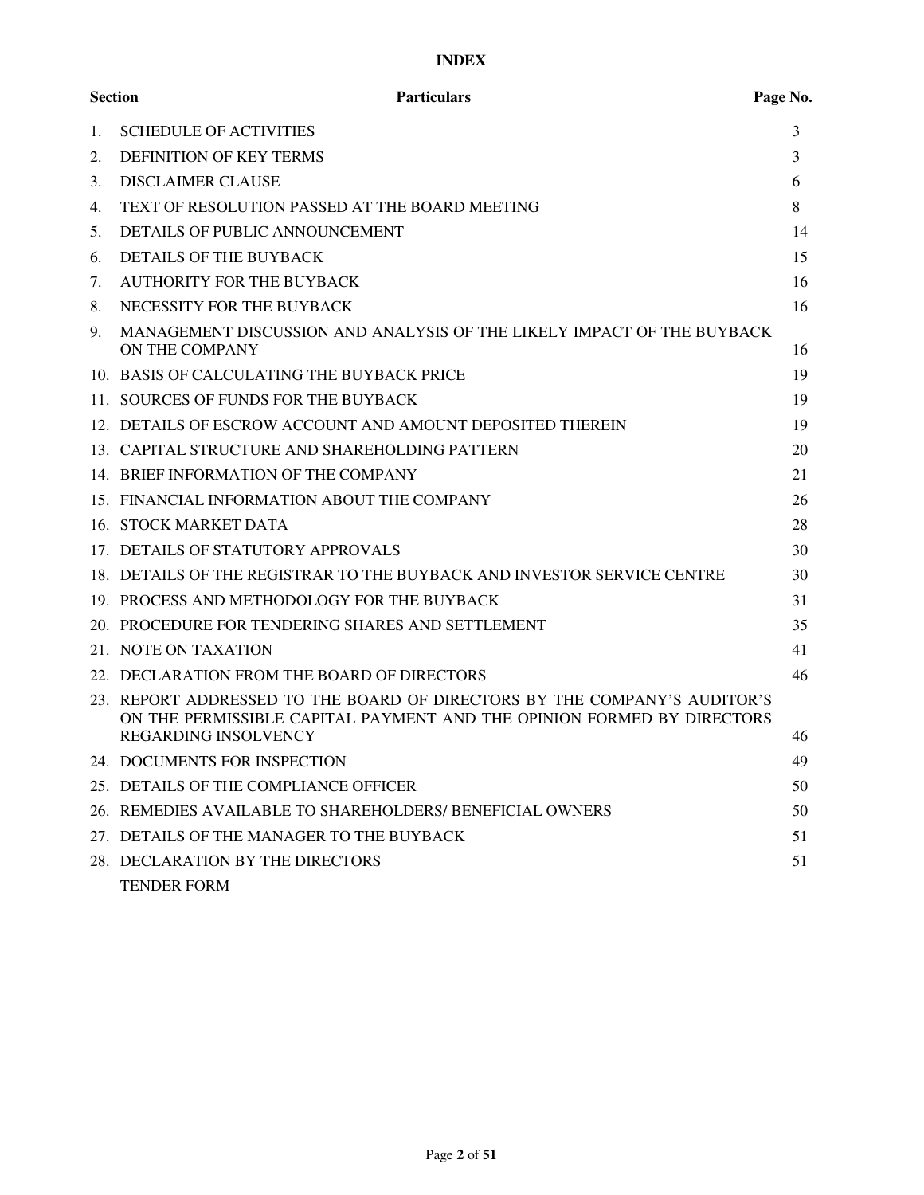## **INDEX**

| <b>Section</b> | <b>Particulars</b>                                                                                                                                                          | Page No. |
|----------------|-----------------------------------------------------------------------------------------------------------------------------------------------------------------------------|----------|
| 1.             | <b>SCHEDULE OF ACTIVITIES</b>                                                                                                                                               | 3        |
| 2.             | <b>DEFINITION OF KEY TERMS</b>                                                                                                                                              | 3        |
| 3.             | <b>DISCLAIMER CLAUSE</b>                                                                                                                                                    | 6        |
| 4.             | TEXT OF RESOLUTION PASSED AT THE BOARD MEETING                                                                                                                              | 8        |
| 5.             | DETAILS OF PUBLIC ANNOUNCEMENT                                                                                                                                              | 14       |
| 6.             | <b>DETAILS OF THE BUYBACK</b>                                                                                                                                               | 15       |
| 7.             | AUTHORITY FOR THE BUYBACK                                                                                                                                                   | 16       |
| 8.             | NECESSITY FOR THE BUYBACK                                                                                                                                                   | 16       |
| 9.             | MANAGEMENT DISCUSSION AND ANALYSIS OF THE LIKELY IMPACT OF THE BUYBACK<br>ON THE COMPANY                                                                                    | 16       |
|                | 10. BASIS OF CALCULATING THE BUYBACK PRICE                                                                                                                                  | 19       |
|                | 11. SOURCES OF FUNDS FOR THE BUYBACK                                                                                                                                        | 19       |
|                | 12. DETAILS OF ESCROW ACCOUNT AND AMOUNT DEPOSITED THEREIN                                                                                                                  | 19       |
|                | 13. CAPITAL STRUCTURE AND SHAREHOLDING PATTERN                                                                                                                              | 20       |
|                | 14. BRIEF INFORMATION OF THE COMPANY                                                                                                                                        | 21       |
|                | 15. FINANCIAL INFORMATION ABOUT THE COMPANY                                                                                                                                 | 26       |
|                | 16. STOCK MARKET DATA                                                                                                                                                       | 28       |
|                | 17. DETAILS OF STATUTORY APPROVALS                                                                                                                                          | 30       |
|                | 18. DETAILS OF THE REGISTRAR TO THE BUYBACK AND INVESTOR SERVICE CENTRE                                                                                                     | 30       |
|                | 19. PROCESS AND METHODOLOGY FOR THE BUYBACK                                                                                                                                 | 31       |
|                | 20. PROCEDURE FOR TENDERING SHARES AND SETTLEMENT                                                                                                                           | 35       |
|                | 21. NOTE ON TAXATION                                                                                                                                                        | 41       |
|                | 22. DECLARATION FROM THE BOARD OF DIRECTORS                                                                                                                                 | 46       |
|                | 23. REPORT ADDRESSED TO THE BOARD OF DIRECTORS BY THE COMPANY'S AUDITOR'S<br>ON THE PERMISSIBLE CAPITAL PAYMENT AND THE OPINION FORMED BY DIRECTORS<br>REGARDING INSOLVENCY | 46       |
|                | 24. DOCUMENTS FOR INSPECTION                                                                                                                                                | 49       |
|                | 25. DETAILS OF THE COMPLIANCE OFFICER                                                                                                                                       | 50       |
|                | 26. REMEDIES AVAILABLE TO SHAREHOLDERS/ BENEFICIAL OWNERS                                                                                                                   | 50       |
|                | 27. DETAILS OF THE MANAGER TO THE BUYBACK                                                                                                                                   | 51       |
|                | 28. DECLARATION BY THE DIRECTORS                                                                                                                                            | 51       |
|                | <b>TENDER FORM</b>                                                                                                                                                          |          |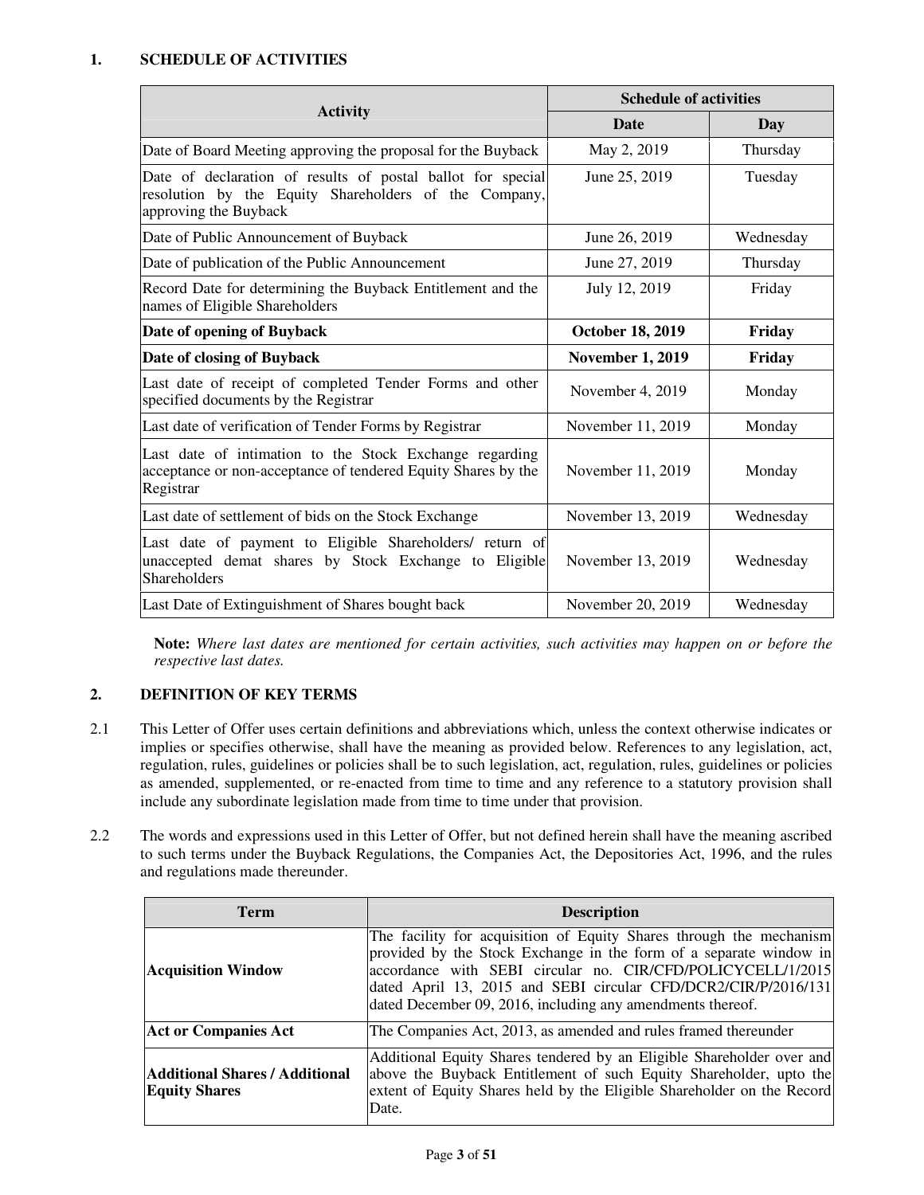## **1. SCHEDULE OF ACTIVITIES**

|                                                                                                                                               | <b>Schedule of activities</b> |           |  |
|-----------------------------------------------------------------------------------------------------------------------------------------------|-------------------------------|-----------|--|
| <b>Activity</b>                                                                                                                               | <b>Date</b>                   | Day       |  |
| Date of Board Meeting approving the proposal for the Buyback                                                                                  | May 2, 2019                   | Thursday  |  |
| Date of declaration of results of postal ballot for special<br>resolution by the Equity Shareholders of the Company,<br>approving the Buyback | June 25, 2019                 | Tuesday   |  |
| Date of Public Announcement of Buyback                                                                                                        | June 26, 2019                 | Wednesday |  |
| Date of publication of the Public Announcement                                                                                                | June 27, 2019                 | Thursday  |  |
| Record Date for determining the Buyback Entitlement and the<br>names of Eligible Shareholders                                                 | July 12, 2019                 | Friday    |  |
| Date of opening of Buyback                                                                                                                    | <b>October 18, 2019</b>       | Friday    |  |
| Date of closing of Buyback                                                                                                                    | <b>November 1, 2019</b>       | Friday    |  |
| Last date of receipt of completed Tender Forms and other<br>specified documents by the Registrar                                              | November 4, 2019              | Monday    |  |
| Last date of verification of Tender Forms by Registrar                                                                                        | November 11, 2019             | Monday    |  |
| Last date of intimation to the Stock Exchange regarding<br>acceptance or non-acceptance of tendered Equity Shares by the<br>Registrar         | November 11, 2019             | Monday    |  |
| Last date of settlement of bids on the Stock Exchange                                                                                         | November 13, 2019             | Wednesday |  |
| Last date of payment to Eligible Shareholders/ return of<br>unaccepted demat shares by Stock Exchange to Eligible<br><b>Shareholders</b>      | November 13, 2019             | Wednesday |  |
| Last Date of Extinguishment of Shares bought back                                                                                             | November 20, 2019             | Wednesday |  |

**Note:** *Where last dates are mentioned for certain activities, such activities may happen on or before the respective last dates.* 

## **2. DEFINITION OF KEY TERMS**

- 2.1 This Letter of Offer uses certain definitions and abbreviations which, unless the context otherwise indicates or implies or specifies otherwise, shall have the meaning as provided below. References to any legislation, act, regulation, rules, guidelines or policies shall be to such legislation, act, regulation, rules, guidelines or policies as amended, supplemented, or re-enacted from time to time and any reference to a statutory provision shall include any subordinate legislation made from time to time under that provision.
- 2.2 The words and expressions used in this Letter of Offer, but not defined herein shall have the meaning ascribed to such terms under the Buyback Regulations, the Companies Act, the Depositories Act, 1996, and the rules and regulations made thereunder.

| <b>Term</b>                                                   | <b>Description</b>                                                                                                                                                                                                                                                                                                                       |
|---------------------------------------------------------------|------------------------------------------------------------------------------------------------------------------------------------------------------------------------------------------------------------------------------------------------------------------------------------------------------------------------------------------|
| <b>Acquisition Window</b>                                     | The facility for acquisition of Equity Shares through the mechanism<br>provided by the Stock Exchange in the form of a separate window in<br>accordance with SEBI circular no. CIR/CFD/POLICYCELL/1/2015<br>dated April 13, 2015 and SEBI circular CFD/DCR2/CIR/P/2016/131<br>dated December 09, 2016, including any amendments thereof. |
| <b>Act or Companies Act</b>                                   | The Companies Act, 2013, as amended and rules framed thereunder                                                                                                                                                                                                                                                                          |
| <b>Additional Shares / Additional</b><br><b>Equity Shares</b> | Additional Equity Shares tendered by an Eligible Shareholder over and<br>above the Buyback Entitlement of such Equity Shareholder, upto the<br>extent of Equity Shares held by the Eligible Shareholder on the Record<br>Date.                                                                                                           |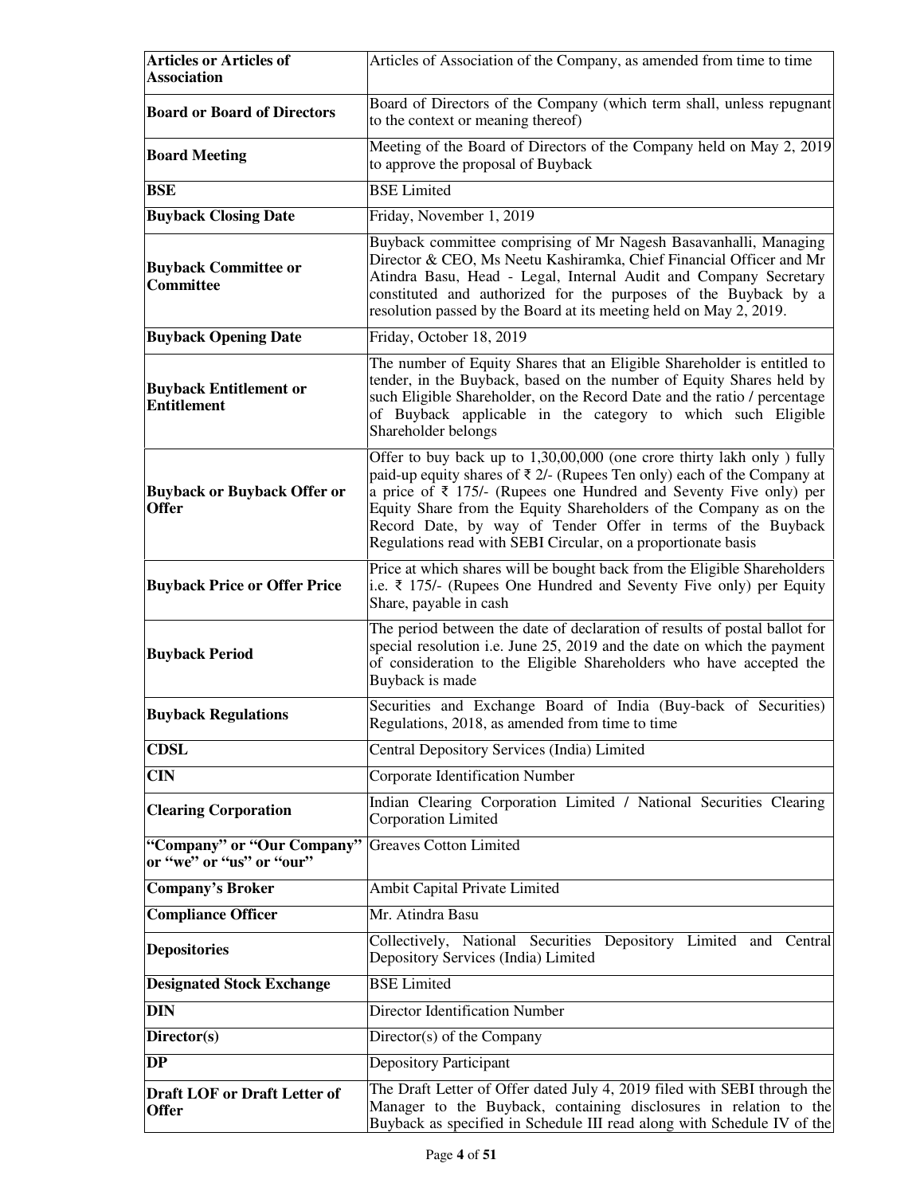| <b>Articles or Articles of</b><br><b>Association</b>   | Articles of Association of the Company, as amended from time to time                                                                                                                                                                                                                                                                                                                                                                               |  |  |
|--------------------------------------------------------|----------------------------------------------------------------------------------------------------------------------------------------------------------------------------------------------------------------------------------------------------------------------------------------------------------------------------------------------------------------------------------------------------------------------------------------------------|--|--|
| <b>Board or Board of Directors</b>                     | Board of Directors of the Company (which term shall, unless repugnant<br>to the context or meaning thereof)                                                                                                                                                                                                                                                                                                                                        |  |  |
| <b>Board Meeting</b>                                   | Meeting of the Board of Directors of the Company held on May 2, 2019<br>to approve the proposal of Buyback                                                                                                                                                                                                                                                                                                                                         |  |  |
| <b>BSE</b>                                             | <b>BSE</b> Limited                                                                                                                                                                                                                                                                                                                                                                                                                                 |  |  |
| <b>Buyback Closing Date</b>                            | Friday, November 1, 2019                                                                                                                                                                                                                                                                                                                                                                                                                           |  |  |
| <b>Buyback Committee or</b><br>Committee               | Buyback committee comprising of Mr Nagesh Basavanhalli, Managing<br>Director & CEO, Ms Neetu Kashiramka, Chief Financial Officer and Mr<br>Atindra Basu, Head - Legal, Internal Audit and Company Secretary<br>constituted and authorized for the purposes of the Buyback by a<br>resolution passed by the Board at its meeting held on May 2, 2019.                                                                                               |  |  |
| <b>Buyback Opening Date</b>                            | Friday, October 18, 2019                                                                                                                                                                                                                                                                                                                                                                                                                           |  |  |
| <b>Buyback Entitlement or</b><br><b>Entitlement</b>    | The number of Equity Shares that an Eligible Shareholder is entitled to<br>tender, in the Buyback, based on the number of Equity Shares held by<br>such Eligible Shareholder, on the Record Date and the ratio / percentage<br>of Buyback applicable in the category to which such Eligible<br>Shareholder belongs                                                                                                                                 |  |  |
| <b>Buyback or Buyback Offer or</b><br><b>Offer</b>     | Offer to buy back up to 1,30,00,000 (one crore thirty lakh only) fully<br>paid-up equity shares of $\bar{\tau}$ 2/- (Rupees Ten only) each of the Company at<br>a price of $\bar{\tau}$ 175/- (Rupees one Hundred and Seventy Five only) per<br>Equity Share from the Equity Shareholders of the Company as on the<br>Record Date, by way of Tender Offer in terms of the Buyback<br>Regulations read with SEBI Circular, on a proportionate basis |  |  |
| <b>Buyback Price or Offer Price</b>                    | Price at which shares will be bought back from the Eligible Shareholders<br>i.e. ₹ 175/- (Rupees One Hundred and Seventy Five only) per Equity<br>Share, payable in cash                                                                                                                                                                                                                                                                           |  |  |
| <b>Buyback Period</b>                                  | The period between the date of declaration of results of postal ballot for<br>special resolution i.e. June 25, 2019 and the date on which the payment<br>of consideration to the Eligible Shareholders who have accepted the<br>Buyback is made                                                                                                                                                                                                    |  |  |
| <b>Buyback Regulations</b>                             | Securities and Exchange Board of India (Buy-back of Securities)<br>Regulations, 2018, as amended from time to time                                                                                                                                                                                                                                                                                                                                 |  |  |
| <b>CDSL</b>                                            | Central Depository Services (India) Limited                                                                                                                                                                                                                                                                                                                                                                                                        |  |  |
| $\overline{\text{CIN}}$                                | Corporate Identification Number                                                                                                                                                                                                                                                                                                                                                                                                                    |  |  |
| <b>Clearing Corporation</b>                            | Indian Clearing Corporation Limited / National Securities Clearing<br>Corporation Limited                                                                                                                                                                                                                                                                                                                                                          |  |  |
| "Company" or "Our Company"<br>or "we" or "us" or "our" | <b>Greaves Cotton Limited</b>                                                                                                                                                                                                                                                                                                                                                                                                                      |  |  |
| <b>Company's Broker</b>                                | Ambit Capital Private Limited                                                                                                                                                                                                                                                                                                                                                                                                                      |  |  |
| <b>Compliance Officer</b>                              | Mr. Atindra Basu                                                                                                                                                                                                                                                                                                                                                                                                                                   |  |  |
| <b>Depositories</b>                                    | Collectively, National Securities Depository Limited and Central<br>Depository Services (India) Limited                                                                                                                                                                                                                                                                                                                                            |  |  |
| <b>Designated Stock Exchange</b>                       | <b>BSE</b> Limited                                                                                                                                                                                                                                                                                                                                                                                                                                 |  |  |
| <b>DIN</b>                                             | Director Identification Number                                                                                                                                                                                                                                                                                                                                                                                                                     |  |  |
| Director(s)                                            | Director(s) of the Company                                                                                                                                                                                                                                                                                                                                                                                                                         |  |  |
| DP                                                     | <b>Depository Participant</b>                                                                                                                                                                                                                                                                                                                                                                                                                      |  |  |
| <b>Draft LOF or Draft Letter of</b><br><b>Offer</b>    | The Draft Letter of Offer dated July 4, 2019 filed with SEBI through the<br>Manager to the Buyback, containing disclosures in relation to the<br>Buyback as specified in Schedule III read along with Schedule IV of the                                                                                                                                                                                                                           |  |  |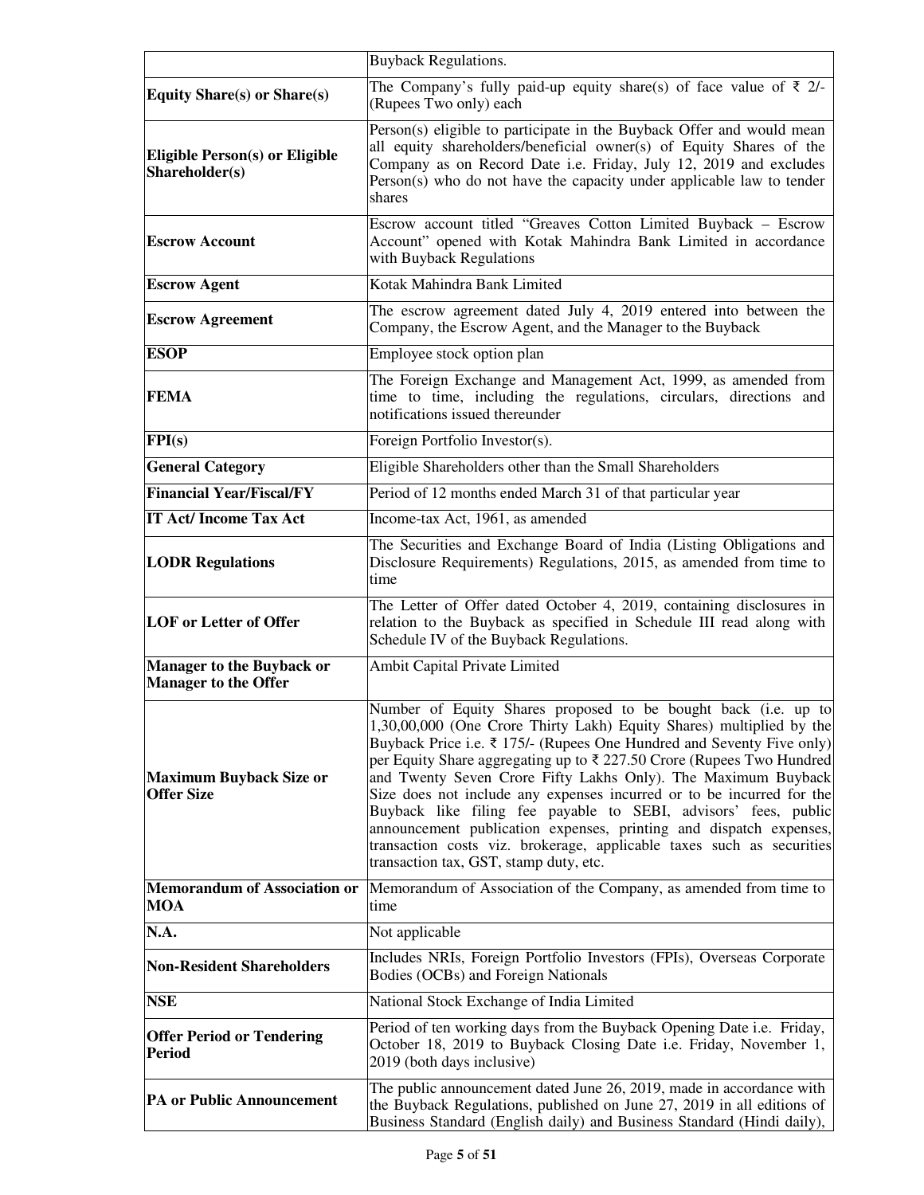|                                                                 | <b>Buyback Regulations.</b>                                                                                                                                                                                                                                                                                                                                                                                                                                                                                                                                                                                                                                                                               |  |  |
|-----------------------------------------------------------------|-----------------------------------------------------------------------------------------------------------------------------------------------------------------------------------------------------------------------------------------------------------------------------------------------------------------------------------------------------------------------------------------------------------------------------------------------------------------------------------------------------------------------------------------------------------------------------------------------------------------------------------------------------------------------------------------------------------|--|--|
| <b>Equity Share(s) or Share(s)</b>                              | The Company's fully paid-up equity share(s) of face value of $\bar{\tau}$ 2/-<br>(Rupees Two only) each                                                                                                                                                                                                                                                                                                                                                                                                                                                                                                                                                                                                   |  |  |
| <b>Eligible Person(s) or Eligible</b><br>Shareholder(s)         | Person(s) eligible to participate in the Buyback Offer and would mean<br>all equity shareholders/beneficial owner(s) of Equity Shares of the<br>Company as on Record Date i.e. Friday, July 12, 2019 and excludes<br>$Person(s)$ who do not have the capacity under applicable law to tender<br>shares                                                                                                                                                                                                                                                                                                                                                                                                    |  |  |
| <b>Escrow Account</b>                                           | Escrow account titled "Greaves Cotton Limited Buyback - Escrow<br>Account" opened with Kotak Mahindra Bank Limited in accordance<br>with Buyback Regulations                                                                                                                                                                                                                                                                                                                                                                                                                                                                                                                                              |  |  |
| <b>Escrow Agent</b>                                             | Kotak Mahindra Bank Limited                                                                                                                                                                                                                                                                                                                                                                                                                                                                                                                                                                                                                                                                               |  |  |
| <b>Escrow Agreement</b>                                         | The escrow agreement dated July 4, 2019 entered into between the<br>Company, the Escrow Agent, and the Manager to the Buyback                                                                                                                                                                                                                                                                                                                                                                                                                                                                                                                                                                             |  |  |
| <b>ESOP</b>                                                     | Employee stock option plan                                                                                                                                                                                                                                                                                                                                                                                                                                                                                                                                                                                                                                                                                |  |  |
| <b>FEMA</b>                                                     | The Foreign Exchange and Management Act, 1999, as amended from<br>time to time, including the regulations, circulars, directions and<br>notifications issued thereunder                                                                                                                                                                                                                                                                                                                                                                                                                                                                                                                                   |  |  |
| FPI(s)                                                          | Foreign Portfolio Investor(s).                                                                                                                                                                                                                                                                                                                                                                                                                                                                                                                                                                                                                                                                            |  |  |
| <b>General Category</b>                                         | Eligible Shareholders other than the Small Shareholders                                                                                                                                                                                                                                                                                                                                                                                                                                                                                                                                                                                                                                                   |  |  |
| <b>Financial Year/Fiscal/FY</b>                                 | Period of 12 months ended March 31 of that particular year                                                                                                                                                                                                                                                                                                                                                                                                                                                                                                                                                                                                                                                |  |  |
| <b>IT Act/ Income Tax Act</b>                                   | Income-tax Act, 1961, as amended                                                                                                                                                                                                                                                                                                                                                                                                                                                                                                                                                                                                                                                                          |  |  |
| <b>LODR Regulations</b>                                         | The Securities and Exchange Board of India (Listing Obligations and<br>Disclosure Requirements) Regulations, 2015, as amended from time to<br>time                                                                                                                                                                                                                                                                                                                                                                                                                                                                                                                                                        |  |  |
| <b>LOF</b> or Letter of Offer                                   | The Letter of Offer dated October 4, 2019, containing disclosures in<br>relation to the Buyback as specified in Schedule III read along with<br>Schedule IV of the Buyback Regulations.                                                                                                                                                                                                                                                                                                                                                                                                                                                                                                                   |  |  |
| <b>Manager to the Buyback or</b><br><b>Manager to the Offer</b> | Ambit Capital Private Limited                                                                                                                                                                                                                                                                                                                                                                                                                                                                                                                                                                                                                                                                             |  |  |
| <b>Maximum Buyback Size or</b><br><b>Offer Size</b>             | Number of Equity Shares proposed to be bought back (i.e. up to<br>1,30,00,000 (One Crore Thirty Lakh) Equity Shares) multiplied by the<br>Buyback Price i.e. $\bar{\tau}$ 175/- (Rupees One Hundred and Seventy Five only)<br>per Equity Share aggregating up to ₹ 227.50 Crore (Rupees Two Hundred<br>and Twenty Seven Crore Fifty Lakhs Only). The Maximum Buyback<br>Size does not include any expenses incurred or to be incurred for the<br>Buyback like filing fee payable to SEBI, advisors' fees, public<br>announcement publication expenses, printing and dispatch expenses,<br>transaction costs viz. brokerage, applicable taxes such as securities<br>transaction tax, GST, stamp duty, etc. |  |  |
| <b>Memorandum of Association or</b><br>MOA                      | Memorandum of Association of the Company, as amended from time to<br>time                                                                                                                                                                                                                                                                                                                                                                                                                                                                                                                                                                                                                                 |  |  |
| $\overline{\mathbf{N}}$ .A.                                     | Not applicable                                                                                                                                                                                                                                                                                                                                                                                                                                                                                                                                                                                                                                                                                            |  |  |
| <b>Non-Resident Shareholders</b>                                | Includes NRIs, Foreign Portfolio Investors (FPIs), Overseas Corporate<br>Bodies (OCBs) and Foreign Nationals                                                                                                                                                                                                                                                                                                                                                                                                                                                                                                                                                                                              |  |  |
| <b>NSE</b>                                                      | National Stock Exchange of India Limited                                                                                                                                                                                                                                                                                                                                                                                                                                                                                                                                                                                                                                                                  |  |  |
| <b>Offer Period or Tendering</b><br>Period                      | Period of ten working days from the Buyback Opening Date i.e. Friday,<br>October 18, 2019 to Buyback Closing Date i.e. Friday, November 1,<br>2019 (both days inclusive)                                                                                                                                                                                                                                                                                                                                                                                                                                                                                                                                  |  |  |
| <b>PA or Public Announcement</b>                                | The public announcement dated June 26, 2019, made in accordance with<br>the Buyback Regulations, published on June 27, 2019 in all editions of<br>Business Standard (English daily) and Business Standard (Hindi daily),                                                                                                                                                                                                                                                                                                                                                                                                                                                                                  |  |  |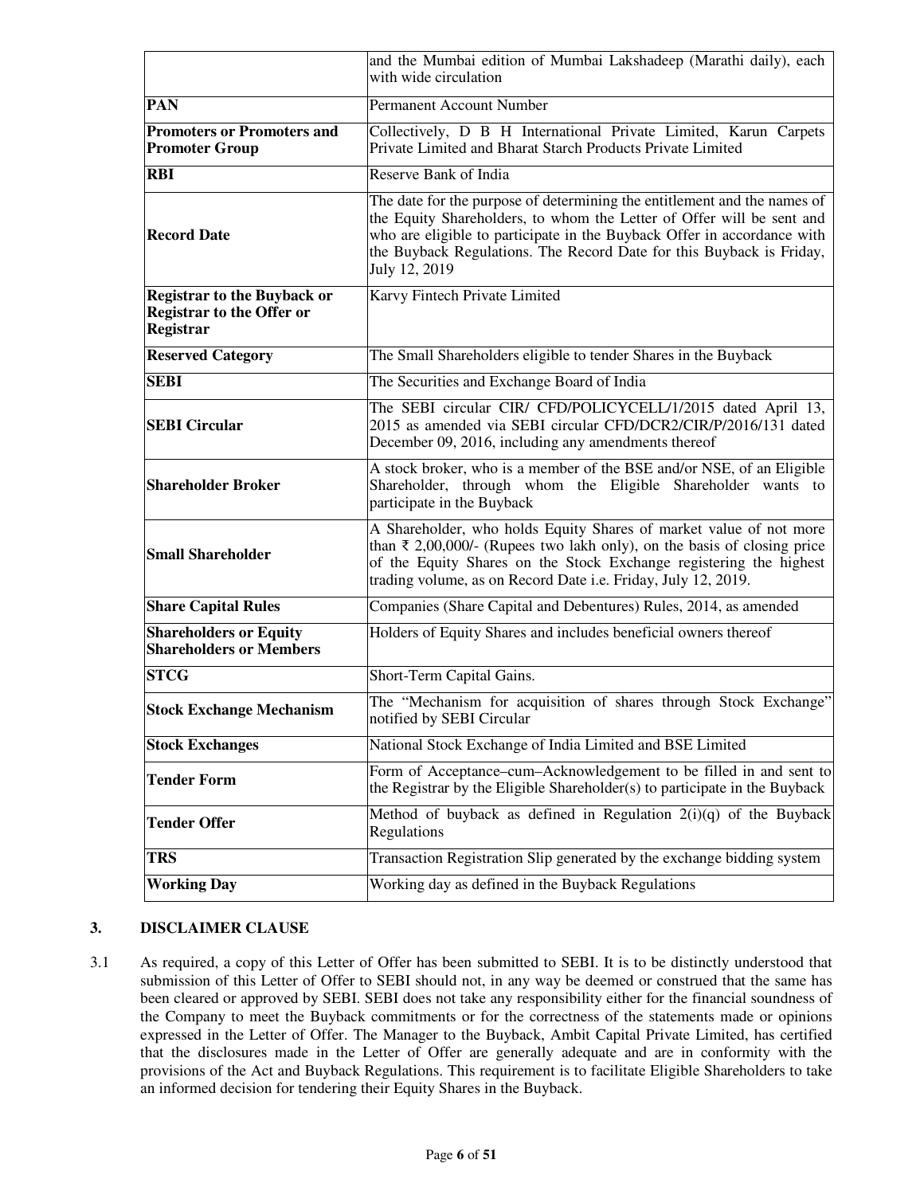|                                                                                            | and the Mumbai edition of Mumbai Lakshadeep (Marathi daily), each<br>with wide circulation                                                                                                                                                                                                                            |  |  |
|--------------------------------------------------------------------------------------------|-----------------------------------------------------------------------------------------------------------------------------------------------------------------------------------------------------------------------------------------------------------------------------------------------------------------------|--|--|
| <b>PAN</b>                                                                                 | Permanent Account Number                                                                                                                                                                                                                                                                                              |  |  |
| <b>Promoters or Promoters and</b><br><b>Promoter Group</b>                                 | Collectively, D B H International Private Limited, Karun Carpets<br>Private Limited and Bharat Starch Products Private Limited                                                                                                                                                                                        |  |  |
| <b>RBI</b>                                                                                 | Reserve Bank of India                                                                                                                                                                                                                                                                                                 |  |  |
| <b>Record Date</b>                                                                         | The date for the purpose of determining the entitlement and the names of<br>the Equity Shareholders, to whom the Letter of Offer will be sent and<br>who are eligible to participate in the Buyback Offer in accordance with<br>the Buyback Regulations. The Record Date for this Buyback is Friday,<br>July 12, 2019 |  |  |
| <b>Registrar to the Buyback or</b><br><b>Registrar to the Offer or</b><br><b>Registrar</b> | Karvy Fintech Private Limited                                                                                                                                                                                                                                                                                         |  |  |
| <b>Reserved Category</b>                                                                   | The Small Shareholders eligible to tender Shares in the Buyback                                                                                                                                                                                                                                                       |  |  |
| <b>SEBI</b>                                                                                | The Securities and Exchange Board of India                                                                                                                                                                                                                                                                            |  |  |
| <b>SEBI Circular</b>                                                                       | The SEBI circular CIR/ CFD/POLICYCELL/1/2015 dated April 13,<br>2015 as amended via SEBI circular CFD/DCR2/CIR/P/2016/131 dated<br>December 09, 2016, including any amendments thereof                                                                                                                                |  |  |
| <b>Shareholder Broker</b>                                                                  | A stock broker, who is a member of the BSE and/or NSE, of an Eligible<br>Shareholder, through whom the Eligible Shareholder wants to<br>participate in the Buyback                                                                                                                                                    |  |  |
| <b>Small Shareholder</b>                                                                   | A Shareholder, who holds Equity Shares of market value of not more<br>than $\bar{\tau}$ 2,00,000/- (Rupees two lakh only), on the basis of closing price<br>of the Equity Shares on the Stock Exchange registering the highest<br>trading volume, as on Record Date i.e. Friday, July 12, 2019.                       |  |  |
| <b>Share Capital Rules</b>                                                                 | Companies (Share Capital and Debentures) Rules, 2014, as amended                                                                                                                                                                                                                                                      |  |  |
| <b>Shareholders or Equity</b><br><b>Shareholders or Members</b>                            | Holders of Equity Shares and includes beneficial owners thereof                                                                                                                                                                                                                                                       |  |  |
| <b>STCG</b>                                                                                | Short-Term Capital Gains.                                                                                                                                                                                                                                                                                             |  |  |
| <b>Stock Exchange Mechanism</b>                                                            | The "Mechanism for acquisition of shares through Stock Exchange"<br>notified by SEBI Circular                                                                                                                                                                                                                         |  |  |
| <b>Stock Exchanges</b>                                                                     | National Stock Exchange of India Limited and BSE Limited                                                                                                                                                                                                                                                              |  |  |
| <b>Tender Form</b>                                                                         | Form of Acceptance–cum–Acknowledgement to be filled in and sent to<br>the Registrar by the Eligible Shareholder(s) to participate in the Buyback                                                                                                                                                                      |  |  |
| <b>Tender Offer</b>                                                                        | Method of buyback as defined in Regulation $2(i)(q)$ of the Buyback<br>Regulations                                                                                                                                                                                                                                    |  |  |
| <b>TRS</b>                                                                                 | Transaction Registration Slip generated by the exchange bidding system                                                                                                                                                                                                                                                |  |  |
| <b>Working Day</b>                                                                         | Working day as defined in the Buyback Regulations                                                                                                                                                                                                                                                                     |  |  |

## **3. DISCLAIMER CLAUSE**

3.1 As required, a copy of this Letter of Offer has been submitted to SEBI. It is to be distinctly understood that submission of this Letter of Offer to SEBI should not, in any way be deemed or construed that the same has been cleared or approved by SEBI. SEBI does not take any responsibility either for the financial soundness of the Company to meet the Buyback commitments or for the correctness of the statements made or opinions expressed in the Letter of Offer. The Manager to the Buyback, Ambit Capital Private Limited, has certified that the disclosures made in the Letter of Offer are generally adequate and are in conformity with the provisions of the Act and Buyback Regulations. This requirement is to facilitate Eligible Shareholders to take an informed decision for tendering their Equity Shares in the Buyback.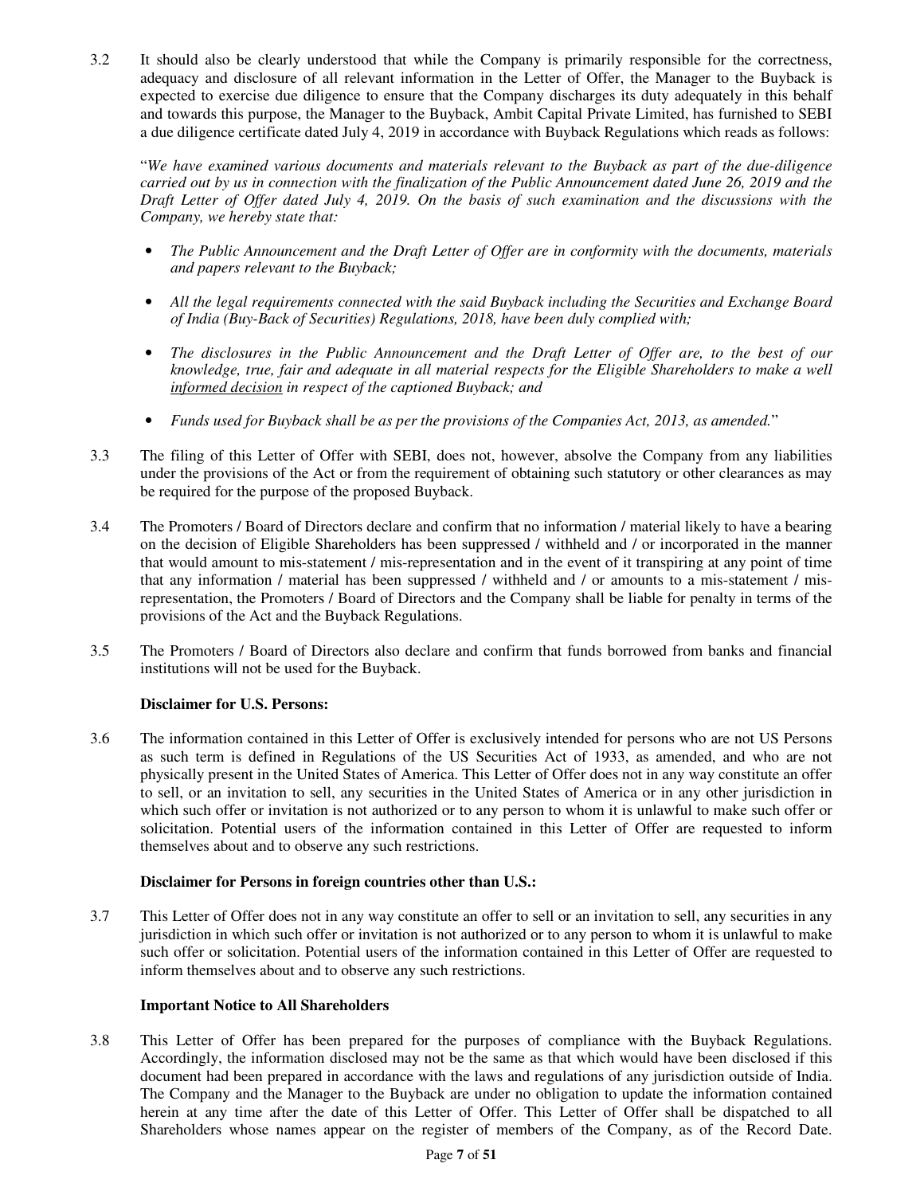3.2 It should also be clearly understood that while the Company is primarily responsible for the correctness, adequacy and disclosure of all relevant information in the Letter of Offer, the Manager to the Buyback is expected to exercise due diligence to ensure that the Company discharges its duty adequately in this behalf and towards this purpose, the Manager to the Buyback, Ambit Capital Private Limited, has furnished to SEBI a due diligence certificate dated July 4, 2019 in accordance with Buyback Regulations which reads as follows:

"*We have examined various documents and materials relevant to the Buyback as part of the due-diligence carried out by us in connection with the finalization of the Public Announcement dated June 26, 2019 and the Draft Letter of Offer dated July 4, 2019. On the basis of such examination and the discussions with the Company, we hereby state that:* 

- *The Public Announcement and the Draft Letter of Offer are in conformity with the documents, materials and papers relevant to the Buyback;*
- *All the legal requirements connected with the said Buyback including the Securities and Exchange Board of India (Buy-Back of Securities) Regulations, 2018, have been duly complied with;*
- *The disclosures in the Public Announcement and the Draft Letter of Offer are, to the best of our knowledge, true, fair and adequate in all material respects for the Eligible Shareholders to make a well informed decision in respect of the captioned Buyback; and*
- *Funds used for Buyback shall be as per the provisions of the Companies Act, 2013, as amended.*"
- 3.3 The filing of this Letter of Offer with SEBI, does not, however, absolve the Company from any liabilities under the provisions of the Act or from the requirement of obtaining such statutory or other clearances as may be required for the purpose of the proposed Buyback.
- 3.4 The Promoters / Board of Directors declare and confirm that no information / material likely to have a bearing on the decision of Eligible Shareholders has been suppressed / withheld and / or incorporated in the manner that would amount to mis-statement / mis-representation and in the event of it transpiring at any point of time that any information / material has been suppressed / withheld and / or amounts to a mis-statement / misrepresentation, the Promoters / Board of Directors and the Company shall be liable for penalty in terms of the provisions of the Act and the Buyback Regulations.
- 3.5 The Promoters / Board of Directors also declare and confirm that funds borrowed from banks and financial institutions will not be used for the Buyback.

## **Disclaimer for U.S. Persons:**

3.6 The information contained in this Letter of Offer is exclusively intended for persons who are not US Persons as such term is defined in Regulations of the US Securities Act of 1933, as amended, and who are not physically present in the United States of America. This Letter of Offer does not in any way constitute an offer to sell, or an invitation to sell, any securities in the United States of America or in any other jurisdiction in which such offer or invitation is not authorized or to any person to whom it is unlawful to make such offer or solicitation. Potential users of the information contained in this Letter of Offer are requested to inform themselves about and to observe any such restrictions.

## **Disclaimer for Persons in foreign countries other than U.S.:**

3.7 This Letter of Offer does not in any way constitute an offer to sell or an invitation to sell, any securities in any jurisdiction in which such offer or invitation is not authorized or to any person to whom it is unlawful to make such offer or solicitation. Potential users of the information contained in this Letter of Offer are requested to inform themselves about and to observe any such restrictions.

## **Important Notice to All Shareholders**

3.8 This Letter of Offer has been prepared for the purposes of compliance with the Buyback Regulations. Accordingly, the information disclosed may not be the same as that which would have been disclosed if this document had been prepared in accordance with the laws and regulations of any jurisdiction outside of India. The Company and the Manager to the Buyback are under no obligation to update the information contained herein at any time after the date of this Letter of Offer. This Letter of Offer shall be dispatched to all Shareholders whose names appear on the register of members of the Company, as of the Record Date.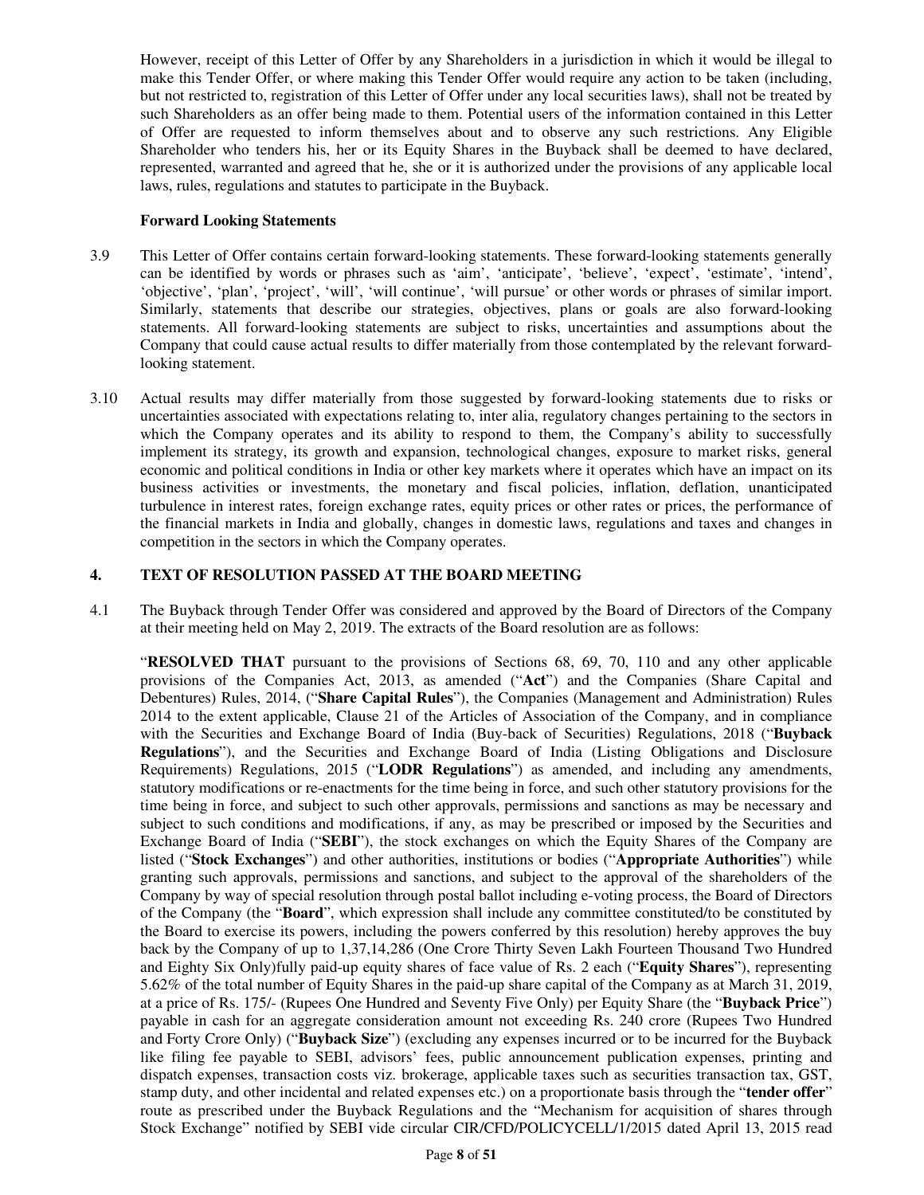However, receipt of this Letter of Offer by any Shareholders in a jurisdiction in which it would be illegal to make this Tender Offer, or where making this Tender Offer would require any action to be taken (including, but not restricted to, registration of this Letter of Offer under any local securities laws), shall not be treated by such Shareholders as an offer being made to them. Potential users of the information contained in this Letter of Offer are requested to inform themselves about and to observe any such restrictions. Any Eligible Shareholder who tenders his, her or its Equity Shares in the Buyback shall be deemed to have declared, represented, warranted and agreed that he, she or it is authorized under the provisions of any applicable local laws, rules, regulations and statutes to participate in the Buyback.

## **Forward Looking Statements**

- 3.9 This Letter of Offer contains certain forward-looking statements. These forward-looking statements generally can be identified by words or phrases such as 'aim', 'anticipate', 'believe', 'expect', 'estimate', 'intend', 'objective', 'plan', 'project', 'will', 'will continue', 'will pursue' or other words or phrases of similar import. Similarly, statements that describe our strategies, objectives, plans or goals are also forward-looking statements. All forward-looking statements are subject to risks, uncertainties and assumptions about the Company that could cause actual results to differ materially from those contemplated by the relevant forwardlooking statement.
- 3.10 Actual results may differ materially from those suggested by forward-looking statements due to risks or uncertainties associated with expectations relating to, inter alia, regulatory changes pertaining to the sectors in which the Company operates and its ability to respond to them, the Company's ability to successfully implement its strategy, its growth and expansion, technological changes, exposure to market risks, general economic and political conditions in India or other key markets where it operates which have an impact on its business activities or investments, the monetary and fiscal policies, inflation, deflation, unanticipated turbulence in interest rates, foreign exchange rates, equity prices or other rates or prices, the performance of the financial markets in India and globally, changes in domestic laws, regulations and taxes and changes in competition in the sectors in which the Company operates.

## **4. TEXT OF RESOLUTION PASSED AT THE BOARD MEETING**

4.1 The Buyback through Tender Offer was considered and approved by the Board of Directors of the Company at their meeting held on May 2, 2019. The extracts of the Board resolution are as follows:

"**RESOLVED THAT** pursuant to the provisions of Sections 68, 69, 70, 110 and any other applicable provisions of the Companies Act, 2013, as amended ("**Act**") and the Companies (Share Capital and Debentures) Rules, 2014, ("**Share Capital Rules**"), the Companies (Management and Administration) Rules 2014 to the extent applicable, Clause 21 of the Articles of Association of the Company, and in compliance with the Securities and Exchange Board of India (Buy-back of Securities) Regulations, 2018 ("**Buyback Regulations**"), and the Securities and Exchange Board of India (Listing Obligations and Disclosure Requirements) Regulations, 2015 ("**LODR Regulations**") as amended, and including any amendments, statutory modifications or re-enactments for the time being in force, and such other statutory provisions for the time being in force, and subject to such other approvals, permissions and sanctions as may be necessary and subject to such conditions and modifications, if any, as may be prescribed or imposed by the Securities and Exchange Board of India ("**SEBI**"), the stock exchanges on which the Equity Shares of the Company are listed ("**Stock Exchanges**") and other authorities, institutions or bodies ("**Appropriate Authorities**") while granting such approvals, permissions and sanctions, and subject to the approval of the shareholders of the Company by way of special resolution through postal ballot including e-voting process, the Board of Directors of the Company (the "**Board**", which expression shall include any committee constituted/to be constituted by the Board to exercise its powers, including the powers conferred by this resolution) hereby approves the buy back by the Company of up to 1,37,14,286 (One Crore Thirty Seven Lakh Fourteen Thousand Two Hundred and Eighty Six Only)fully paid-up equity shares of face value of Rs. 2 each ("**Equity Shares**"), representing 5.62% of the total number of Equity Shares in the paid-up share capital of the Company as at March 31, 2019, at a price of Rs. 175/- (Rupees One Hundred and Seventy Five Only) per Equity Share (the "**Buyback Price**") payable in cash for an aggregate consideration amount not exceeding Rs. 240 crore (Rupees Two Hundred and Forty Crore Only) ("**Buyback Size**") (excluding any expenses incurred or to be incurred for the Buyback like filing fee payable to SEBI, advisors' fees, public announcement publication expenses, printing and dispatch expenses, transaction costs viz. brokerage, applicable taxes such as securities transaction tax, GST, stamp duty, and other incidental and related expenses etc.) on a proportionate basis through the "**tender offer**" route as prescribed under the Buyback Regulations and the "Mechanism for acquisition of shares through Stock Exchange" notified by SEBI vide circular CIR/CFD/POLICYCELL/1/2015 dated April 13, 2015 read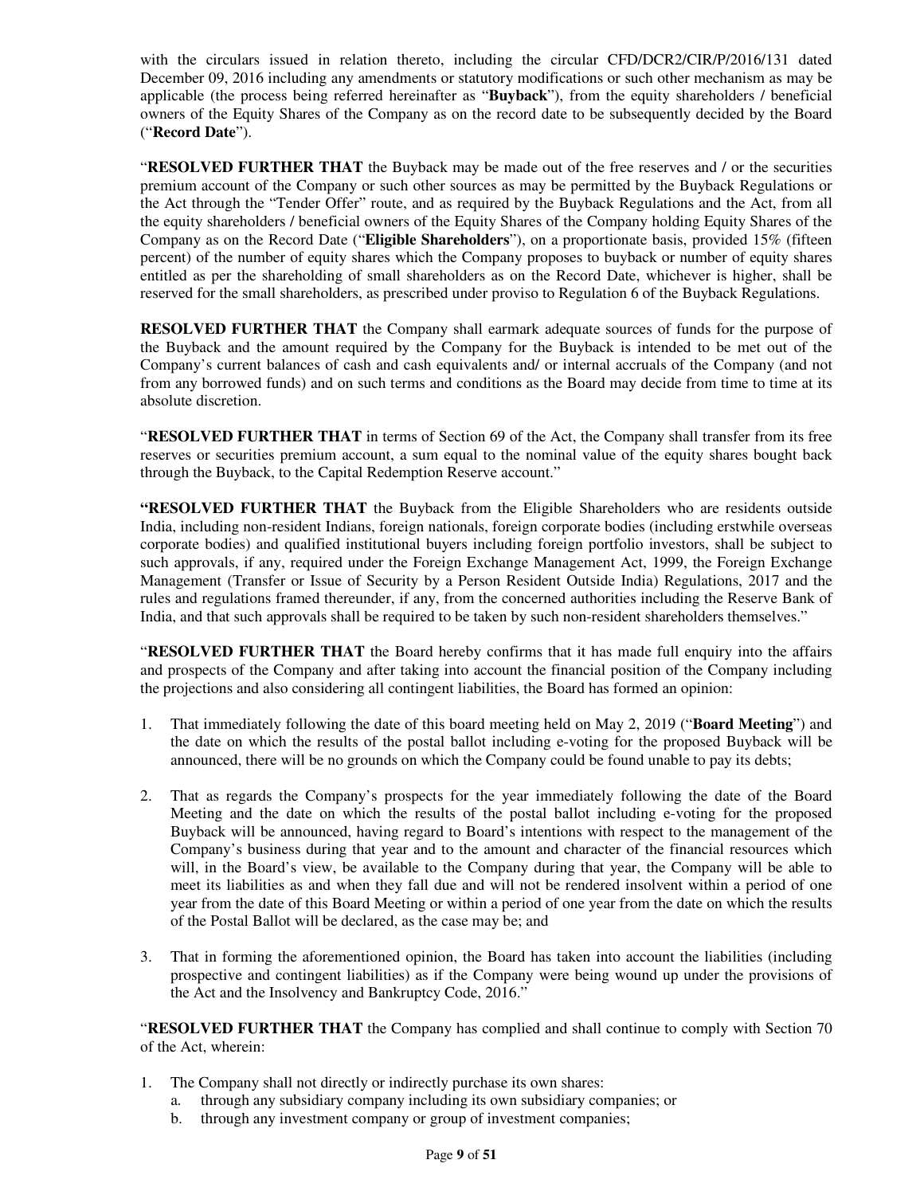with the circulars issued in relation thereto, including the circular CFD/DCR2/CIR/P/2016/131 dated December 09, 2016 including any amendments or statutory modifications or such other mechanism as may be applicable (the process being referred hereinafter as "**Buyback**"), from the equity shareholders / beneficial owners of the Equity Shares of the Company as on the record date to be subsequently decided by the Board ("**Record Date**").

"**RESOLVED FURTHER THAT** the Buyback may be made out of the free reserves and / or the securities premium account of the Company or such other sources as may be permitted by the Buyback Regulations or the Act through the "Tender Offer" route, and as required by the Buyback Regulations and the Act, from all the equity shareholders / beneficial owners of the Equity Shares of the Company holding Equity Shares of the Company as on the Record Date ("**Eligible Shareholders**"), on a proportionate basis, provided 15% (fifteen percent) of the number of equity shares which the Company proposes to buyback or number of equity shares entitled as per the shareholding of small shareholders as on the Record Date, whichever is higher, shall be reserved for the small shareholders, as prescribed under proviso to Regulation 6 of the Buyback Regulations.

**RESOLVED FURTHER THAT** the Company shall earmark adequate sources of funds for the purpose of the Buyback and the amount required by the Company for the Buyback is intended to be met out of the Company's current balances of cash and cash equivalents and/ or internal accruals of the Company (and not from any borrowed funds) and on such terms and conditions as the Board may decide from time to time at its absolute discretion.

"**RESOLVED FURTHER THAT** in terms of Section 69 of the Act, the Company shall transfer from its free reserves or securities premium account, a sum equal to the nominal value of the equity shares bought back through the Buyback, to the Capital Redemption Reserve account."

**"RESOLVED FURTHER THAT** the Buyback from the Eligible Shareholders who are residents outside India, including non-resident Indians, foreign nationals, foreign corporate bodies (including erstwhile overseas corporate bodies) and qualified institutional buyers including foreign portfolio investors, shall be subject to such approvals, if any, required under the Foreign Exchange Management Act, 1999, the Foreign Exchange Management (Transfer or Issue of Security by a Person Resident Outside India) Regulations, 2017 and the rules and regulations framed thereunder, if any, from the concerned authorities including the Reserve Bank of India, and that such approvals shall be required to be taken by such non-resident shareholders themselves."

"**RESOLVED FURTHER THAT** the Board hereby confirms that it has made full enquiry into the affairs and prospects of the Company and after taking into account the financial position of the Company including the projections and also considering all contingent liabilities, the Board has formed an opinion:

- 1. That immediately following the date of this board meeting held on May 2, 2019 ("**Board Meeting**") and the date on which the results of the postal ballot including e-voting for the proposed Buyback will be announced, there will be no grounds on which the Company could be found unable to pay its debts;
- 2. That as regards the Company's prospects for the year immediately following the date of the Board Meeting and the date on which the results of the postal ballot including e-voting for the proposed Buyback will be announced, having regard to Board's intentions with respect to the management of the Company's business during that year and to the amount and character of the financial resources which will, in the Board's view, be available to the Company during that year, the Company will be able to meet its liabilities as and when they fall due and will not be rendered insolvent within a period of one year from the date of this Board Meeting or within a period of one year from the date on which the results of the Postal Ballot will be declared, as the case may be; and
- 3. That in forming the aforementioned opinion, the Board has taken into account the liabilities (including prospective and contingent liabilities) as if the Company were being wound up under the provisions of the Act and the Insolvency and Bankruptcy Code, 2016."

"**RESOLVED FURTHER THAT** the Company has complied and shall continue to comply with Section 70 of the Act, wherein:

- 1. The Company shall not directly or indirectly purchase its own shares:
	- a. through any subsidiary company including its own subsidiary companies; or
	- b. through any investment company or group of investment companies;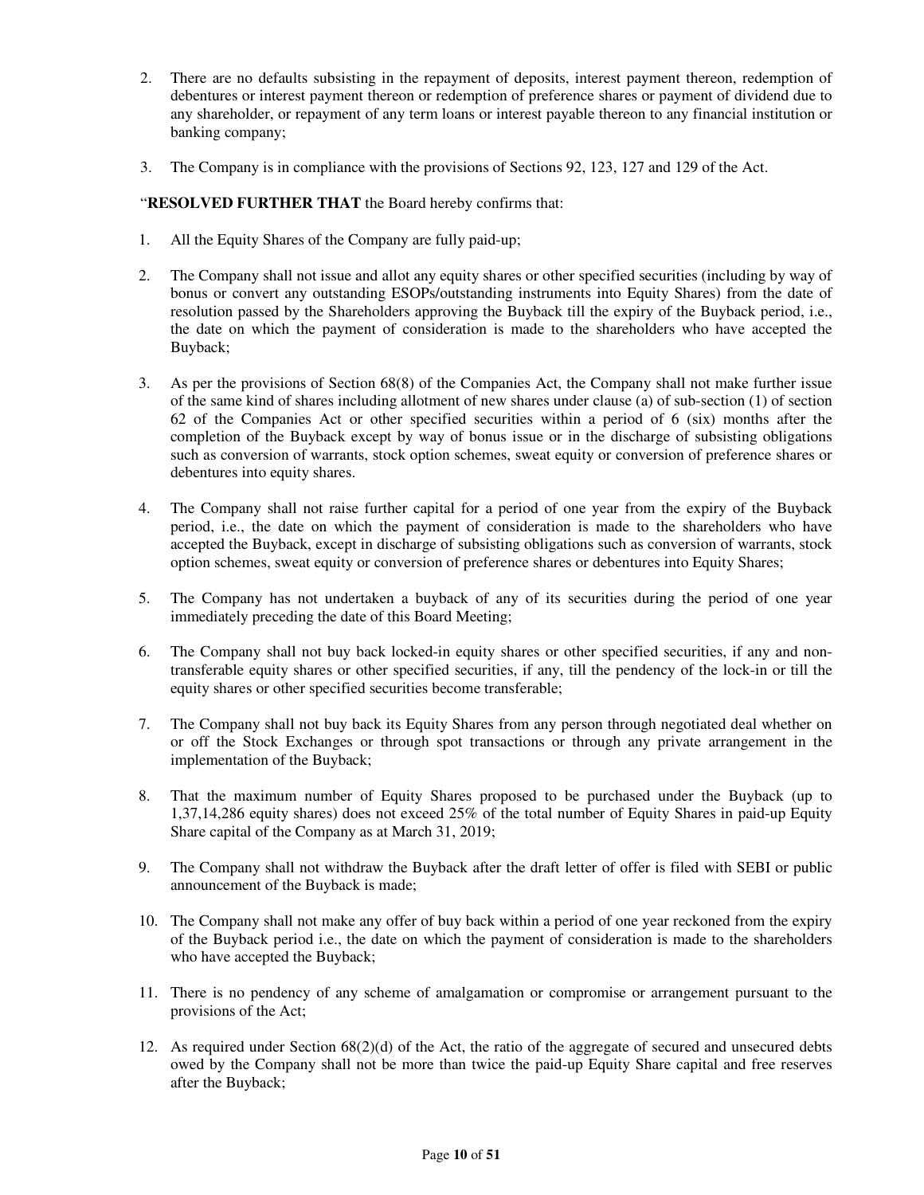- 2. There are no defaults subsisting in the repayment of deposits, interest payment thereon, redemption of debentures or interest payment thereon or redemption of preference shares or payment of dividend due to any shareholder, or repayment of any term loans or interest payable thereon to any financial institution or banking company;
- 3. The Company is in compliance with the provisions of Sections 92, 123, 127 and 129 of the Act.

"**RESOLVED FURTHER THAT** the Board hereby confirms that:

- 1. All the Equity Shares of the Company are fully paid-up;
- 2. The Company shall not issue and allot any equity shares or other specified securities (including by way of bonus or convert any outstanding ESOPs/outstanding instruments into Equity Shares) from the date of resolution passed by the Shareholders approving the Buyback till the expiry of the Buyback period, i.e., the date on which the payment of consideration is made to the shareholders who have accepted the Buyback;
- 3. As per the provisions of Section 68(8) of the Companies Act, the Company shall not make further issue of the same kind of shares including allotment of new shares under clause (a) of sub-section (1) of section 62 of the Companies Act or other specified securities within a period of 6 (six) months after the completion of the Buyback except by way of bonus issue or in the discharge of subsisting obligations such as conversion of warrants, stock option schemes, sweat equity or conversion of preference shares or debentures into equity shares.
- 4. The Company shall not raise further capital for a period of one year from the expiry of the Buyback period, i.e., the date on which the payment of consideration is made to the shareholders who have accepted the Buyback, except in discharge of subsisting obligations such as conversion of warrants, stock option schemes, sweat equity or conversion of preference shares or debentures into Equity Shares;
- 5. The Company has not undertaken a buyback of any of its securities during the period of one year immediately preceding the date of this Board Meeting;
- 6. The Company shall not buy back locked-in equity shares or other specified securities, if any and nontransferable equity shares or other specified securities, if any, till the pendency of the lock-in or till the equity shares or other specified securities become transferable;
- 7. The Company shall not buy back its Equity Shares from any person through negotiated deal whether on or off the Stock Exchanges or through spot transactions or through any private arrangement in the implementation of the Buyback;
- 8. That the maximum number of Equity Shares proposed to be purchased under the Buyback (up to 1,37,14,286 equity shares) does not exceed 25% of the total number of Equity Shares in paid-up Equity Share capital of the Company as at March 31, 2019;
- 9. The Company shall not withdraw the Buyback after the draft letter of offer is filed with SEBI or public announcement of the Buyback is made;
- 10. The Company shall not make any offer of buy back within a period of one year reckoned from the expiry of the Buyback period i.e., the date on which the payment of consideration is made to the shareholders who have accepted the Buyback;
- 11. There is no pendency of any scheme of amalgamation or compromise or arrangement pursuant to the provisions of the Act;
- 12. As required under Section 68(2)(d) of the Act, the ratio of the aggregate of secured and unsecured debts owed by the Company shall not be more than twice the paid-up Equity Share capital and free reserves after the Buyback;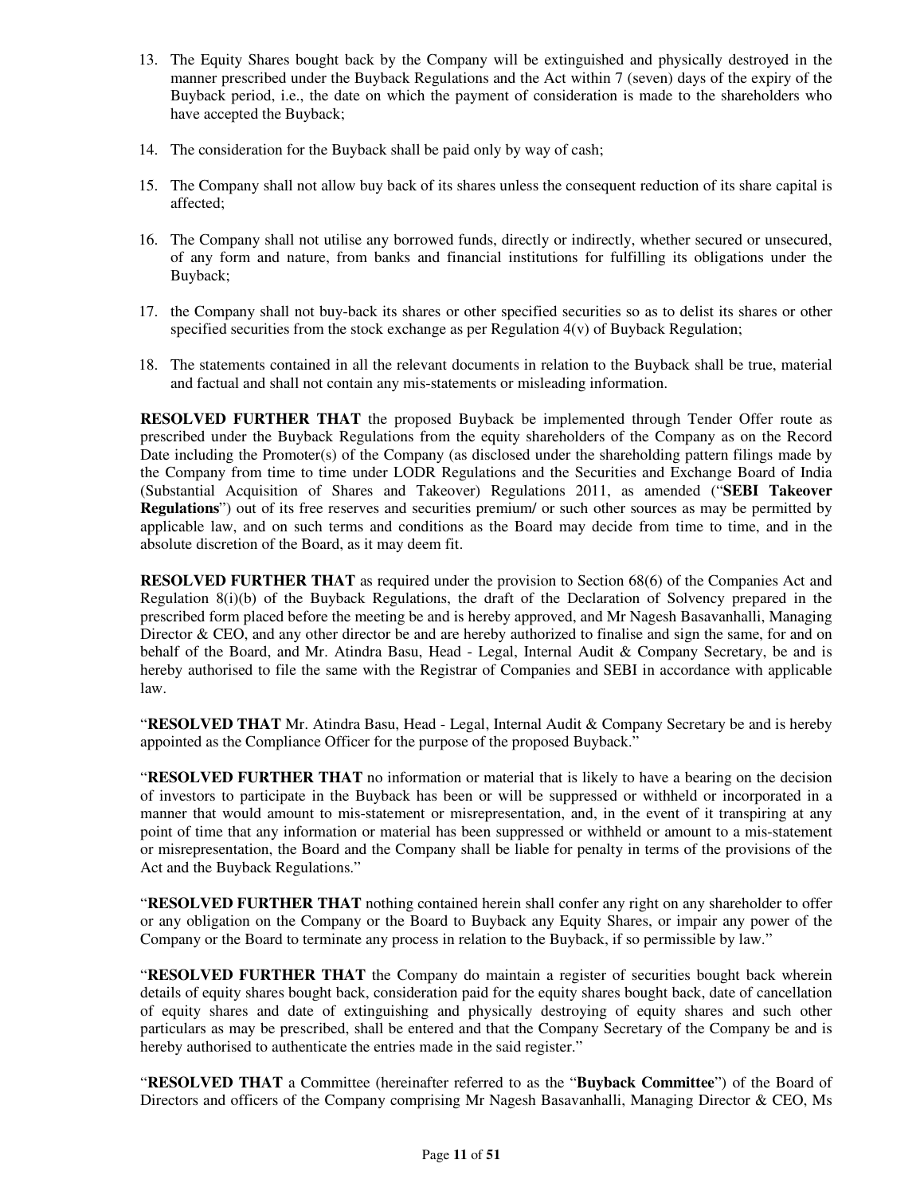- 13. The Equity Shares bought back by the Company will be extinguished and physically destroyed in the manner prescribed under the Buyback Regulations and the Act within 7 (seven) days of the expiry of the Buyback period, i.e., the date on which the payment of consideration is made to the shareholders who have accepted the Buyback;
- 14. The consideration for the Buyback shall be paid only by way of cash;
- 15. The Company shall not allow buy back of its shares unless the consequent reduction of its share capital is affected;
- 16. The Company shall not utilise any borrowed funds, directly or indirectly, whether secured or unsecured, of any form and nature, from banks and financial institutions for fulfilling its obligations under the Buyback;
- 17. the Company shall not buy-back its shares or other specified securities so as to delist its shares or other specified securities from the stock exchange as per Regulation  $4(v)$  of Buyback Regulation;
- 18. The statements contained in all the relevant documents in relation to the Buyback shall be true, material and factual and shall not contain any mis-statements or misleading information.

**RESOLVED FURTHER THAT** the proposed Buyback be implemented through Tender Offer route as prescribed under the Buyback Regulations from the equity shareholders of the Company as on the Record Date including the Promoter(s) of the Company (as disclosed under the shareholding pattern filings made by the Company from time to time under LODR Regulations and the Securities and Exchange Board of India (Substantial Acquisition of Shares and Takeover) Regulations 2011, as amended ("**SEBI Takeover Regulations**") out of its free reserves and securities premium/ or such other sources as may be permitted by applicable law, and on such terms and conditions as the Board may decide from time to time, and in the absolute discretion of the Board, as it may deem fit.

**RESOLVED FURTHER THAT** as required under the provision to Section 68(6) of the Companies Act and Regulation 8(i)(b) of the Buyback Regulations, the draft of the Declaration of Solvency prepared in the prescribed form placed before the meeting be and is hereby approved, and Mr Nagesh Basavanhalli, Managing Director & CEO, and any other director be and are hereby authorized to finalise and sign the same, for and on behalf of the Board, and Mr. Atindra Basu, Head - Legal, Internal Audit & Company Secretary, be and is hereby authorised to file the same with the Registrar of Companies and SEBI in accordance with applicable law.

"**RESOLVED THAT** Mr. Atindra Basu, Head - Legal, Internal Audit & Company Secretary be and is hereby appointed as the Compliance Officer for the purpose of the proposed Buyback."

"**RESOLVED FURTHER THAT** no information or material that is likely to have a bearing on the decision of investors to participate in the Buyback has been or will be suppressed or withheld or incorporated in a manner that would amount to mis-statement or misrepresentation, and, in the event of it transpiring at any point of time that any information or material has been suppressed or withheld or amount to a mis-statement or misrepresentation, the Board and the Company shall be liable for penalty in terms of the provisions of the Act and the Buyback Regulations."

"**RESOLVED FURTHER THAT** nothing contained herein shall confer any right on any shareholder to offer or any obligation on the Company or the Board to Buyback any Equity Shares, or impair any power of the Company or the Board to terminate any process in relation to the Buyback, if so permissible by law."

"**RESOLVED FURTHER THAT** the Company do maintain a register of securities bought back wherein details of equity shares bought back, consideration paid for the equity shares bought back, date of cancellation of equity shares and date of extinguishing and physically destroying of equity shares and such other particulars as may be prescribed, shall be entered and that the Company Secretary of the Company be and is hereby authorised to authenticate the entries made in the said register."

"**RESOLVED THAT** a Committee (hereinafter referred to as the "**Buyback Committee**") of the Board of Directors and officers of the Company comprising Mr Nagesh Basavanhalli, Managing Director & CEO, Ms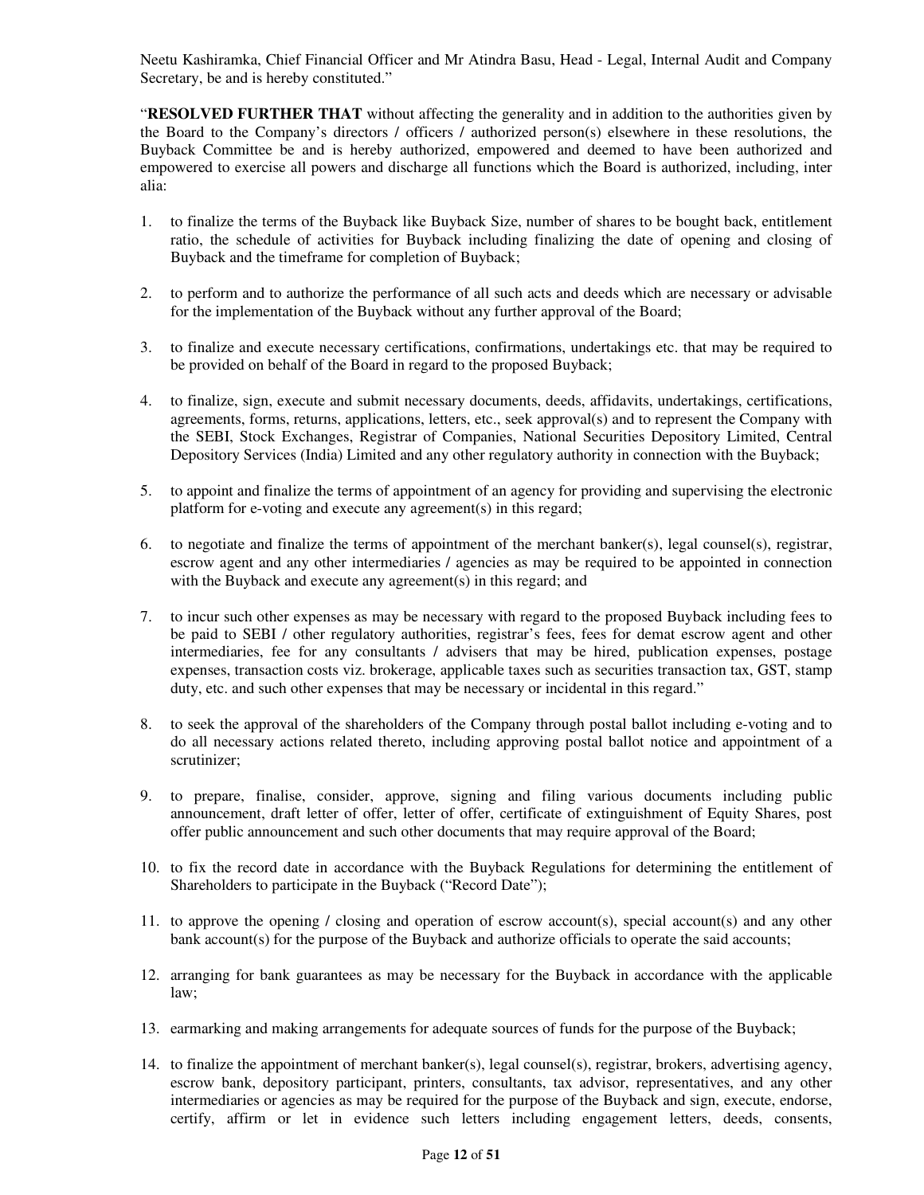Neetu Kashiramka, Chief Financial Officer and Mr Atindra Basu, Head - Legal, Internal Audit and Company Secretary, be and is hereby constituted."

"**RESOLVED FURTHER THAT** without affecting the generality and in addition to the authorities given by the Board to the Company's directors / officers / authorized person(s) elsewhere in these resolutions, the Buyback Committee be and is hereby authorized, empowered and deemed to have been authorized and empowered to exercise all powers and discharge all functions which the Board is authorized, including, inter alia:

- 1. to finalize the terms of the Buyback like Buyback Size, number of shares to be bought back, entitlement ratio, the schedule of activities for Buyback including finalizing the date of opening and closing of Buyback and the timeframe for completion of Buyback;
- 2. to perform and to authorize the performance of all such acts and deeds which are necessary or advisable for the implementation of the Buyback without any further approval of the Board;
- 3. to finalize and execute necessary certifications, confirmations, undertakings etc. that may be required to be provided on behalf of the Board in regard to the proposed Buyback;
- 4. to finalize, sign, execute and submit necessary documents, deeds, affidavits, undertakings, certifications, agreements, forms, returns, applications, letters, etc., seek approval(s) and to represent the Company with the SEBI, Stock Exchanges, Registrar of Companies, National Securities Depository Limited, Central Depository Services (India) Limited and any other regulatory authority in connection with the Buyback;
- 5. to appoint and finalize the terms of appointment of an agency for providing and supervising the electronic platform for e-voting and execute any agreement(s) in this regard;
- 6. to negotiate and finalize the terms of appointment of the merchant banker(s), legal counsel(s), registrar, escrow agent and any other intermediaries / agencies as may be required to be appointed in connection with the Buyback and execute any agreement(s) in this regard; and
- 7. to incur such other expenses as may be necessary with regard to the proposed Buyback including fees to be paid to SEBI / other regulatory authorities, registrar's fees, fees for demat escrow agent and other intermediaries, fee for any consultants / advisers that may be hired, publication expenses, postage expenses, transaction costs viz. brokerage, applicable taxes such as securities transaction tax, GST, stamp duty, etc. and such other expenses that may be necessary or incidental in this regard."
- 8. to seek the approval of the shareholders of the Company through postal ballot including e-voting and to do all necessary actions related thereto, including approving postal ballot notice and appointment of a scrutinizer;
- 9. to prepare, finalise, consider, approve, signing and filing various documents including public announcement, draft letter of offer, letter of offer, certificate of extinguishment of Equity Shares, post offer public announcement and such other documents that may require approval of the Board;
- 10. to fix the record date in accordance with the Buyback Regulations for determining the entitlement of Shareholders to participate in the Buyback ("Record Date");
- 11. to approve the opening / closing and operation of escrow account(s), special account(s) and any other bank account(s) for the purpose of the Buyback and authorize officials to operate the said accounts;
- 12. arranging for bank guarantees as may be necessary for the Buyback in accordance with the applicable law;
- 13. earmarking and making arrangements for adequate sources of funds for the purpose of the Buyback;
- 14. to finalize the appointment of merchant banker(s), legal counsel(s), registrar, brokers, advertising agency, escrow bank, depository participant, printers, consultants, tax advisor, representatives, and any other intermediaries or agencies as may be required for the purpose of the Buyback and sign, execute, endorse, certify, affirm or let in evidence such letters including engagement letters, deeds, consents,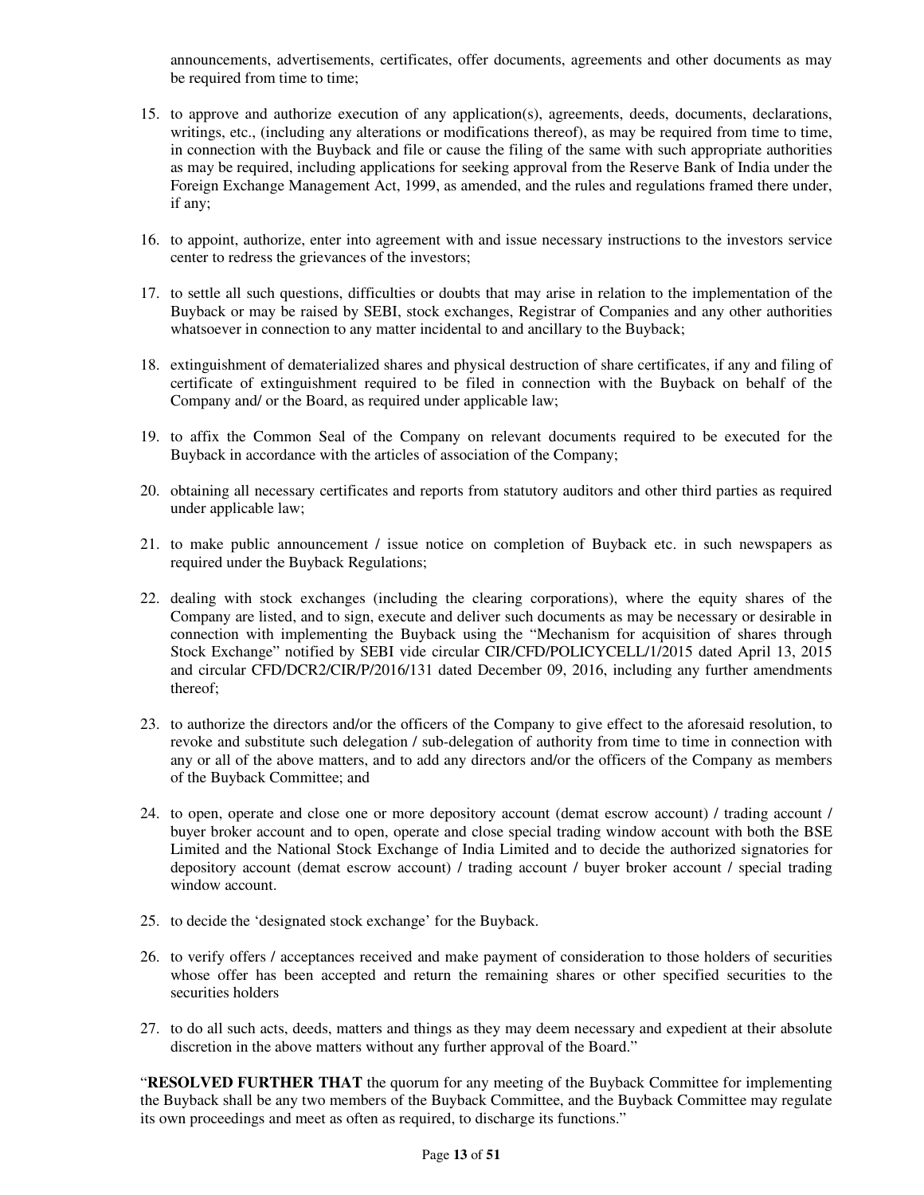announcements, advertisements, certificates, offer documents, agreements and other documents as may be required from time to time;

- 15. to approve and authorize execution of any application(s), agreements, deeds, documents, declarations, writings, etc., (including any alterations or modifications thereof), as may be required from time to time, in connection with the Buyback and file or cause the filing of the same with such appropriate authorities as may be required, including applications for seeking approval from the Reserve Bank of India under the Foreign Exchange Management Act, 1999, as amended, and the rules and regulations framed there under, if any;
- 16. to appoint, authorize, enter into agreement with and issue necessary instructions to the investors service center to redress the grievances of the investors;
- 17. to settle all such questions, difficulties or doubts that may arise in relation to the implementation of the Buyback or may be raised by SEBI, stock exchanges, Registrar of Companies and any other authorities whatsoever in connection to any matter incidental to and ancillary to the Buyback;
- 18. extinguishment of dematerialized shares and physical destruction of share certificates, if any and filing of certificate of extinguishment required to be filed in connection with the Buyback on behalf of the Company and/ or the Board, as required under applicable law;
- 19. to affix the Common Seal of the Company on relevant documents required to be executed for the Buyback in accordance with the articles of association of the Company;
- 20. obtaining all necessary certificates and reports from statutory auditors and other third parties as required under applicable law;
- 21. to make public announcement / issue notice on completion of Buyback etc. in such newspapers as required under the Buyback Regulations;
- 22. dealing with stock exchanges (including the clearing corporations), where the equity shares of the Company are listed, and to sign, execute and deliver such documents as may be necessary or desirable in connection with implementing the Buyback using the "Mechanism for acquisition of shares through Stock Exchange" notified by SEBI vide circular CIR/CFD/POLICYCELL/1/2015 dated April 13, 2015 and circular CFD/DCR2/CIR/P/2016/131 dated December 09, 2016, including any further amendments thereof;
- 23. to authorize the directors and/or the officers of the Company to give effect to the aforesaid resolution, to revoke and substitute such delegation / sub-delegation of authority from time to time in connection with any or all of the above matters, and to add any directors and/or the officers of the Company as members of the Buyback Committee; and
- 24. to open, operate and close one or more depository account (demat escrow account) / trading account / buyer broker account and to open, operate and close special trading window account with both the BSE Limited and the National Stock Exchange of India Limited and to decide the authorized signatories for depository account (demat escrow account) / trading account / buyer broker account / special trading window account.
- 25. to decide the 'designated stock exchange' for the Buyback.
- 26. to verify offers / acceptances received and make payment of consideration to those holders of securities whose offer has been accepted and return the remaining shares or other specified securities to the securities holders
- 27. to do all such acts, deeds, matters and things as they may deem necessary and expedient at their absolute discretion in the above matters without any further approval of the Board."

"**RESOLVED FURTHER THAT** the quorum for any meeting of the Buyback Committee for implementing the Buyback shall be any two members of the Buyback Committee, and the Buyback Committee may regulate its own proceedings and meet as often as required, to discharge its functions."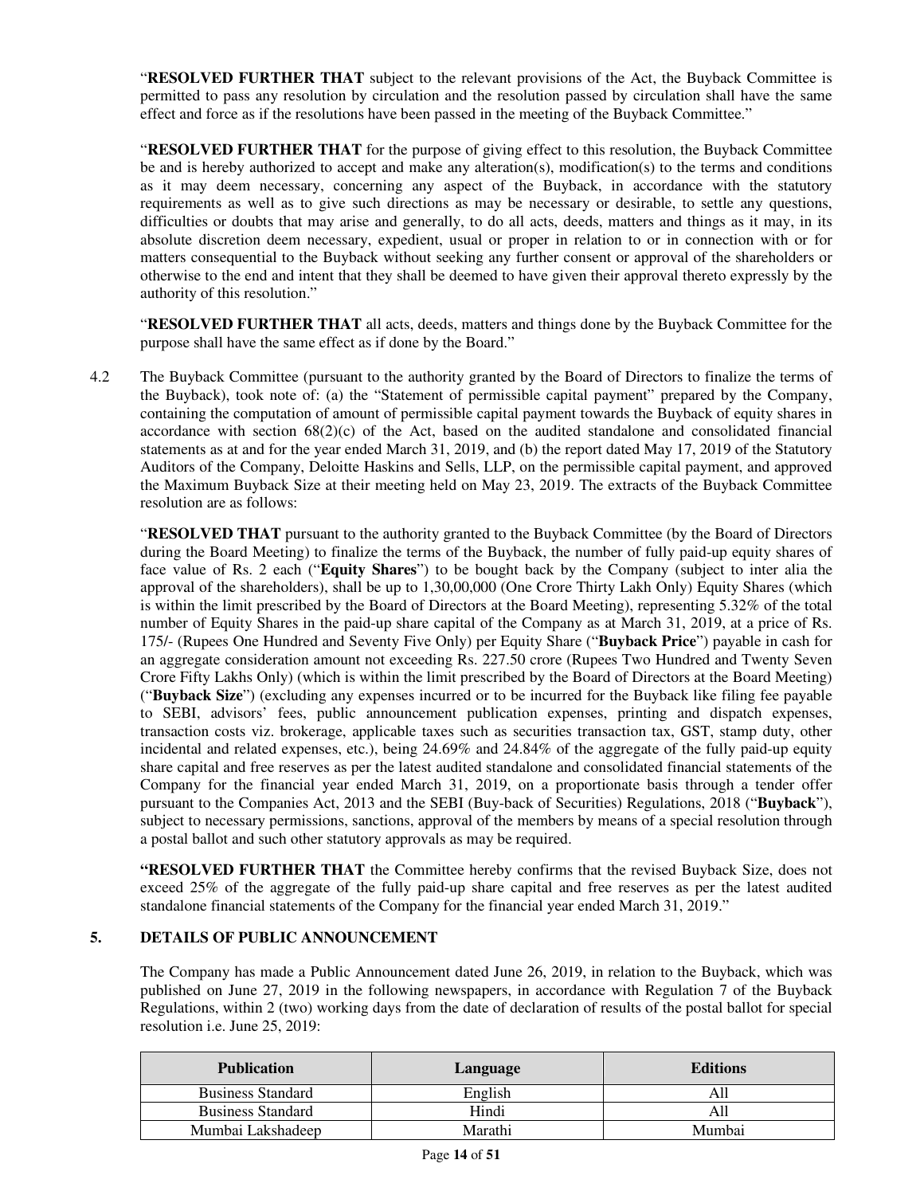"**RESOLVED FURTHER THAT** subject to the relevant provisions of the Act, the Buyback Committee is permitted to pass any resolution by circulation and the resolution passed by circulation shall have the same effect and force as if the resolutions have been passed in the meeting of the Buyback Committee."

"**RESOLVED FURTHER THAT** for the purpose of giving effect to this resolution, the Buyback Committee be and is hereby authorized to accept and make any alteration(s), modification(s) to the terms and conditions as it may deem necessary, concerning any aspect of the Buyback, in accordance with the statutory requirements as well as to give such directions as may be necessary or desirable, to settle any questions, difficulties or doubts that may arise and generally, to do all acts, deeds, matters and things as it may, in its absolute discretion deem necessary, expedient, usual or proper in relation to or in connection with or for matters consequential to the Buyback without seeking any further consent or approval of the shareholders or otherwise to the end and intent that they shall be deemed to have given their approval thereto expressly by the authority of this resolution."

"**RESOLVED FURTHER THAT** all acts, deeds, matters and things done by the Buyback Committee for the purpose shall have the same effect as if done by the Board."

4.2 The Buyback Committee (pursuant to the authority granted by the Board of Directors to finalize the terms of the Buyback), took note of: (a) the "Statement of permissible capital payment" prepared by the Company, containing the computation of amount of permissible capital payment towards the Buyback of equity shares in accordance with section  $68(2)(c)$  of the Act, based on the audited standalone and consolidated financial statements as at and for the year ended March 31, 2019, and (b) the report dated May 17, 2019 of the Statutory Auditors of the Company, Deloitte Haskins and Sells, LLP, on the permissible capital payment, and approved the Maximum Buyback Size at their meeting held on May 23, 2019. The extracts of the Buyback Committee resolution are as follows:

"**RESOLVED THAT** pursuant to the authority granted to the Buyback Committee (by the Board of Directors during the Board Meeting) to finalize the terms of the Buyback, the number of fully paid-up equity shares of face value of Rs. 2 each ("**Equity Shares**") to be bought back by the Company (subject to inter alia the approval of the shareholders), shall be up to 1,30,00,000 (One Crore Thirty Lakh Only) Equity Shares (which is within the limit prescribed by the Board of Directors at the Board Meeting), representing 5.32% of the total number of Equity Shares in the paid-up share capital of the Company as at March 31, 2019, at a price of Rs. 175/- (Rupees One Hundred and Seventy Five Only) per Equity Share ("**Buyback Price**") payable in cash for an aggregate consideration amount not exceeding Rs. 227.50 crore (Rupees Two Hundred and Twenty Seven Crore Fifty Lakhs Only) (which is within the limit prescribed by the Board of Directors at the Board Meeting) ("**Buyback Size**") (excluding any expenses incurred or to be incurred for the Buyback like filing fee payable to SEBI, advisors' fees, public announcement publication expenses, printing and dispatch expenses, transaction costs viz. brokerage, applicable taxes such as securities transaction tax, GST, stamp duty, other incidental and related expenses, etc.), being 24.69% and 24.84% of the aggregate of the fully paid-up equity share capital and free reserves as per the latest audited standalone and consolidated financial statements of the Company for the financial year ended March 31, 2019, on a proportionate basis through a tender offer pursuant to the Companies Act, 2013 and the SEBI (Buy-back of Securities) Regulations, 2018 ("**Buyback**"), subject to necessary permissions, sanctions, approval of the members by means of a special resolution through a postal ballot and such other statutory approvals as may be required.

**"RESOLVED FURTHER THAT** the Committee hereby confirms that the revised Buyback Size, does not exceed 25% of the aggregate of the fully paid-up share capital and free reserves as per the latest audited standalone financial statements of the Company for the financial year ended March 31, 2019."

## **5. DETAILS OF PUBLIC ANNOUNCEMENT**

The Company has made a Public Announcement dated June 26, 2019, in relation to the Buyback, which was published on June 27, 2019 in the following newspapers, in accordance with Regulation 7 of the Buyback Regulations, within 2 (two) working days from the date of declaration of results of the postal ballot for special resolution i.e. June 25, 2019:

| <b>Publication</b>       | Language | <b>Editions</b> |
|--------------------------|----------|-----------------|
| <b>Business Standard</b> | English  | All             |
| <b>Business Standard</b> | Hindi    | All             |
| Mumbai Lakshadeep        | Marathi  | Mumbai          |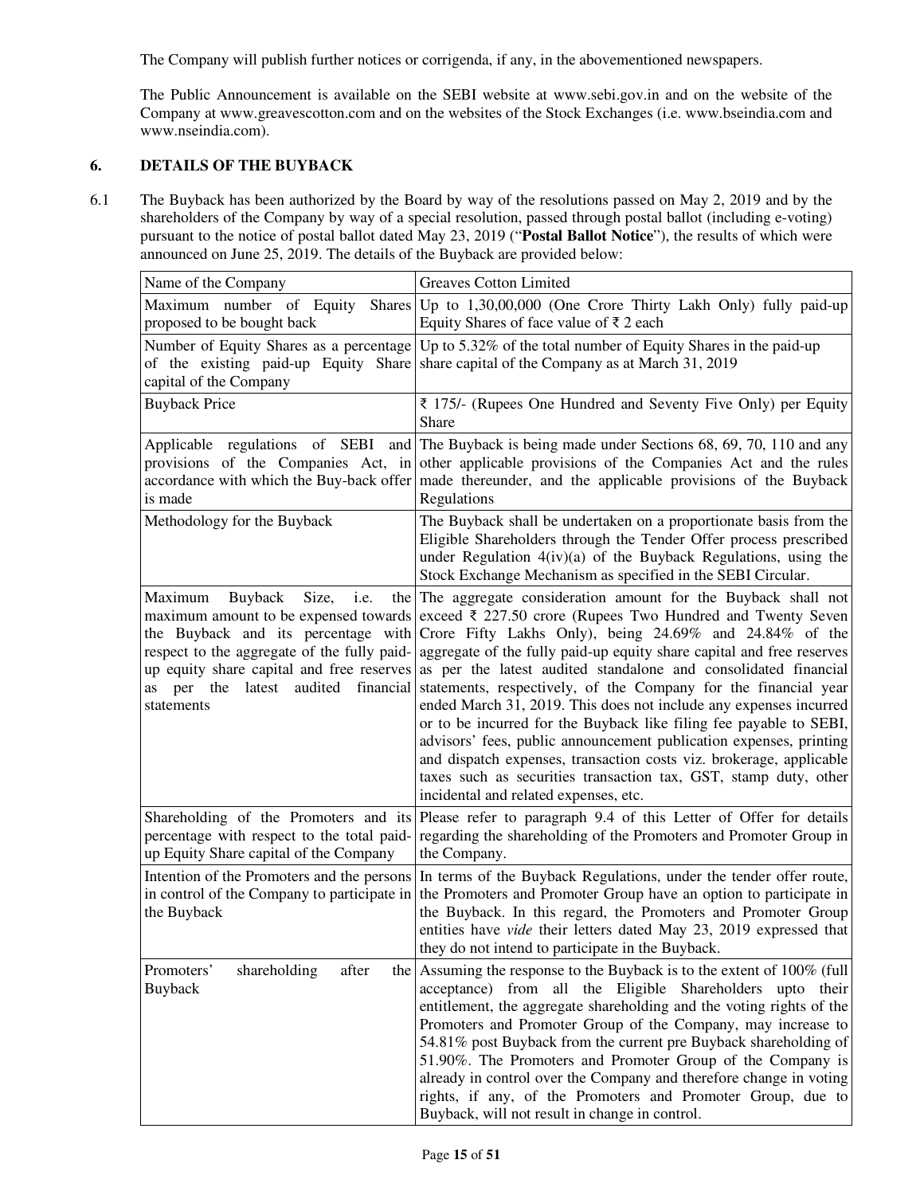The Company will publish further notices or corrigenda, if any, in the abovementioned newspapers.

The Public Announcement is available on the SEBI website at www.sebi.gov.in and on the website of the Company at www.greavescotton.com and on the websites of the Stock Exchanges (i.e. www.bseindia.com and www.nseindia.com).

## **6. DETAILS OF THE BUYBACK**

 $\overline{r}$ 

6.1 The Buyback has been authorized by the Board by way of the resolutions passed on May 2, 2019 and by the shareholders of the Company by way of a special resolution, passed through postal ballot (including e-voting) pursuant to the notice of postal ballot dated May 23, 2019 ("**Postal Ballot Notice**"), the results of which were announced on June 25, 2019. The details of the Buyback are provided below:

| Name of the Company                                                                                                                                  | <b>Greaves Cotton Limited</b>                                                                                                                                                                                                                                                                                                                                                                                                                                                                                                                                                                                                                                                                                                                                                                                                                                                                                                            |  |  |
|------------------------------------------------------------------------------------------------------------------------------------------------------|------------------------------------------------------------------------------------------------------------------------------------------------------------------------------------------------------------------------------------------------------------------------------------------------------------------------------------------------------------------------------------------------------------------------------------------------------------------------------------------------------------------------------------------------------------------------------------------------------------------------------------------------------------------------------------------------------------------------------------------------------------------------------------------------------------------------------------------------------------------------------------------------------------------------------------------|--|--|
| Maximum number of Equity<br>proposed to be bought back                                                                                               | Shares Up to $1,30,00,000$ (One Crore Thirty Lakh Only) fully paid-up<br>Equity Shares of face value of $\bar{\tau}$ 2 each                                                                                                                                                                                                                                                                                                                                                                                                                                                                                                                                                                                                                                                                                                                                                                                                              |  |  |
| Number of Equity Shares as a percentage<br>capital of the Company                                                                                    | Up to 5.32% of the total number of Equity Shares in the paid-up<br>of the existing paid-up Equity Share share capital of the Company as at March 31, 2019                                                                                                                                                                                                                                                                                                                                                                                                                                                                                                                                                                                                                                                                                                                                                                                |  |  |
| <b>Buyback Price</b>                                                                                                                                 | $\bar{\xi}$ 175/- (Rupees One Hundred and Seventy Five Only) per Equity<br>Share                                                                                                                                                                                                                                                                                                                                                                                                                                                                                                                                                                                                                                                                                                                                                                                                                                                         |  |  |
| Applicable regulations of SEBI<br>is made                                                                                                            | and The Buyback is being made under Sections 68, 69, 70, 110 and any<br>provisions of the Companies Act, in other applicable provisions of the Companies Act and the rules<br>accordance with which the Buy-back offer made thereunder, and the applicable provisions of the Buyback<br>Regulations                                                                                                                                                                                                                                                                                                                                                                                                                                                                                                                                                                                                                                      |  |  |
| Methodology for the Buyback                                                                                                                          | The Buyback shall be undertaken on a proportionate basis from the<br>Eligible Shareholders through the Tender Offer process prescribed<br>under Regulation 4(iv)(a) of the Buyback Regulations, using the<br>Stock Exchange Mechanism as specified in the SEBI Circular.                                                                                                                                                                                                                                                                                                                                                                                                                                                                                                                                                                                                                                                                 |  |  |
| Buyback<br>Size,<br>Maximum<br>i.e.<br>the Buyback and its percentage with<br>respect to the aggregate of the fully paid-<br><b>as</b><br>statements | the The aggregate consideration amount for the Buyback shall not<br>maximum amount to be expensed towards exceed $\bar{\xi}$ 227.50 crore (Rupees Two Hundred and Twenty Seven<br>Crore Fifty Lakhs Only), being 24.69% and 24.84% of the<br>aggregate of the fully paid-up equity share capital and free reserves<br>up equity share capital and free reserves as per the latest audited standalone and consolidated financial<br>per the latest audited financial statements, respectively, of the Company for the financial year<br>ended March 31, 2019. This does not include any expenses incurred<br>or to be incurred for the Buyback like filing fee payable to SEBI,<br>advisors' fees, public announcement publication expenses, printing<br>and dispatch expenses, transaction costs viz. brokerage, applicable<br>taxes such as securities transaction tax, GST, stamp duty, other<br>incidental and related expenses, etc. |  |  |
| percentage with respect to the total paid-<br>up Equity Share capital of the Company                                                                 | Shareholding of the Promoters and its Please refer to paragraph 9.4 of this Letter of Offer for details<br>regarding the shareholding of the Promoters and Promoter Group in<br>the Company.                                                                                                                                                                                                                                                                                                                                                                                                                                                                                                                                                                                                                                                                                                                                             |  |  |
| Intention of the Promoters and the persons<br>in control of the Company to participate in<br>the Buyback                                             | In terms of the Buyback Regulations, under the tender offer route,<br>the Promoters and Promoter Group have an option to participate in<br>the Buyback. In this regard, the Promoters and Promoter Group<br>entities have vide their letters dated May 23, 2019 expressed that<br>they do not intend to participate in the Buyback.                                                                                                                                                                                                                                                                                                                                                                                                                                                                                                                                                                                                      |  |  |
| shareholding<br>Promoters'<br>after<br>Buyback                                                                                                       | the Assuming the response to the Buyback is to the extent of $100\%$ (full<br>acceptance) from all the Eligible Shareholders upto their<br>entitlement, the aggregate shareholding and the voting rights of the<br>Promoters and Promoter Group of the Company, may increase to<br>54.81% post Buyback from the current pre Buyback shareholding of<br>51.90%. The Promoters and Promoter Group of the Company is<br>already in control over the Company and therefore change in voting<br>rights, if any, of the Promoters and Promoter Group, due to<br>Buyback, will not result in change in control.                                                                                                                                                                                                                                                                                                                                 |  |  |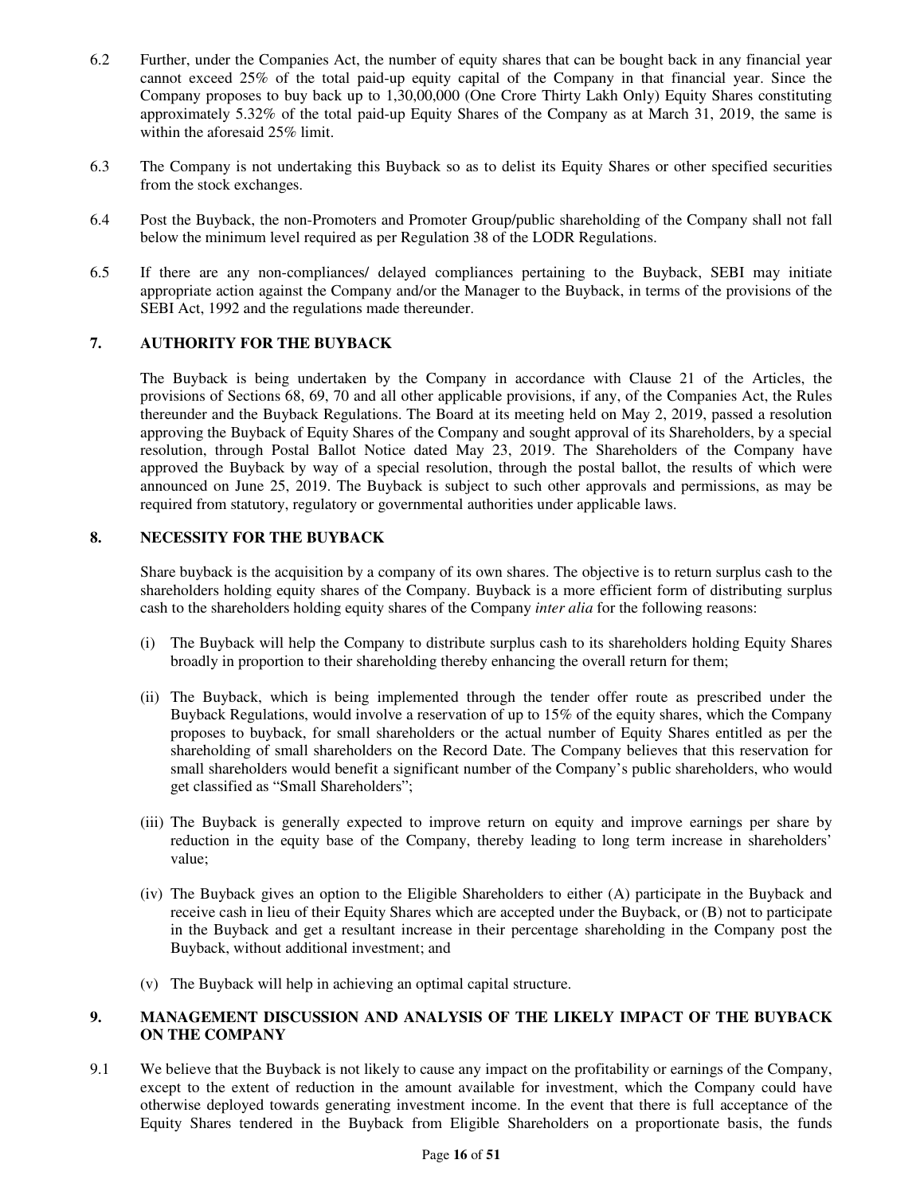- 6.2 Further, under the Companies Act, the number of equity shares that can be bought back in any financial year cannot exceed 25% of the total paid-up equity capital of the Company in that financial year. Since the Company proposes to buy back up to 1,30,00,000 (One Crore Thirty Lakh Only) Equity Shares constituting approximately 5.32% of the total paid-up Equity Shares of the Company as at March 31, 2019, the same is within the aforesaid 25% limit.
- 6.3 The Company is not undertaking this Buyback so as to delist its Equity Shares or other specified securities from the stock exchanges.
- 6.4 Post the Buyback, the non-Promoters and Promoter Group/public shareholding of the Company shall not fall below the minimum level required as per Regulation 38 of the LODR Regulations.
- 6.5 If there are any non-compliances/ delayed compliances pertaining to the Buyback, SEBI may initiate appropriate action against the Company and/or the Manager to the Buyback, in terms of the provisions of the SEBI Act, 1992 and the regulations made thereunder.

## **7. AUTHORITY FOR THE BUYBACK**

The Buyback is being undertaken by the Company in accordance with Clause 21 of the Articles, the provisions of Sections 68, 69, 70 and all other applicable provisions, if any, of the Companies Act, the Rules thereunder and the Buyback Regulations. The Board at its meeting held on May 2, 2019, passed a resolution approving the Buyback of Equity Shares of the Company and sought approval of its Shareholders, by a special resolution, through Postal Ballot Notice dated May 23, 2019. The Shareholders of the Company have approved the Buyback by way of a special resolution, through the postal ballot, the results of which were announced on June 25, 2019. The Buyback is subject to such other approvals and permissions, as may be required from statutory, regulatory or governmental authorities under applicable laws.

## **8. NECESSITY FOR THE BUYBACK**

Share buyback is the acquisition by a company of its own shares. The objective is to return surplus cash to the shareholders holding equity shares of the Company. Buyback is a more efficient form of distributing surplus cash to the shareholders holding equity shares of the Company *inter alia* for the following reasons:

- (i) The Buyback will help the Company to distribute surplus cash to its shareholders holding Equity Shares broadly in proportion to their shareholding thereby enhancing the overall return for them;
- (ii) The Buyback, which is being implemented through the tender offer route as prescribed under the Buyback Regulations, would involve a reservation of up to 15% of the equity shares, which the Company proposes to buyback, for small shareholders or the actual number of Equity Shares entitled as per the shareholding of small shareholders on the Record Date. The Company believes that this reservation for small shareholders would benefit a significant number of the Company's public shareholders, who would get classified as "Small Shareholders";
- (iii) The Buyback is generally expected to improve return on equity and improve earnings per share by reduction in the equity base of the Company, thereby leading to long term increase in shareholders' value;
- (iv) The Buyback gives an option to the Eligible Shareholders to either (A) participate in the Buyback and receive cash in lieu of their Equity Shares which are accepted under the Buyback, or (B) not to participate in the Buyback and get a resultant increase in their percentage shareholding in the Company post the Buyback, without additional investment; and
- (v) The Buyback will help in achieving an optimal capital structure.

## **9. MANAGEMENT DISCUSSION AND ANALYSIS OF THE LIKELY IMPACT OF THE BUYBACK ON THE COMPANY**

9.1 We believe that the Buyback is not likely to cause any impact on the profitability or earnings of the Company, except to the extent of reduction in the amount available for investment, which the Company could have otherwise deployed towards generating investment income. In the event that there is full acceptance of the Equity Shares tendered in the Buyback from Eligible Shareholders on a proportionate basis, the funds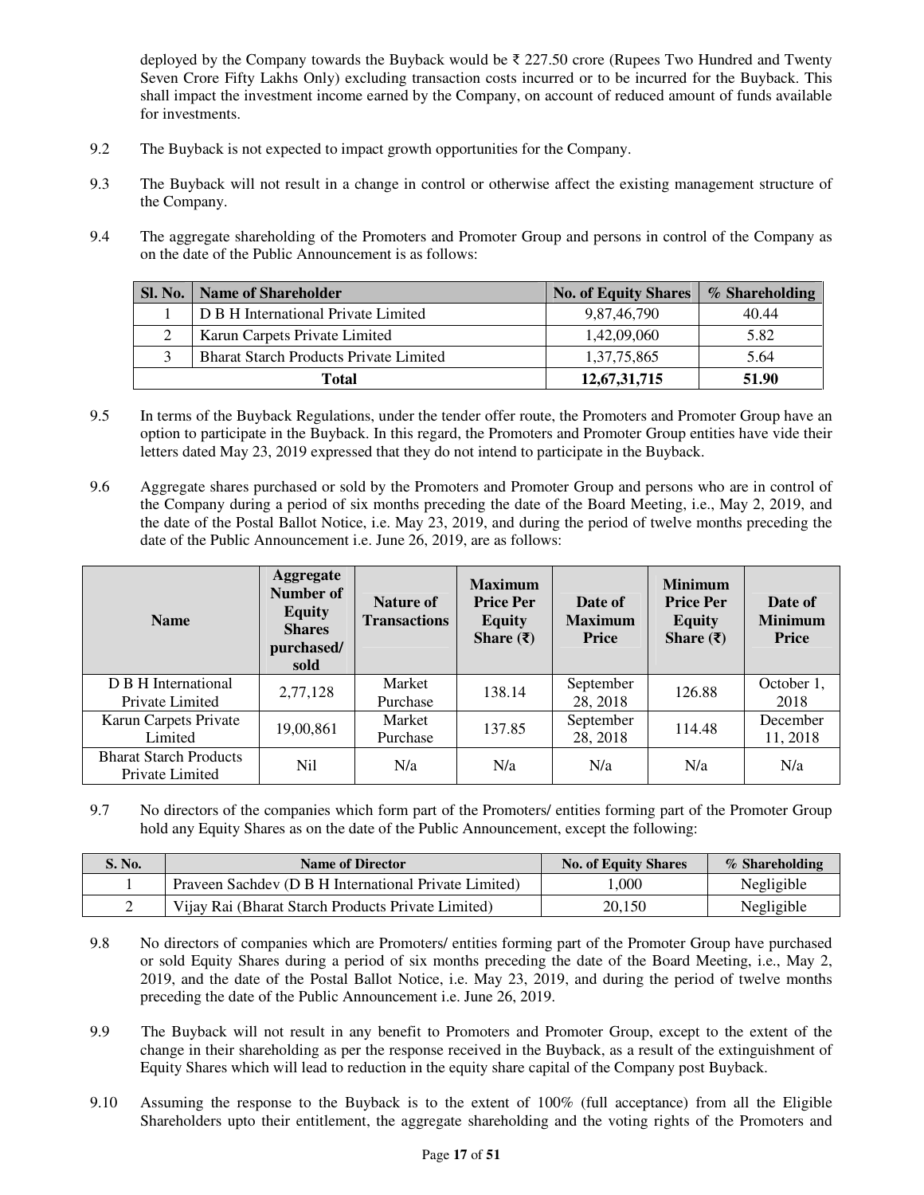deployed by the Company towards the Buyback would be ₹ 227.50 crore (Rupees Two Hundred and Twenty Seven Crore Fifty Lakhs Only) excluding transaction costs incurred or to be incurred for the Buyback. This shall impact the investment income earned by the Company, on account of reduced amount of funds available for investments.

- 9.2 The Buyback is not expected to impact growth opportunities for the Company.
- 9.3 The Buyback will not result in a change in control or otherwise affect the existing management structure of the Company.
- 9.4 The aggregate shareholding of the Promoters and Promoter Group and persons in control of the Company as on the date of the Public Announcement is as follows:

| <b>Sl. No.</b> | <b>Name of Shareholder</b>                    | <b>No. of Equity Shares</b> | % Shareholding |
|----------------|-----------------------------------------------|-----------------------------|----------------|
|                | D B H International Private Limited           | 9,87,46,790                 | 40.44          |
|                | Karun Carpets Private Limited                 | 1,42,09,060                 | 5.82           |
|                | <b>Bharat Starch Products Private Limited</b> | 1,37,75,865                 | 5.64           |
|                | Total                                         | 12,67,31,715                | 51.90          |

- 9.5 In terms of the Buyback Regulations, under the tender offer route, the Promoters and Promoter Group have an option to participate in the Buyback. In this regard, the Promoters and Promoter Group entities have vide their letters dated May 23, 2019 expressed that they do not intend to participate in the Buyback.
- 9.6 Aggregate shares purchased or sold by the Promoters and Promoter Group and persons who are in control of the Company during a period of six months preceding the date of the Board Meeting, i.e., May 2, 2019, and the date of the Postal Ballot Notice, i.e. May 23, 2019, and during the period of twelve months preceding the date of the Public Announcement i.e. June 26, 2019, are as follows:

| <b>Name</b>                                      | <b>Aggregate</b><br>Number of<br><b>Equity</b><br><b>Shares</b><br>purchased/<br>sold | <b>Nature of</b><br><b>Transactions</b> | <b>Maximum</b><br><b>Price Per</b><br><b>Equity</b><br>Share $(\bar{\tau})$ | Date of<br><b>Maximum</b><br>Price | <b>Minimum</b><br><b>Price Per</b><br><b>Equity</b><br>Share $(\bar{\tau})$ | Date of<br><b>Minimum</b><br>Price |
|--------------------------------------------------|---------------------------------------------------------------------------------------|-----------------------------------------|-----------------------------------------------------------------------------|------------------------------------|-----------------------------------------------------------------------------|------------------------------------|
| D B H International<br>Private Limited           | 2,77,128                                                                              | Market<br>Purchase                      | 138.14                                                                      | September<br>28, 2018              | 126.88                                                                      | October 1,<br>2018                 |
| Karun Carpets Private<br>Limited                 | 19,00,861                                                                             | Market<br>Purchase                      | 137.85                                                                      | September<br>28, 2018              | 114.48                                                                      | December<br>11, 2018               |
| <b>Bharat Starch Products</b><br>Private Limited | Nil                                                                                   | N/a                                     | N/a                                                                         | N/a                                | N/a                                                                         | N/a                                |

9.7 No directors of the companies which form part of the Promoters/ entities forming part of the Promoter Group hold any Equity Shares as on the date of the Public Announcement, except the following:

| S. No. | <b>Name of Director</b>                               | <b>No. of Equity Shares</b> | % Shareholding |
|--------|-------------------------------------------------------|-----------------------------|----------------|
|        | Praveen Sachdev (D B H International Private Limited) | 1.000                       | Negligible     |
|        | Vijay Rai (Bharat Starch Products Private Limited)    | 20.150                      | Negligible     |

- 9.8 No directors of companies which are Promoters/ entities forming part of the Promoter Group have purchased or sold Equity Shares during a period of six months preceding the date of the Board Meeting, i.e., May 2, 2019, and the date of the Postal Ballot Notice, i.e. May 23, 2019, and during the period of twelve months preceding the date of the Public Announcement i.e. June 26, 2019.
- 9.9 The Buyback will not result in any benefit to Promoters and Promoter Group, except to the extent of the change in their shareholding as per the response received in the Buyback, as a result of the extinguishment of Equity Shares which will lead to reduction in the equity share capital of the Company post Buyback.
- 9.10 Assuming the response to the Buyback is to the extent of 100% (full acceptance) from all the Eligible Shareholders upto their entitlement, the aggregate shareholding and the voting rights of the Promoters and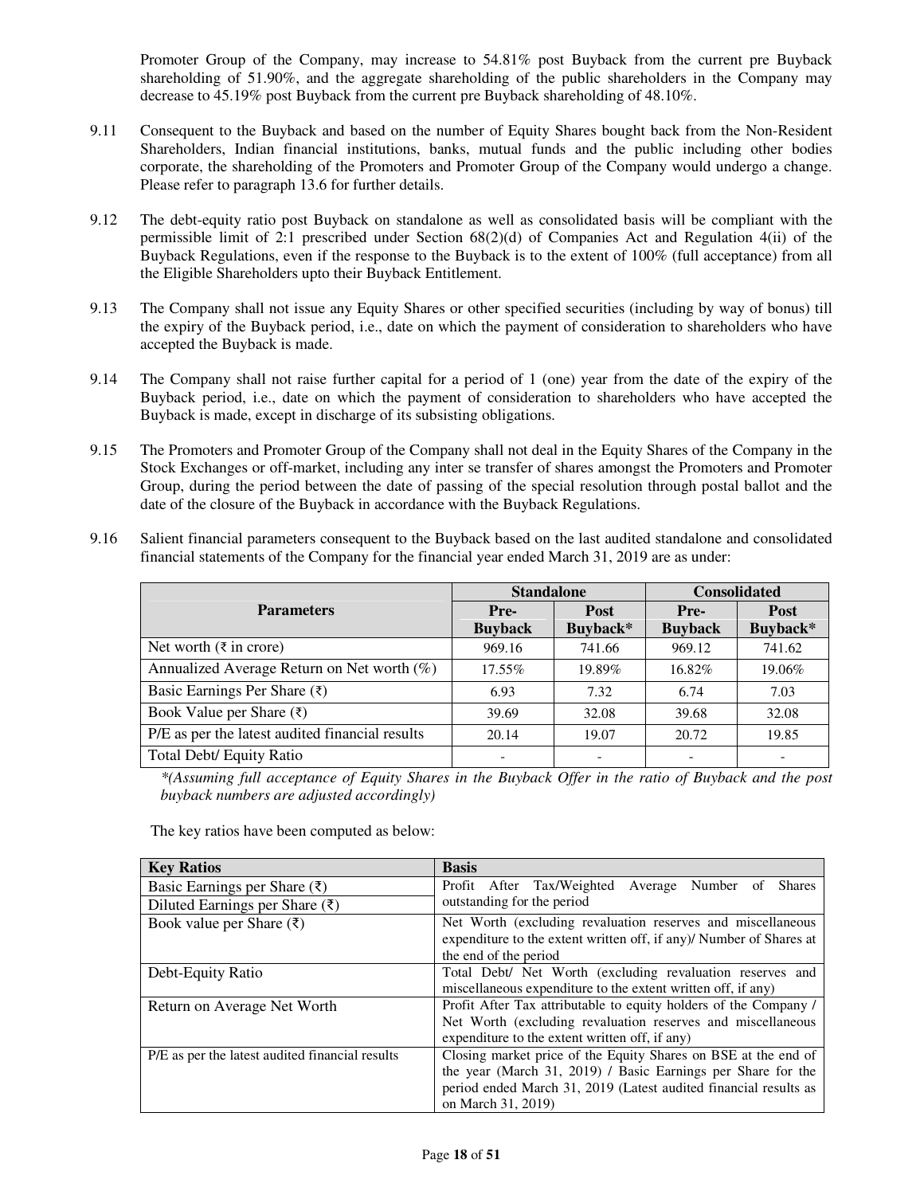Promoter Group of the Company, may increase to 54.81% post Buyback from the current pre Buyback shareholding of 51.90%, and the aggregate shareholding of the public shareholders in the Company may decrease to 45.19% post Buyback from the current pre Buyback shareholding of 48.10%.

- 9.11 Consequent to the Buyback and based on the number of Equity Shares bought back from the Non-Resident Shareholders, Indian financial institutions, banks, mutual funds and the public including other bodies corporate, the shareholding of the Promoters and Promoter Group of the Company would undergo a change. Please refer to paragraph 13.6 for further details.
- 9.12 The debt-equity ratio post Buyback on standalone as well as consolidated basis will be compliant with the permissible limit of 2:1 prescribed under Section 68(2)(d) of Companies Act and Regulation 4(ii) of the Buyback Regulations, even if the response to the Buyback is to the extent of 100% (full acceptance) from all the Eligible Shareholders upto their Buyback Entitlement.
- 9.13 The Company shall not issue any Equity Shares or other specified securities (including by way of bonus) till the expiry of the Buyback period, i.e., date on which the payment of consideration to shareholders who have accepted the Buyback is made.
- 9.14 The Company shall not raise further capital for a period of 1 (one) year from the date of the expiry of the Buyback period, i.e., date on which the payment of consideration to shareholders who have accepted the Buyback is made, except in discharge of its subsisting obligations.
- 9.15 The Promoters and Promoter Group of the Company shall not deal in the Equity Shares of the Company in the Stock Exchanges or off-market, including any inter se transfer of shares amongst the Promoters and Promoter Group, during the period between the date of passing of the special resolution through postal ballot and the date of the closure of the Buyback in accordance with the Buyback Regulations.
- 9.16 Salient financial parameters consequent to the Buyback based on the last audited standalone and consolidated financial statements of the Company for the financial year ended March 31, 2019 are as under:

|                                                 | <b>Standalone</b>      |                         | <b>Consolidated</b>    |                         |
|-------------------------------------------------|------------------------|-------------------------|------------------------|-------------------------|
| <b>Parameters</b>                               | Pre-<br><b>Buyback</b> | <b>Post</b><br>Buyback* | Pre-<br><b>Buyback</b> | <b>Post</b><br>Buyback* |
| Net worth $(\bar{\tau}$ in crore)               | 969.16                 | 741.66                  | 969.12                 | 741.62                  |
| Annualized Average Return on Net worth $(\%)$   | $17.55\%$              | 19.89%                  | 16.82%                 | 19.06%                  |
| Basic Earnings Per Share $(\bar{\tau})$         | 6.93                   | 7.32                    | 6.74                   | 7.03                    |
| Book Value per Share $(\bar{\tau})$             | 39.69                  | 32.08                   | 39.68                  | 32.08                   |
| P/E as per the latest audited financial results | 20.14                  | 19.07                   | 20.72                  | 19.85                   |
| Total Debt/ Equity Ratio                        |                        |                         |                        |                         |

*\*(Assuming full acceptance of Equity Shares in the Buyback Offer in the ratio of Buyback and the post buyback numbers are adjusted accordingly)* 

The key ratios have been computed as below:

| <b>Key Ratios</b>                               | <b>Basis</b>                                                        |  |  |  |  |  |
|-------------------------------------------------|---------------------------------------------------------------------|--|--|--|--|--|
| Basic Earnings per Share $(\bar{\zeta})$        | Profit After Tax/Weighted<br>Number of<br>Average<br><b>Shares</b>  |  |  |  |  |  |
| Diluted Earnings per Share $(\bar{\zeta})$      | outstanding for the period                                          |  |  |  |  |  |
| Book value per Share $(\bar{\zeta})$            | Net Worth (excluding revaluation reserves and miscellaneous         |  |  |  |  |  |
|                                                 | expenditure to the extent written off, if any)/ Number of Shares at |  |  |  |  |  |
|                                                 | the end of the period                                               |  |  |  |  |  |
| Debt-Equity Ratio                               | Total Debt/ Net Worth (excluding revaluation reserves and           |  |  |  |  |  |
|                                                 | miscellaneous expenditure to the extent written off, if any)        |  |  |  |  |  |
| Return on Average Net Worth                     | Profit After Tax attributable to equity holders of the Company /    |  |  |  |  |  |
|                                                 | Net Worth (excluding revaluation reserves and miscellaneous         |  |  |  |  |  |
|                                                 | expenditure to the extent written off, if any)                      |  |  |  |  |  |
| P/E as per the latest audited financial results | Closing market price of the Equity Shares on BSE at the end of      |  |  |  |  |  |
|                                                 | the year (March 31, 2019) / Basic Earnings per Share for the        |  |  |  |  |  |
|                                                 | period ended March 31, 2019 (Latest audited financial results as    |  |  |  |  |  |
|                                                 | on March 31, 2019)                                                  |  |  |  |  |  |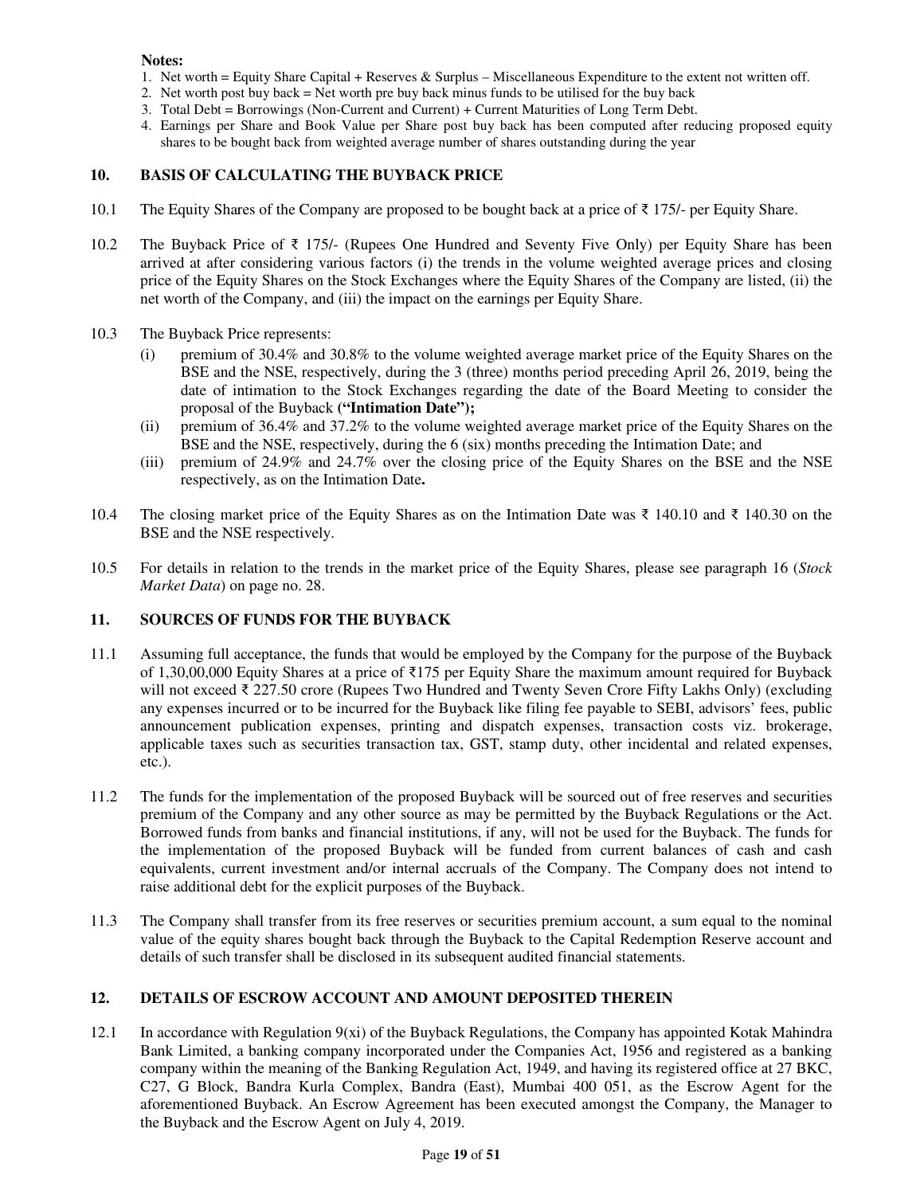- 1. Net worth = Equity Share Capital + Reserves & Surplus Miscellaneous Expenditure to the extent not written off.
- 2. Net worth post buy back = Net worth pre buy back minus funds to be utilised for the buy back
- 3. Total Debt = Borrowings (Non-Current and Current) + Current Maturities of Long Term Debt.
- 4. Earnings per Share and Book Value per Share post buy back has been computed after reducing proposed equity shares to be bought back from weighted average number of shares outstanding during the year

## **10. BASIS OF CALCULATING THE BUYBACK PRICE**

- 10.1 The Equity Shares of the Company are proposed to be bought back at a price of ₹ 175/- per Equity Share.
- 10.2 The Buyback Price of ₹ 175/- (Rupees One Hundred and Seventy Five Only) per Equity Share has been arrived at after considering various factors (i) the trends in the volume weighted average prices and closing price of the Equity Shares on the Stock Exchanges where the Equity Shares of the Company are listed, (ii) the net worth of the Company, and (iii) the impact on the earnings per Equity Share.
- 10.3 The Buyback Price represents:
	- (i) premium of 30.4% and 30.8% to the volume weighted average market price of the Equity Shares on the BSE and the NSE, respectively, during the 3 (three) months period preceding April 26, 2019, being the date of intimation to the Stock Exchanges regarding the date of the Board Meeting to consider the proposal of the Buyback **("Intimation Date");**
	- (ii) premium of 36.4% and 37.2% to the volume weighted average market price of the Equity Shares on the BSE and the NSE, respectively, during the 6 (six) months preceding the Intimation Date; and
	- (iii) premium of 24.9% and 24.7% over the closing price of the Equity Shares on the BSE and the NSE respectively, as on the Intimation Date**.**
- 10.4 The closing market price of the Equity Shares as on the Intimation Date was ₹ 140.10 and ₹ 140.30 on the BSE and the NSE respectively.
- 10.5 For details in relation to the trends in the market price of the Equity Shares, please see paragraph 16 (*Stock Market Data*) on page no. 28.

## **11. SOURCES OF FUNDS FOR THE BUYBACK**

- 11.1 Assuming full acceptance, the funds that would be employed by the Company for the purpose of the Buyback of 1,30,00,000 Equity Shares at a price of ₹175 per Equity Share the maximum amount required for Buyback will not exceed ₹ 227.50 crore (Rupees Two Hundred and Twenty Seven Crore Fifty Lakhs Only) (excluding any expenses incurred or to be incurred for the Buyback like filing fee payable to SEBI, advisors' fees, public announcement publication expenses, printing and dispatch expenses, transaction costs viz. brokerage, applicable taxes such as securities transaction tax, GST, stamp duty, other incidental and related expenses, etc.).
- 11.2 The funds for the implementation of the proposed Buyback will be sourced out of free reserves and securities premium of the Company and any other source as may be permitted by the Buyback Regulations or the Act. Borrowed funds from banks and financial institutions, if any, will not be used for the Buyback. The funds for the implementation of the proposed Buyback will be funded from current balances of cash and cash equivalents, current investment and/or internal accruals of the Company. The Company does not intend to raise additional debt for the explicit purposes of the Buyback.
- 11.3 The Company shall transfer from its free reserves or securities premium account, a sum equal to the nominal value of the equity shares bought back through the Buyback to the Capital Redemption Reserve account and details of such transfer shall be disclosed in its subsequent audited financial statements.

## **12. DETAILS OF ESCROW ACCOUNT AND AMOUNT DEPOSITED THEREIN**

12.1 In accordance with Regulation 9(xi) of the Buyback Regulations, the Company has appointed Kotak Mahindra Bank Limited, a banking company incorporated under the Companies Act, 1956 and registered as a banking company within the meaning of the Banking Regulation Act, 1949, and having its registered office at 27 BKC, C27, G Block, Bandra Kurla Complex, Bandra (East), Mumbai 400 051, as the Escrow Agent for the aforementioned Buyback. An Escrow Agreement has been executed amongst the Company, the Manager to the Buyback and the Escrow Agent on July 4, 2019.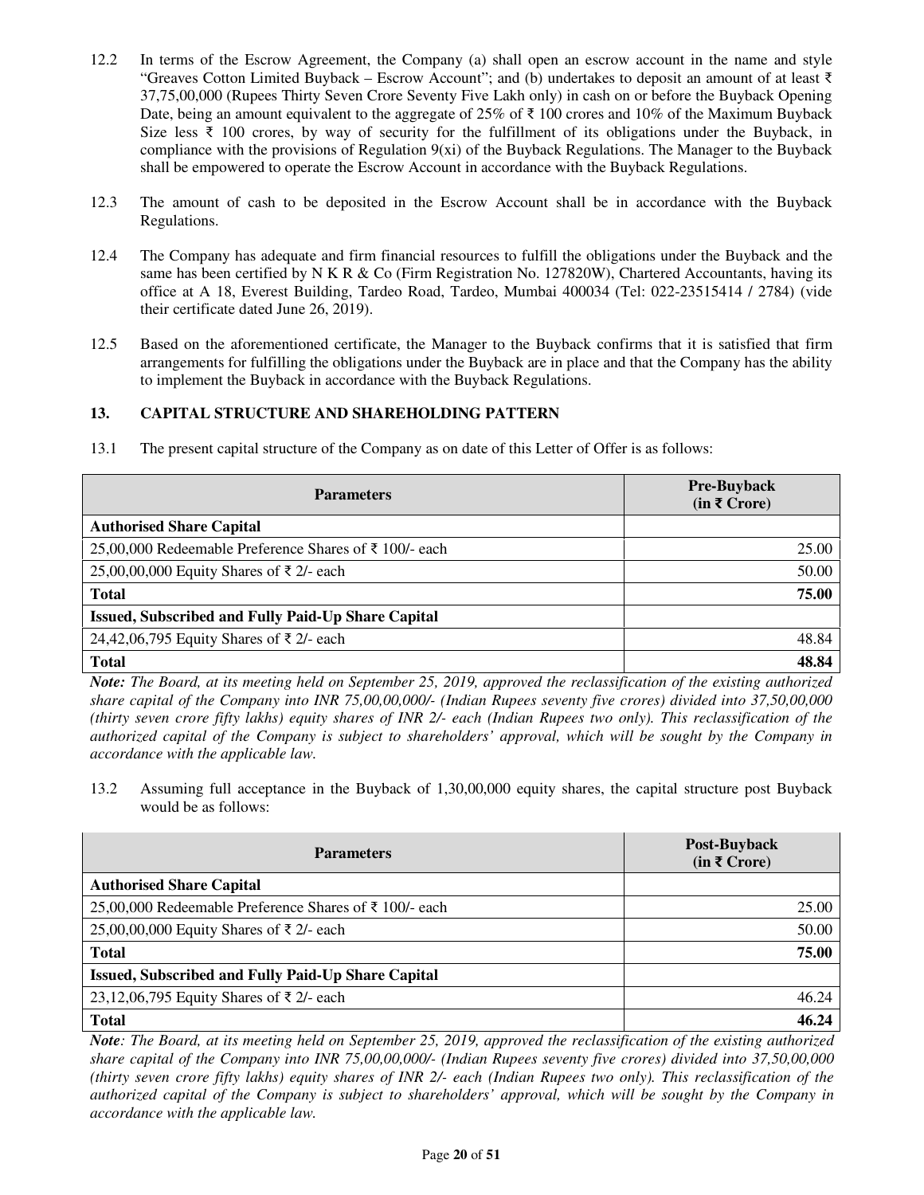- 12.2 In terms of the Escrow Agreement, the Company (a) shall open an escrow account in the name and style "Greaves Cotton Limited Buyback – Escrow Account"; and (b) undertakes to deposit an amount of at least ₹ 37,75,00,000 (Rupees Thirty Seven Crore Seventy Five Lakh only) in cash on or before the Buyback Opening Date, being an amount equivalent to the aggregate of 25% of ₹ 100 crores and 10% of the Maximum Buyback Size less ₹ 100 crores, by way of security for the fulfillment of its obligations under the Buyback, in compliance with the provisions of Regulation  $9(xi)$  of the Buyback Regulations. The Manager to the Buyback shall be empowered to operate the Escrow Account in accordance with the Buyback Regulations.
- 12.3 The amount of cash to be deposited in the Escrow Account shall be in accordance with the Buyback Regulations.
- 12.4 The Company has adequate and firm financial resources to fulfill the obligations under the Buyback and the same has been certified by N K R & Co (Firm Registration No. 127820W), Chartered Accountants, having its office at A 18, Everest Building, Tardeo Road, Tardeo, Mumbai 400034 (Tel: 022-23515414 / 2784) (vide their certificate dated June 26, 2019).
- 12.5 Based on the aforementioned certificate, the Manager to the Buyback confirms that it is satisfied that firm arrangements for fulfilling the obligations under the Buyback are in place and that the Company has the ability to implement the Buyback in accordance with the Buyback Regulations.

## **13. CAPITAL STRUCTURE AND SHAREHOLDING PATTERN**

| <b>Parameters</b>                                         | <b>Pre-Buyback</b><br>$(in \xi Crore)$ |
|-----------------------------------------------------------|----------------------------------------|
| <b>Authorised Share Capital</b>                           |                                        |
| 25,00,000 Redeemable Preference Shares of ₹ 100/- each    | 25.00                                  |
| 25,00,00,000 Equity Shares of ₹ 2/- each                  | 50.00                                  |
| <b>Total</b>                                              | 75.00                                  |
| <b>Issued, Subscribed and Fully Paid-Up Share Capital</b> |                                        |
| 24,42,06,795 Equity Shares of ₹ 2/- each                  | 48.84                                  |
| <b>Total</b>                                              | 48.84                                  |

13.1 The present capital structure of the Company as on date of this Letter of Offer is as follows:

*Note: The Board, at its meeting held on September 25, 2019, approved the reclassification of the existing authorized share capital of the Company into INR 75,00,00,000/- (Indian Rupees seventy five crores) divided into 37,50,00,000 (thirty seven crore fifty lakhs) equity shares of INR 2/- each (Indian Rupees two only). This reclassification of the authorized capital of the Company is subject to shareholders' approval, which will be sought by the Company in accordance with the applicable law.* 

13.2 Assuming full acceptance in the Buyback of 1,30,00,000 equity shares, the capital structure post Buyback would be as follows:

| <b>Parameters</b>                                         | Post-Buyback<br>$(in \, \bar{\mathbf{\mathsf{z}}}\, \text{Core})$ |
|-----------------------------------------------------------|-------------------------------------------------------------------|
| <b>Authorised Share Capital</b>                           |                                                                   |
| 25,00,000 Redeemable Preference Shares of ₹ 100/- each    | 25.00                                                             |
| 25,00,00,000 Equity Shares of ₹ 2/- each                  | 50.00                                                             |
| <b>Total</b>                                              | 75.00                                                             |
| <b>Issued, Subscribed and Fully Paid-Up Share Capital</b> |                                                                   |
| 23,12,06,795 Equity Shares of ₹2/- each                   | 46.24                                                             |
| <b>Total</b>                                              | 46.24                                                             |

*Note: The Board, at its meeting held on September 25, 2019, approved the reclassification of the existing authorized share capital of the Company into INR 75,00,00,000/- (Indian Rupees seventy five crores) divided into 37,50,00,000 (thirty seven crore fifty lakhs) equity shares of INR 2/- each (Indian Rupees two only). This reclassification of the authorized capital of the Company is subject to shareholders' approval, which will be sought by the Company in accordance with the applicable law.*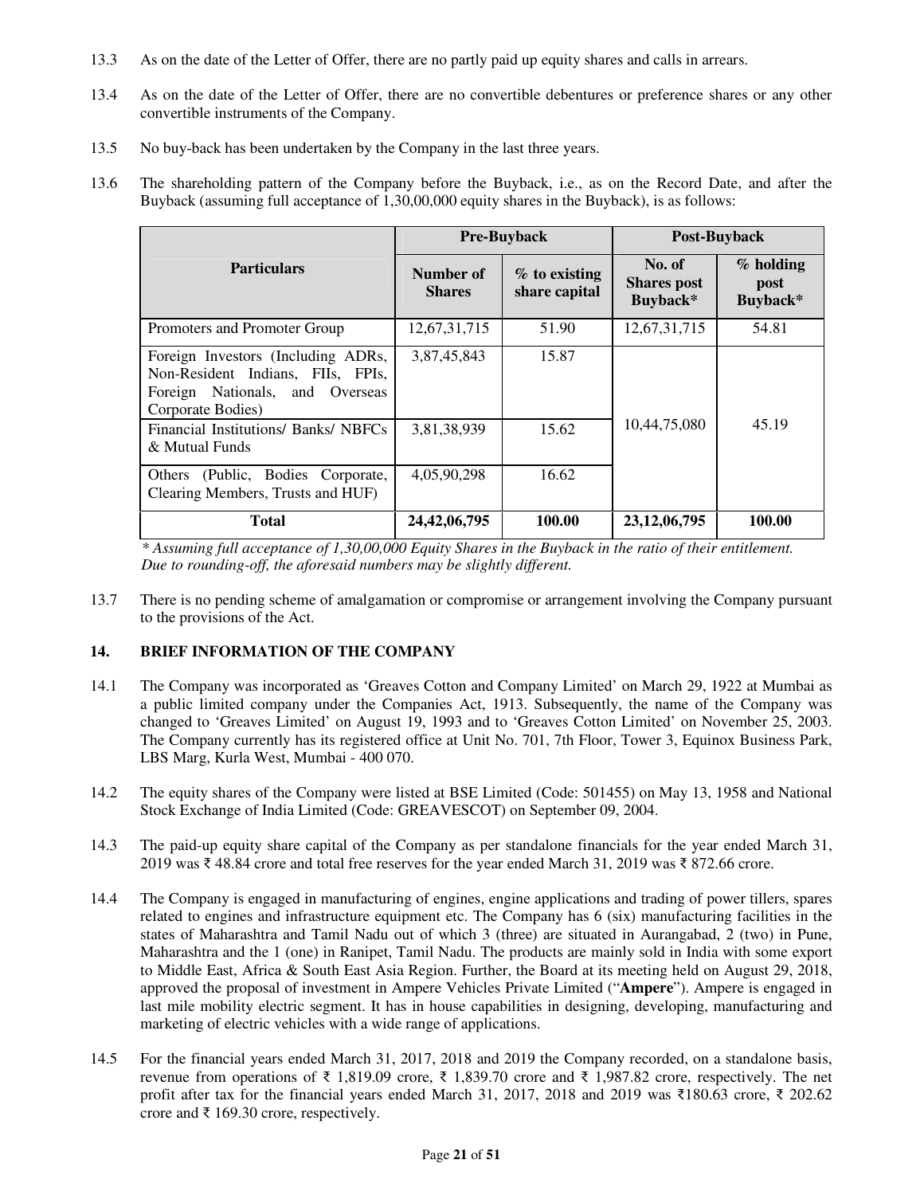- 13.3 As on the date of the Letter of Offer, there are no partly paid up equity shares and calls in arrears.
- 13.4 As on the date of the Letter of Offer, there are no convertible debentures or preference shares or any other convertible instruments of the Company.
- 13.5 No buy-back has been undertaken by the Company in the last three years.
- 13.6 The shareholding pattern of the Company before the Buyback, i.e., as on the Record Date, and after the Buyback (assuming full acceptance of 1,30,00,000 equity shares in the Buyback), is as follows:

|                                                                                                                                 |                            | <b>Pre-Buyback</b>               |                                          | Post-Buyback                    |  |
|---------------------------------------------------------------------------------------------------------------------------------|----------------------------|----------------------------------|------------------------------------------|---------------------------------|--|
| <b>Particulars</b>                                                                                                              | Number of<br><b>Shares</b> | $%$ to existing<br>share capital | No. of<br><b>Shares</b> post<br>Buyback* | $%$ holding<br>post<br>Buyback* |  |
| Promoters and Promoter Group                                                                                                    | 12,67,31,715               | 51.90                            | 12,67,31,715                             | 54.81                           |  |
| Foreign Investors (Including ADRs,<br>Non-Resident Indians, FIIs, FPIs,<br>Foreign Nationals, and Overseas<br>Corporate Bodies) | 3,87,45,843                | 15.87                            |                                          |                                 |  |
| Financial Institutions/ Banks/ NBFCs<br>& Mutual Funds                                                                          | 3,81,38,939                | 15.62                            | 10,44,75,080                             | 45.19                           |  |
| (Public, Bodies Corporate,<br>Others<br>Clearing Members, Trusts and HUF)                                                       | 4,05,90,298                | 16.62                            |                                          |                                 |  |
| <b>Total</b>                                                                                                                    | 24, 42, 06, 795            | 100.00                           | 23, 12, 06, 795                          | 100.00                          |  |

*\* Assuming full acceptance of 1,30,00,000 Equity Shares in the Buyback in the ratio of their entitlement. Due to rounding-off, the aforesaid numbers may be slightly different.* 

13.7 There is no pending scheme of amalgamation or compromise or arrangement involving the Company pursuant to the provisions of the Act.

## **14. BRIEF INFORMATION OF THE COMPANY**

- 14.1 The Company was incorporated as 'Greaves Cotton and Company Limited' on March 29, 1922 at Mumbai as a public limited company under the Companies Act, 1913. Subsequently, the name of the Company was changed to 'Greaves Limited' on August 19, 1993 and to 'Greaves Cotton Limited' on November 25, 2003. The Company currently has its registered office at Unit No. 701, 7th Floor, Tower 3, Equinox Business Park, LBS Marg, Kurla West, Mumbai - 400 070.
- 14.2 The equity shares of the Company were listed at BSE Limited (Code: 501455) on May 13, 1958 and National Stock Exchange of India Limited (Code: GREAVESCOT) on September 09, 2004.
- 14.3 The paid-up equity share capital of the Company as per standalone financials for the year ended March 31, 2019 was ₹ 48.84 crore and total free reserves for the year ended March 31, 2019 was ₹ 872.66 crore.
- 14.4 The Company is engaged in manufacturing of engines, engine applications and trading of power tillers, spares related to engines and infrastructure equipment etc. The Company has 6 (six) manufacturing facilities in the states of Maharashtra and Tamil Nadu out of which 3 (three) are situated in Aurangabad, 2 (two) in Pune, Maharashtra and the 1 (one) in Ranipet, Tamil Nadu. The products are mainly sold in India with some export to Middle East, Africa & South East Asia Region. Further, the Board at its meeting held on August 29, 2018, approved the proposal of investment in Ampere Vehicles Private Limited ("**Ampere**"). Ampere is engaged in last mile mobility electric segment. It has in house capabilities in designing, developing, manufacturing and marketing of electric vehicles with a wide range of applications.
- 14.5 For the financial years ended March 31, 2017, 2018 and 2019 the Company recorded, on a standalone basis, revenue from operations of ₹ 1,819.09 crore, ₹ 1,839.70 crore and ₹ 1,987.82 crore, respectively. The net profit after tax for the financial years ended March 31, 2017, 2018 and 2019 was ₹180.63 crore, ₹ 202.62 crore and  $\bar{\tau}$  169.30 crore, respectively.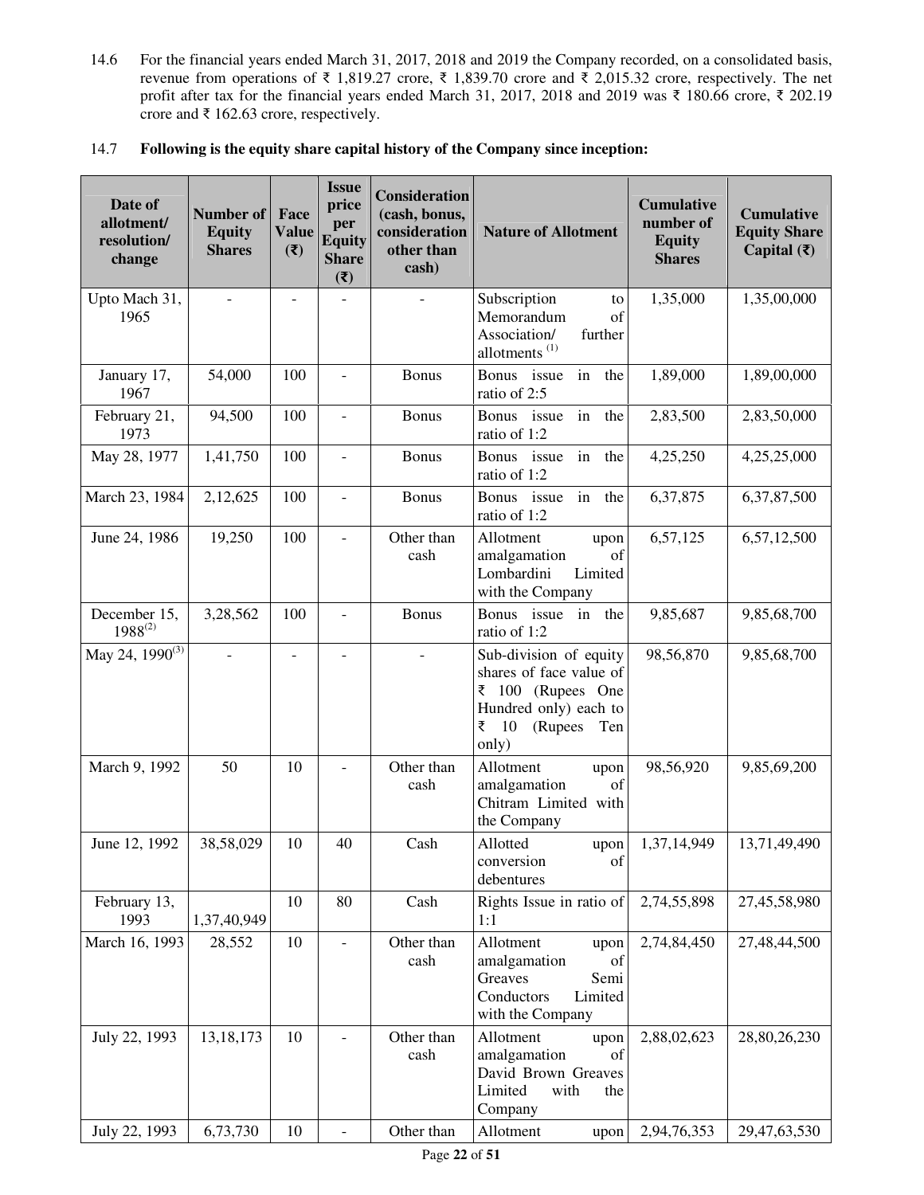14.6 For the financial years ended March 31, 2017, 2018 and 2019 the Company recorded, on a consolidated basis, revenue from operations of ₹ 1,819.27 crore, ₹ 1,839.70 crore and ₹ 2,015.32 crore, respectively. The net profit after tax for the financial years ended March 31, 2017, 2018 and 2019 was ₹ 180.66 crore, ₹ 202.19 crore and ₹ 162.63 crore, respectively.

## 14.7 **Following is the equity share capital history of the Company since inception:**

| Date of<br>allotment/<br>resolution/<br>change | Number of<br><b>Equity</b><br><b>Shares</b> | Face<br><b>Value</b><br>$(\overline{\mathbf{z}})$ | <b>Issue</b><br>price<br>per<br><b>Equity</b><br><b>Share</b><br>(3) | <b>Consideration</b><br>(cash, bonus,<br>consideration<br>other than<br>cash) | <b>Nature of Allotment</b>                                                                                                                           | <b>Cumulative</b><br>number of<br><b>Equity</b><br><b>Shares</b> | <b>Cumulative</b><br><b>Equity Share</b><br>Capital $(\bar{\mathbf{\mathsf{z}}})$ |
|------------------------------------------------|---------------------------------------------|---------------------------------------------------|----------------------------------------------------------------------|-------------------------------------------------------------------------------|------------------------------------------------------------------------------------------------------------------------------------------------------|------------------------------------------------------------------|-----------------------------------------------------------------------------------|
| Upto Mach 31,<br>1965                          | $\overline{a}$                              | $\overline{\phantom{a}}$                          |                                                                      |                                                                               | Subscription<br>to<br>Memorandum<br>of<br>Association/<br>further<br>allotments <sup>(1)</sup>                                                       | 1,35,000                                                         | 1,35,00,000                                                                       |
| January 17,<br>1967                            | 54,000                                      | 100                                               | $\overline{\phantom{a}}$                                             | <b>Bonus</b>                                                                  | <b>Bonus</b><br>issue<br>in<br>the<br>ratio of 2:5                                                                                                   | 1,89,000                                                         | 1,89,00,000                                                                       |
| February 21,<br>1973                           | 94,500                                      | 100                                               | $\overline{\phantom{a}}$                                             | <b>Bonus</b>                                                                  | <b>Bonus</b><br>issue<br>in<br>the<br>ratio of 1:2                                                                                                   | 2,83,500                                                         | 2,83,50,000                                                                       |
| May 28, 1977                                   | 1,41,750                                    | 100                                               | $\overline{\phantom{a}}$                                             | <b>Bonus</b>                                                                  | issue<br><b>Bonus</b><br>in<br>the<br>ratio of 1:2                                                                                                   | 4,25,250                                                         | 4,25,25,000                                                                       |
| March 23, 1984                                 | 2,12,625                                    | 100                                               | $\overline{\phantom{a}}$                                             | <b>Bonus</b>                                                                  | in<br><b>Bonus</b><br>issue<br>the<br>ratio of 1:2                                                                                                   | 6,37,875                                                         | 6,37,87,500                                                                       |
| June 24, 1986                                  | 19,250                                      | 100                                               | $\overline{\phantom{a}}$                                             | Other than<br>cash                                                            | Allotment<br>upon<br>of<br>amalgamation<br>Lombardini<br>Limited<br>with the Company                                                                 | 6,57,125                                                         | 6,57,12,500                                                                       |
| December 15,<br>$1988^{(2)}$                   | 3,28,562                                    | 100                                               | $\blacksquare$                                                       | <b>Bonus</b>                                                                  | Bonus issue<br>in<br>the<br>ratio of 1:2                                                                                                             | 9,85,687                                                         | 9,85,68,700                                                                       |
| May 24, 1990 <sup>(3)</sup>                    |                                             | $\overline{\phantom{a}}$                          |                                                                      |                                                                               | Sub-division of equity<br>shares of face value of<br>$\overline{\xi}$ 100 (Rupees One<br>Hundred only) each to<br>₹<br>10<br>(Rupees<br>Ten<br>only) | 98,56,870                                                        | 9,85,68,700                                                                       |
| March 9, 1992                                  | 50                                          | 10                                                |                                                                      | Other than<br>cash                                                            | Allotment<br>upon<br>amalgamation<br>of<br>Chitram Limited with<br>the Company                                                                       | 98,56,920                                                        | 9,85,69,200                                                                       |
| June 12, 1992                                  | 38,58,029                                   | 10                                                | 40                                                                   | Cash                                                                          | Allotted<br>upon<br>conversion<br>of<br>debentures                                                                                                   | 1,37,14,949                                                      | 13,71,49,490                                                                      |
| February 13,<br>1993                           | 1,37,40,949                                 | 10                                                | 80                                                                   | Cash                                                                          | Rights Issue in ratio of<br>1:1                                                                                                                      | 2,74,55,898                                                      | 27,45,58,980                                                                      |
| March 16, 1993                                 | 28,552                                      | 10                                                | $\overline{\phantom{a}}$                                             | Other than<br>cash                                                            | Allotment<br>upon<br>amalgamation<br>of<br>Greaves<br>Semi<br>Conductors<br>Limited<br>with the Company                                              | 2,74,84,450                                                      | 27,48,44,500                                                                      |
| July 22, 1993                                  | 13, 18, 173                                 | 10                                                | $\overline{\phantom{a}}$                                             | Other than<br>cash                                                            | Allotment<br>upon<br>amalgamation<br>of<br>David Brown Greaves<br>Limited<br>with<br>the<br>Company                                                  | 2,88,02,623                                                      | 28,80,26,230                                                                      |
| July 22, 1993                                  | 6,73,730                                    | 10                                                | $\overline{\phantom{a}}$                                             | Other than                                                                    | Allotment<br>upon                                                                                                                                    | 2,94,76,353                                                      | 29,47,63,530                                                                      |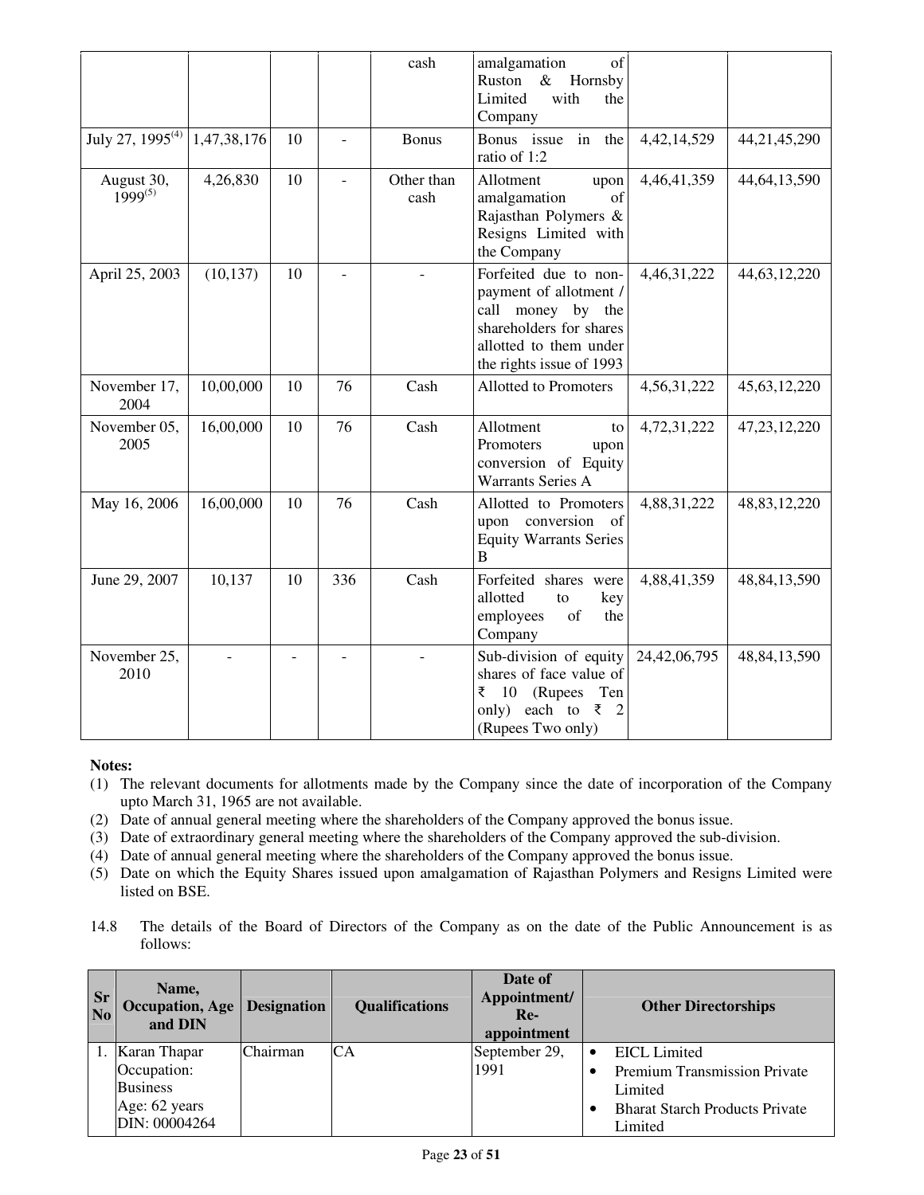|                              |             |    |                          | cash               | amalgamation<br>of<br>Ruston<br>Hornsby<br>$\&$<br>Limited<br>with<br>the<br>Company                                                                  |                |                 |
|------------------------------|-------------|----|--------------------------|--------------------|-------------------------------------------------------------------------------------------------------------------------------------------------------|----------------|-----------------|
| July 27, 1995 <sup>(4)</sup> | 1,47,38,176 | 10 | $\overline{a}$           | <b>Bonus</b>       | Bonus issue in<br>the<br>ratio of 1:2                                                                                                                 | 4, 42, 14, 529 | 44, 21, 45, 290 |
| August 30,<br>$1999^{(5)}$   | 4,26,830    | 10 | $\overline{\phantom{a}}$ | Other than<br>cash | Allotment<br>upon<br>amalgamation<br>of<br>Rajasthan Polymers &<br>Resigns Limited with<br>the Company                                                | 4,46,41,359    | 44, 64, 13, 590 |
| April 25, 2003               | (10, 137)   | 10 | $\blacksquare$           |                    | Forfeited due to non-<br>payment of allotment /<br>call money by the<br>shareholders for shares<br>allotted to them under<br>the rights issue of 1993 | 4,46,31,222    | 44, 63, 12, 220 |
| November 17,<br>2004         | 10,00,000   | 10 | 76                       | Cash               | <b>Allotted to Promoters</b>                                                                                                                          | 4,56,31,222    | 45, 63, 12, 220 |
| November 05,<br>2005         | 16,00,000   | 10 | 76                       | Cash               | Allotment<br>to<br>Promoters<br>upon<br>conversion of Equity<br><b>Warrants Series A</b>                                                              | 4,72,31,222    | 47, 23, 12, 220 |
| May 16, 2006                 | 16,00,000   | 10 | 76                       | Cash               | Allotted to Promoters<br>upon conversion<br>- of<br><b>Equity Warrants Series</b><br>B                                                                | 4,88,31,222    | 48,83,12,220    |
| June 29, 2007                | 10,137      | 10 | 336                      | Cash               | Forfeited shares were<br>allotted<br>key<br>to<br>employees<br>of<br>the<br>Company                                                                   | 4,88,41,359    | 48, 84, 13, 590 |
| November 25,<br>2010         |             |    |                          |                    | Sub-division of equity<br>shares of face value of<br>₹ 10 (Rupees Ten<br>only) each to $\overline{\zeta}$ 2<br>(Rupees Two only)                      | 24,42,06,795   | 48, 84, 13, 590 |

- (1) The relevant documents for allotments made by the Company since the date of incorporation of the Company upto March 31, 1965 are not available.
- (2) Date of annual general meeting where the shareholders of the Company approved the bonus issue.
- (3) Date of extraordinary general meeting where the shareholders of the Company approved the sub-division.
- (4) Date of annual general meeting where the shareholders of the Company approved the bonus issue.
- (5) Date on which the Equity Shares issued upon amalgamation of Rajasthan Polymers and Resigns Limited were listed on BSE.
- 14.8 The details of the Board of Directors of the Company as on the date of the Public Announcement is as follows:

| <b>Sr</b><br>N <sub>0</sub> | Name,<br><b>Occupation, Age   Designation</b><br>and DIN |          | <b>Qualifications</b> | Date of<br>Appointment/<br>$Re-$<br>appointment | <b>Other Directorships</b>            |
|-----------------------------|----------------------------------------------------------|----------|-----------------------|-------------------------------------------------|---------------------------------------|
|                             | 1. Karan Thapar                                          | Chairman | CA                    | September 29,                                   | EICL Limited                          |
|                             | Occupation:                                              |          |                       | 1991                                            | <b>Premium Transmission Private</b>   |
|                             | <b>Business</b>                                          |          |                       |                                                 | Limited                               |
|                             | Age: 62 years                                            |          |                       |                                                 | <b>Bharat Starch Products Private</b> |
|                             | DIN: 00004264                                            |          |                       |                                                 | Limited                               |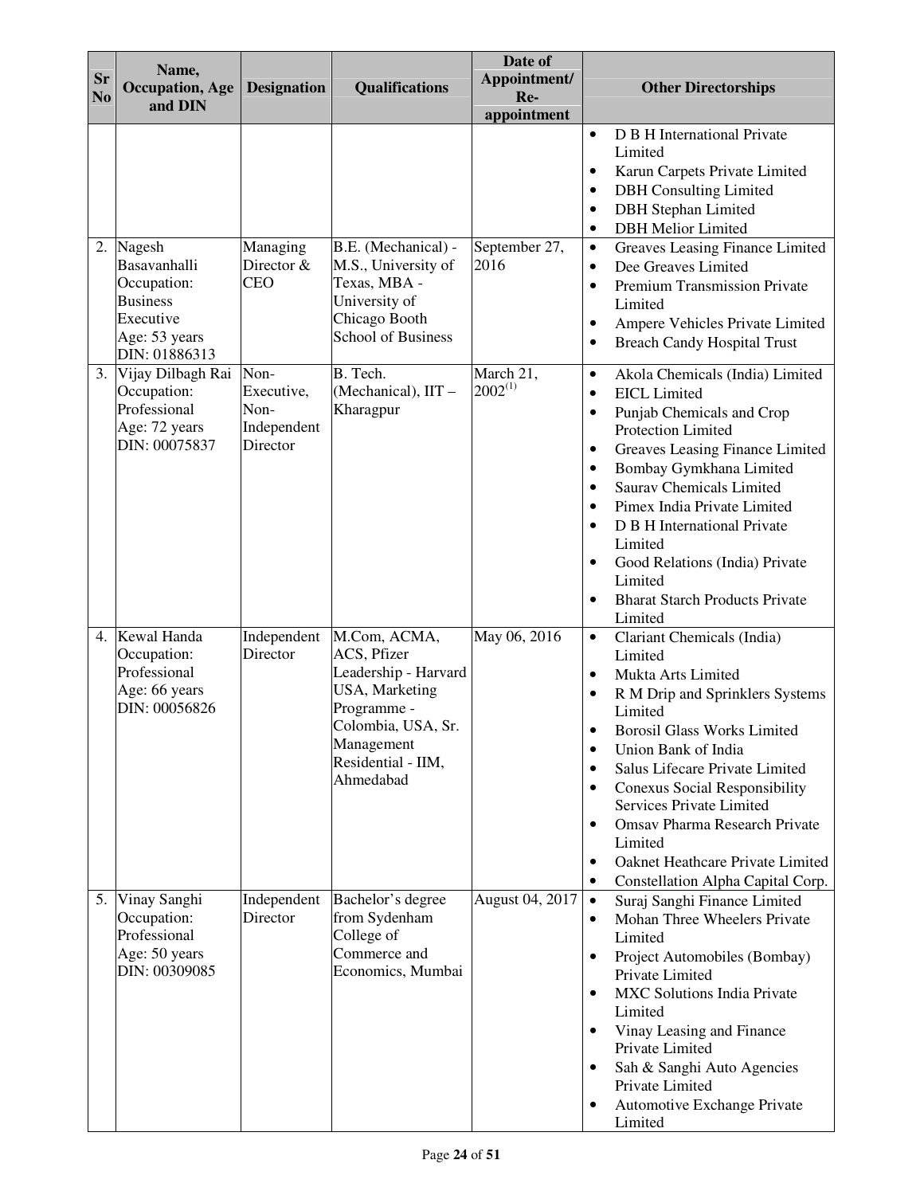| <b>Sr</b><br>N <sub>0</sub> | Name,<br><b>Occupation</b> , Age<br>and DIN                                                                | <b>Designation</b>                                    | <b>Qualifications</b>                                                                                                                                       | Date of<br>Appointment/<br>Re-<br>appointment | <b>Other Directorships</b>                                                                                                                                                                                                                                                                                                                                                                                                                                                                                                           |
|-----------------------------|------------------------------------------------------------------------------------------------------------|-------------------------------------------------------|-------------------------------------------------------------------------------------------------------------------------------------------------------------|-----------------------------------------------|--------------------------------------------------------------------------------------------------------------------------------------------------------------------------------------------------------------------------------------------------------------------------------------------------------------------------------------------------------------------------------------------------------------------------------------------------------------------------------------------------------------------------------------|
|                             |                                                                                                            |                                                       |                                                                                                                                                             |                                               | D B H International Private<br>$\bullet$<br>Limited<br>Karun Carpets Private Limited<br>$\bullet$<br><b>DBH</b> Consulting Limited<br>$\bullet$<br><b>DBH</b> Stephan Limited<br>$\bullet$<br><b>DBH</b> Melior Limited<br>$\bullet$                                                                                                                                                                                                                                                                                                 |
|                             | 2. Nagesh<br>Basavanhalli<br>Occupation:<br><b>Business</b><br>Executive<br>Age: 53 years<br>DIN: 01886313 | Managing<br>Director &<br><b>CEO</b>                  | B.E. (Mechanical) -<br>M.S., University of<br>Texas, MBA -<br>University of<br>Chicago Booth<br><b>School of Business</b>                                   | September 27,<br>2016                         | Greaves Leasing Finance Limited<br>$\bullet$<br>Dee Greaves Limited<br>$\bullet$<br>Premium Transmission Private<br>$\bullet$<br>Limited<br>Ampere Vehicles Private Limited<br>٠<br><b>Breach Candy Hospital Trust</b><br>$\bullet$                                                                                                                                                                                                                                                                                                  |
|                             | 3. Vijay Dilbagh Rai<br>Occupation:<br>Professional<br>Age: 72 years<br>DIN: 00075837                      | Non-<br>Executive,<br>Non-<br>Independent<br>Director | B. Tech.<br>(Mechanical), IIT -<br>Kharagpur                                                                                                                | March 21,<br>$2002^{(1)}$                     | Akola Chemicals (India) Limited<br>$\bullet$<br><b>EICL</b> Limited<br>$\bullet$<br>Punjab Chemicals and Crop<br>$\bullet$<br><b>Protection Limited</b><br>Greaves Leasing Finance Limited<br>٠<br>Bombay Gymkhana Limited<br>$\bullet$<br><b>Saurav Chemicals Limited</b><br>$\bullet$<br>Pimex India Private Limited<br>$\bullet$<br>D B H International Private<br>$\bullet$<br>Limited<br>Good Relations (India) Private<br>$\bullet$<br>Limited<br><b>Bharat Starch Products Private</b><br>$\bullet$<br>Limited                |
|                             | 4. Kewal Handa<br>Occupation:<br>Professional<br>Age: 66 years<br>DIN: 00056826                            | Independent<br>Director                               | M.Com, ACMA,<br>ACS, Pfizer<br>Leadership - Harvard<br>USA, Marketing<br>Programme -<br>Colombia, USA, Sr.<br>Management<br>Residential - IIM,<br>Ahmedabad | May 06, 2016                                  | Clariant Chemicals (India)<br>$\bullet$<br>Limited<br>Mukta Arts Limited<br>$\bullet$<br>R M Drip and Sprinklers Systems<br>$\bullet$<br>Limited<br><b>Borosil Glass Works Limited</b><br>Union Bank of India<br>$\bullet$<br>Salus Lifecare Private Limited<br>$\bullet$<br><b>Conexus Social Responsibility</b><br>$\bullet$<br><b>Services Private Limited</b><br><b>Omsav Pharma Research Private</b><br>$\bullet$<br>Limited<br>Oaknet Heathcare Private Limited<br>$\bullet$<br>Constellation Alpha Capital Corp.<br>$\bullet$ |
|                             | 5. Vinay Sanghi<br>Occupation:<br>Professional<br>Age: 50 years<br>DIN: 00309085                           | Independent<br>Director                               | Bachelor's degree<br>from Sydenham<br>College of<br>Commerce and<br>Economics, Mumbai                                                                       | August 04, 2017                               | Suraj Sanghi Finance Limited<br>$\bullet$<br>Mohan Three Wheelers Private<br>$\bullet$<br>Limited<br>Project Automobiles (Bombay)<br>$\bullet$<br>Private Limited<br><b>MXC Solutions India Private</b><br>$\bullet$<br>Limited<br>Vinay Leasing and Finance<br>$\bullet$<br>Private Limited<br>Sah & Sanghi Auto Agencies<br>$\bullet$<br>Private Limited<br>Automotive Exchange Private<br>$\bullet$<br>Limited                                                                                                                    |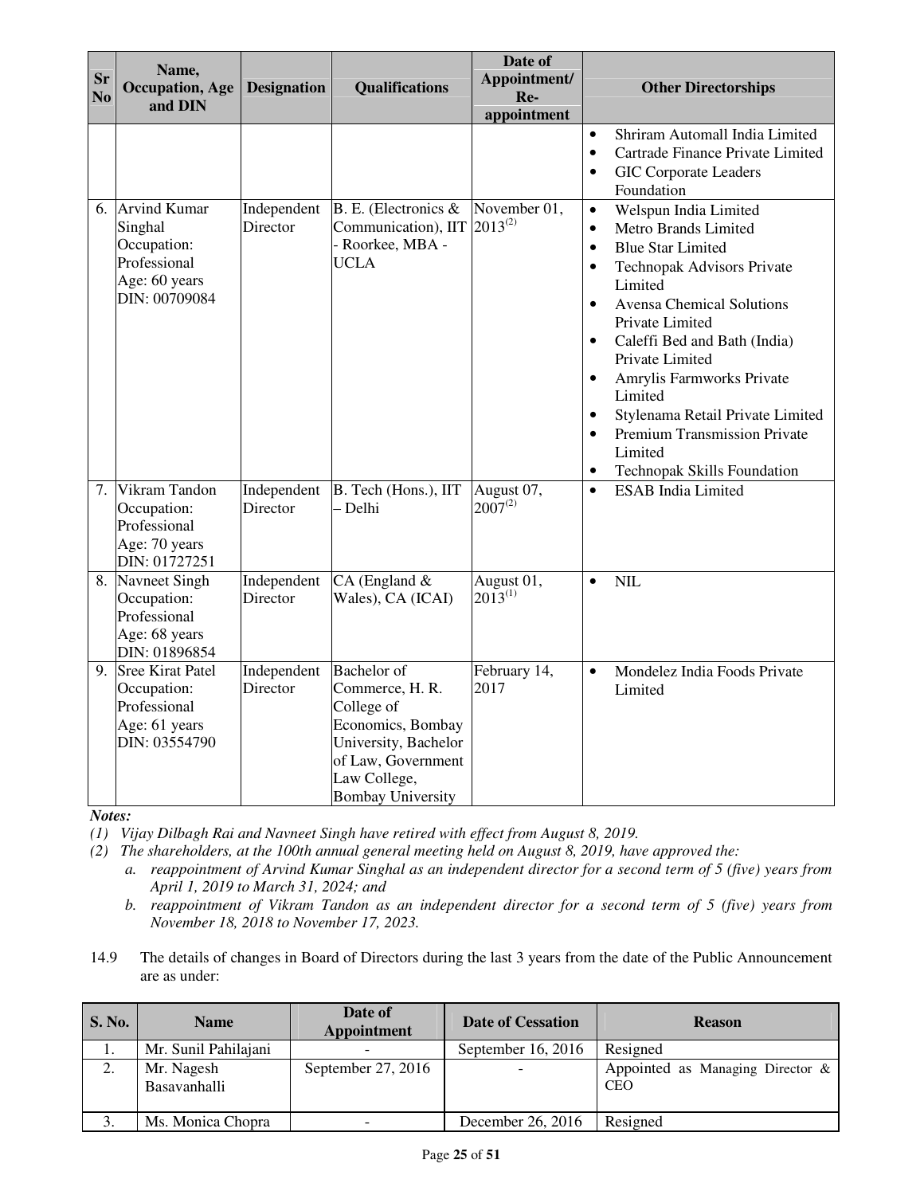| <b>Sr</b><br>N <sub>o</sub> | Name,<br><b>Occupation</b> , Age<br>and DIN                                                     | <b>Designation</b>      | <b>Qualifications</b>                                                                                                                                              | Date of<br>Appointment/<br>Re-<br>appointment | <b>Other Directorships</b>                                                                                                                                                                                                                                                                                                                                                                                                                                                                                                         |
|-----------------------------|-------------------------------------------------------------------------------------------------|-------------------------|--------------------------------------------------------------------------------------------------------------------------------------------------------------------|-----------------------------------------------|------------------------------------------------------------------------------------------------------------------------------------------------------------------------------------------------------------------------------------------------------------------------------------------------------------------------------------------------------------------------------------------------------------------------------------------------------------------------------------------------------------------------------------|
|                             |                                                                                                 |                         |                                                                                                                                                                    |                                               | Shriram Automall India Limited<br>$\bullet$<br>Cartrade Finance Private Limited<br>$\bullet$<br><b>GIC Corporate Leaders</b><br>$\bullet$<br>Foundation                                                                                                                                                                                                                                                                                                                                                                            |
| 6.                          | <b>Arvind Kumar</b><br>Singhal<br>Occupation:<br>Professional<br>Age: 60 years<br>DIN: 00709084 | Independent<br>Director | B. E. (Electronics &<br>Communication), IIT<br>- Roorkee, MBA -<br><b>UCLA</b>                                                                                     | November 01,<br>$2013^{(2)}$                  | Welspun India Limited<br>$\bullet$<br>Metro Brands Limited<br>$\bullet$<br><b>Blue Star Limited</b><br>$\bullet$<br><b>Technopak Advisors Private</b><br>$\bullet$<br>Limited<br><b>Avensa Chemical Solutions</b><br>$\bullet$<br>Private Limited<br>Caleffi Bed and Bath (India)<br>$\bullet$<br>Private Limited<br>Amrylis Farmworks Private<br>$\bullet$<br>Limited<br>Stylenama Retail Private Limited<br>$\bullet$<br><b>Premium Transmission Private</b><br>$\bullet$<br>Limited<br>Technopak Skills Foundation<br>$\bullet$ |
|                             | 7. Vikram Tandon<br>Occupation:<br>Professional<br>Age: 70 years<br>DIN: 01727251               | Independent<br>Director | B. Tech (Hons.), IIT<br>- Delhi                                                                                                                                    | August 07,<br>$2007^{(2)}$                    | <b>ESAB</b> India Limited<br>$\bullet$                                                                                                                                                                                                                                                                                                                                                                                                                                                                                             |
|                             | 8. Navneet Singh<br>Occupation:<br>Professional<br>Age: 68 years<br>DIN: 01896854               | Independent<br>Director | $CA$ (England $&$<br>Wales), CA (ICAI)                                                                                                                             | August 01,<br>$2013^{(1)}$                    | <b>NIL</b><br>$\bullet$                                                                                                                                                                                                                                                                                                                                                                                                                                                                                                            |
|                             | 9. Sree Kirat Patel<br>Occupation:<br>Professional<br>Age: 61 years<br>DIN: 03554790            | Independent<br>Director | <b>Bachelor</b> of<br>Commerce, H. R.<br>College of<br>Economics, Bombay<br>University, Bachelor<br>of Law, Government<br>Law College,<br><b>Bombay University</b> | February 14,<br>2017                          | Mondelez India Foods Private<br>$\bullet$<br>Limited                                                                                                                                                                                                                                                                                                                                                                                                                                                                               |

*(1) Vijay Dilbagh Rai and Navneet Singh have retired with effect from August 8, 2019.* 

*(2) The shareholders, at the 100th annual general meeting held on August 8, 2019, have approved the:* 

*a. reappointment of Arvind Kumar Singhal as an independent director for a second term of 5 (five) years from April 1, 2019 to March 31, 2024; and* 

*b. reappointment of Vikram Tandon as an independent director for a second term of 5 (five) years from November 18, 2018 to November 17, 2023.* 

14.9 The details of changes in Board of Directors during the last 3 years from the date of the Public Announcement are as under:

| <b>S. No.</b>   | <b>Name</b>                | Date of<br>Appointment | <b>Date of Cessation</b> | <b>Reason</b>                                  |
|-----------------|----------------------------|------------------------|--------------------------|------------------------------------------------|
|                 | Mr. Sunil Pahilajani       |                        | September 16, 2016       | Resigned                                       |
| 2.              | Mr. Nagesh<br>Basavanhalli | September $27, 2016$   |                          | Appointed as Managing Director &<br><b>CEO</b> |
| $\mathfrak{I}.$ | Ms. Monica Chopra          |                        | December 26, 2016        | Resigned                                       |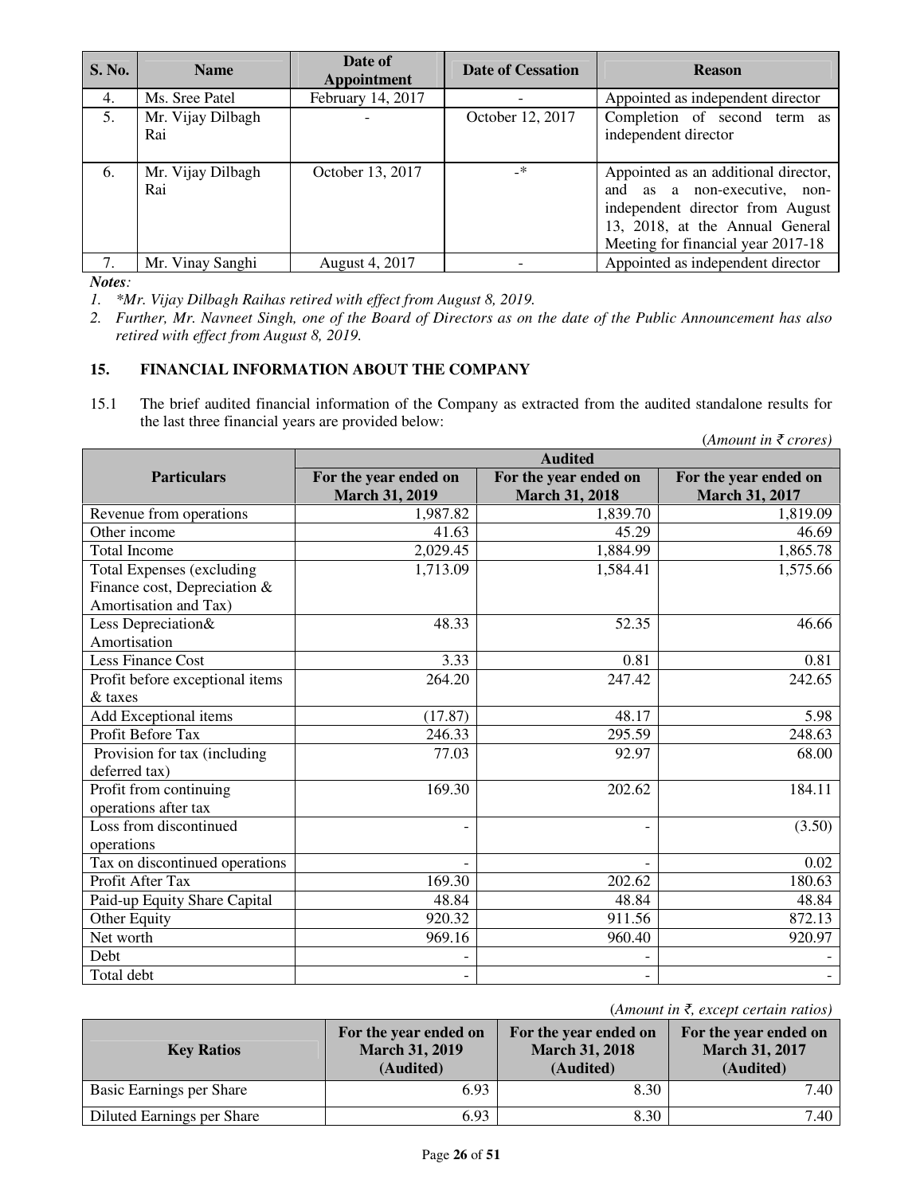| <b>S. No.</b> | <b>Name</b>              | Date of<br><b>Appointment</b> | <b>Date of Cessation</b> | <b>Reason</b>                                                                                                                                                                     |
|---------------|--------------------------|-------------------------------|--------------------------|-----------------------------------------------------------------------------------------------------------------------------------------------------------------------------------|
| 4.            | Ms. Sree Patel           | February 14, 2017             |                          | Appointed as independent director                                                                                                                                                 |
| 5.            | Mr. Vijay Dilbagh<br>Rai |                               | October 12, 2017         | Completion of second term as<br>independent director                                                                                                                              |
| 6.            | Mr. Vijay Dilbagh<br>Rai | October 13, 2017              | $-$ *                    | Appointed as an additional director,<br>and as a non-executive, non-<br>independent director from August<br>13, 2018, at the Annual General<br>Meeting for financial year 2017-18 |
|               | Mr. Vinay Sanghi         | August 4, 2017                |                          | Appointed as independent director                                                                                                                                                 |

*1. \*Mr. Vijay Dilbagh Raihas retired with effect from August 8, 2019.* 

*2. Further, Mr. Navneet Singh, one of the Board of Directors as on the date of the Public Announcement has also retired with effect from August 8, 2019.* 

## **15. FINANCIAL INFORMATION ABOUT THE COMPANY**

15.1 The brief audited financial information of the Company as extracted from the audited standalone results for the last three financial years are provided below:

|                                                                                              |                                                |                                                | (Amount in $\bar{\tau}$ crores)                |
|----------------------------------------------------------------------------------------------|------------------------------------------------|------------------------------------------------|------------------------------------------------|
|                                                                                              |                                                | <b>Audited</b>                                 |                                                |
| <b>Particulars</b>                                                                           | For the year ended on<br><b>March 31, 2019</b> | For the year ended on<br><b>March 31, 2018</b> | For the year ended on<br><b>March 31, 2017</b> |
| Revenue from operations                                                                      | 1,987.82                                       | 1,839.70                                       | 1,819.09                                       |
| Other income                                                                                 | 41.63                                          | 45.29                                          | 46.69                                          |
| <b>Total Income</b>                                                                          | 2,029.45                                       | 1,884.99                                       | 1,865.78                                       |
| <b>Total Expenses (excluding</b><br>Finance cost, Depreciation $\&$<br>Amortisation and Tax) | 1,713.09                                       | 1,584.41                                       | 1,575.66                                       |
| Less Depreciation&<br>Amortisation                                                           | 48.33                                          | 52.35                                          | 46.66                                          |
| <b>Less Finance Cost</b>                                                                     | 3.33                                           | 0.81                                           | 0.81                                           |
| Profit before exceptional items                                                              | 264.20                                         | 247.42                                         | 242.65                                         |
| & taxes                                                                                      |                                                |                                                |                                                |
| Add Exceptional items                                                                        | (17.87)                                        | 48.17                                          | 5.98                                           |
| Profit Before Tax                                                                            | 246.33                                         | 295.59                                         | 248.63                                         |
| Provision for tax (including<br>deferred tax)                                                | 77.03                                          | 92.97                                          | 68.00                                          |
| Profit from continuing<br>operations after tax                                               | 169.30                                         | 202.62                                         | 184.11                                         |
| Loss from discontinued<br>operations                                                         |                                                |                                                | (3.50)                                         |
| Tax on discontinued operations                                                               |                                                |                                                | 0.02                                           |
| Profit After Tax                                                                             | 169.30                                         | 202.62                                         | 180.63                                         |
| Paid-up Equity Share Capital                                                                 | 48.84                                          | 48.84                                          | 48.84                                          |
| Other Equity                                                                                 | 920.32                                         | 911.56                                         | 872.13                                         |
| Net worth                                                                                    | 969.16                                         | 960.40                                         | 920.97                                         |
| Debt                                                                                         |                                                |                                                |                                                |
| Total debt                                                                                   |                                                |                                                |                                                |

(*Amount in* ₹*, except certain ratios)* 

| <b>Key Ratios</b>          | For the year ended on<br><b>March 31, 2019</b><br>(Audited) | For the year ended on<br><b>March 31, 2018</b><br>(Audited) | For the year ended on<br><b>March 31, 2017</b><br>(Audited) |
|----------------------------|-------------------------------------------------------------|-------------------------------------------------------------|-------------------------------------------------------------|
| Basic Earnings per Share   | 6.93                                                        | 8.30                                                        | 7.40                                                        |
| Diluted Earnings per Share | 6.93                                                        | 8.30                                                        | 7.40                                                        |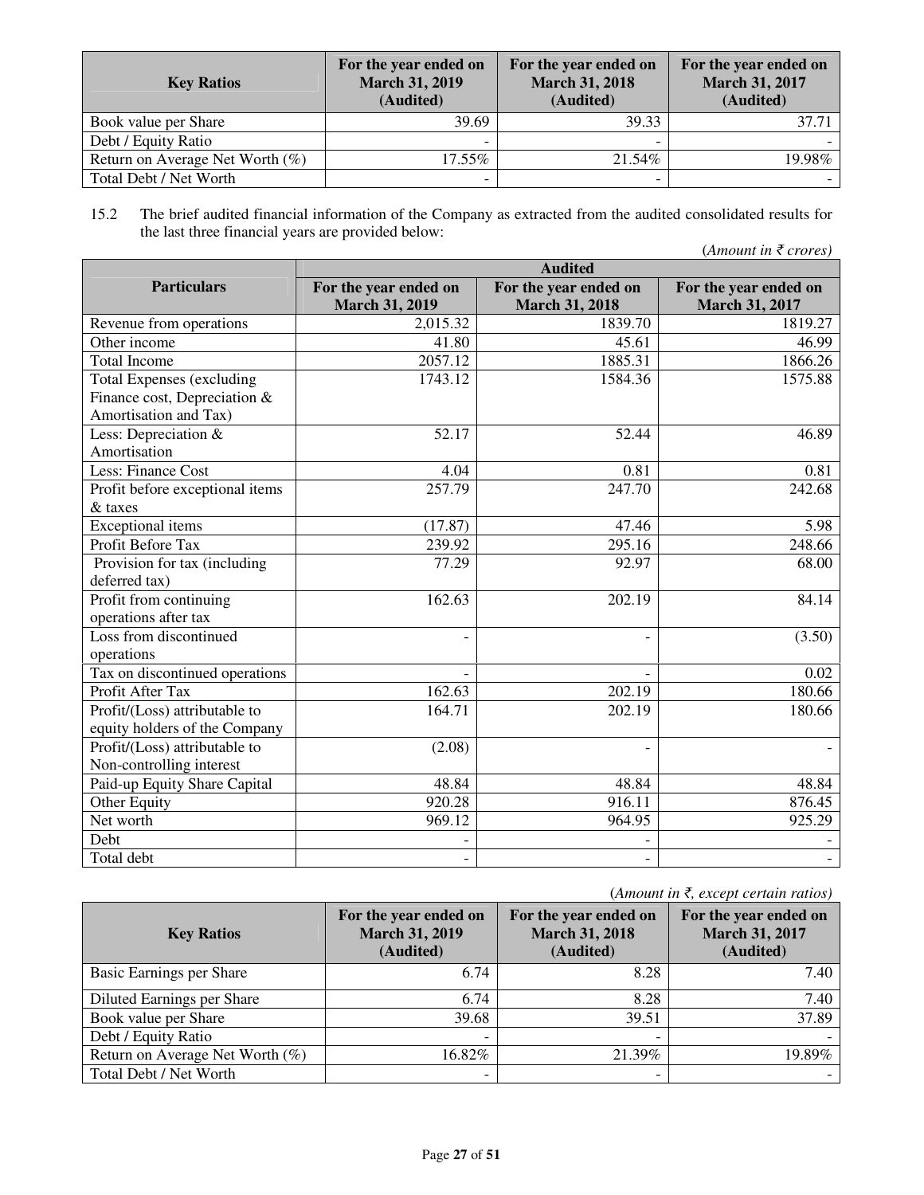| <b>Key Ratios</b>                  | For the year ended on<br><b>March 31, 2019</b><br>(Audited) | For the year ended on<br><b>March 31, 2018</b><br>(Audited) | For the year ended on<br><b>March 31, 2017</b><br>(Audited) |
|------------------------------------|-------------------------------------------------------------|-------------------------------------------------------------|-------------------------------------------------------------|
| Book value per Share               | 39.69                                                       | 39.33                                                       | 37.71                                                       |
| Debt / Equity Ratio                |                                                             |                                                             |                                                             |
| Return on Average Net Worth $(\%)$ | 17.55%                                                      | 21.54%                                                      | 19.98%                                                      |
| Total Debt / Net Worth             | -                                                           |                                                             |                                                             |

15.2 The brief audited financial information of the Company as extracted from the audited consolidated results for the last three financial years are provided below:

|                                  | <b>Audited</b>        |                       |                       |  |  |
|----------------------------------|-----------------------|-----------------------|-----------------------|--|--|
| <b>Particulars</b>               | For the year ended on | For the year ended on | For the year ended on |  |  |
|                                  | <b>March 31, 2019</b> | <b>March 31, 2018</b> | <b>March 31, 2017</b> |  |  |
| Revenue from operations          | 2,015.32              | 1839.70               | 1819.27               |  |  |
| Other income                     | 41.80                 | 45.61                 | 46.99                 |  |  |
| <b>Total Income</b>              | 2057.12               | 1885.31               | 1866.26               |  |  |
| <b>Total Expenses (excluding</b> | 1743.12               | 1584.36               | 1575.88               |  |  |
| Finance cost, Depreciation &     |                       |                       |                       |  |  |
| Amortisation and Tax)            |                       |                       |                       |  |  |
| Less: Depreciation &             | 52.17                 | 52.44                 | 46.89                 |  |  |
| Amortisation                     |                       |                       |                       |  |  |
| Less: Finance Cost               | 4.04                  | 0.81                  | 0.81                  |  |  |
| Profit before exceptional items  | 257.79                | 247.70                | 242.68                |  |  |
| & taxes                          |                       |                       |                       |  |  |
| <b>Exceptional</b> items         | (17.87)               | 47.46                 | 5.98                  |  |  |
| Profit Before Tax                | 239.92                | 295.16                | 248.66                |  |  |
| Provision for tax (including     | 77.29                 | 92.97                 | 68.00                 |  |  |
| deferred tax)                    |                       |                       |                       |  |  |
| Profit from continuing           | 162.63                | 202.19                | 84.14                 |  |  |
| operations after tax             |                       |                       |                       |  |  |
| Loss from discontinued           |                       |                       | (3.50)                |  |  |
| operations                       |                       |                       |                       |  |  |
| Tax on discontinued operations   |                       |                       | 0.02                  |  |  |
| Profit After Tax                 | 162.63                | 202.19                | 180.66                |  |  |
| Profit/(Loss) attributable to    | 164.71                | 202.19                | 180.66                |  |  |
| equity holders of the Company    |                       |                       |                       |  |  |
| Profit/(Loss) attributable to    | (2.08)                |                       |                       |  |  |
| Non-controlling interest         |                       |                       |                       |  |  |
| Paid-up Equity Share Capital     | 48.84                 | 48.84                 | 48.84                 |  |  |
| Other Equity                     | 920.28                | 916.11                | 876.45                |  |  |
| Net worth                        | 969.12                | 964.95                | 925.29                |  |  |
| Debt                             |                       |                       |                       |  |  |
| Total debt                       |                       |                       |                       |  |  |

(*Amount in* ₹*, except certain ratios)*

| <b>Key Ratios</b>               | For the year ended on<br><b>March 31, 2019</b><br>(Audited) | For the year ended on<br><b>March 31, 2018</b><br>(Audited) | For the year ended on<br><b>March 31, 2017</b><br>(Audited) |
|---------------------------------|-------------------------------------------------------------|-------------------------------------------------------------|-------------------------------------------------------------|
| Basic Earnings per Share        | 6.74                                                        | 8.28                                                        | 7.40                                                        |
| Diluted Earnings per Share      | 6.74                                                        | 8.28                                                        | 7.40                                                        |
| Book value per Share            | 39.68                                                       | 39.51                                                       | 37.89                                                       |
| Debt / Equity Ratio             |                                                             |                                                             |                                                             |
| Return on Average Net Worth (%) | 16.82%                                                      | 21.39%                                                      | 19.89%                                                      |
| Total Debt / Net Worth          |                                                             |                                                             |                                                             |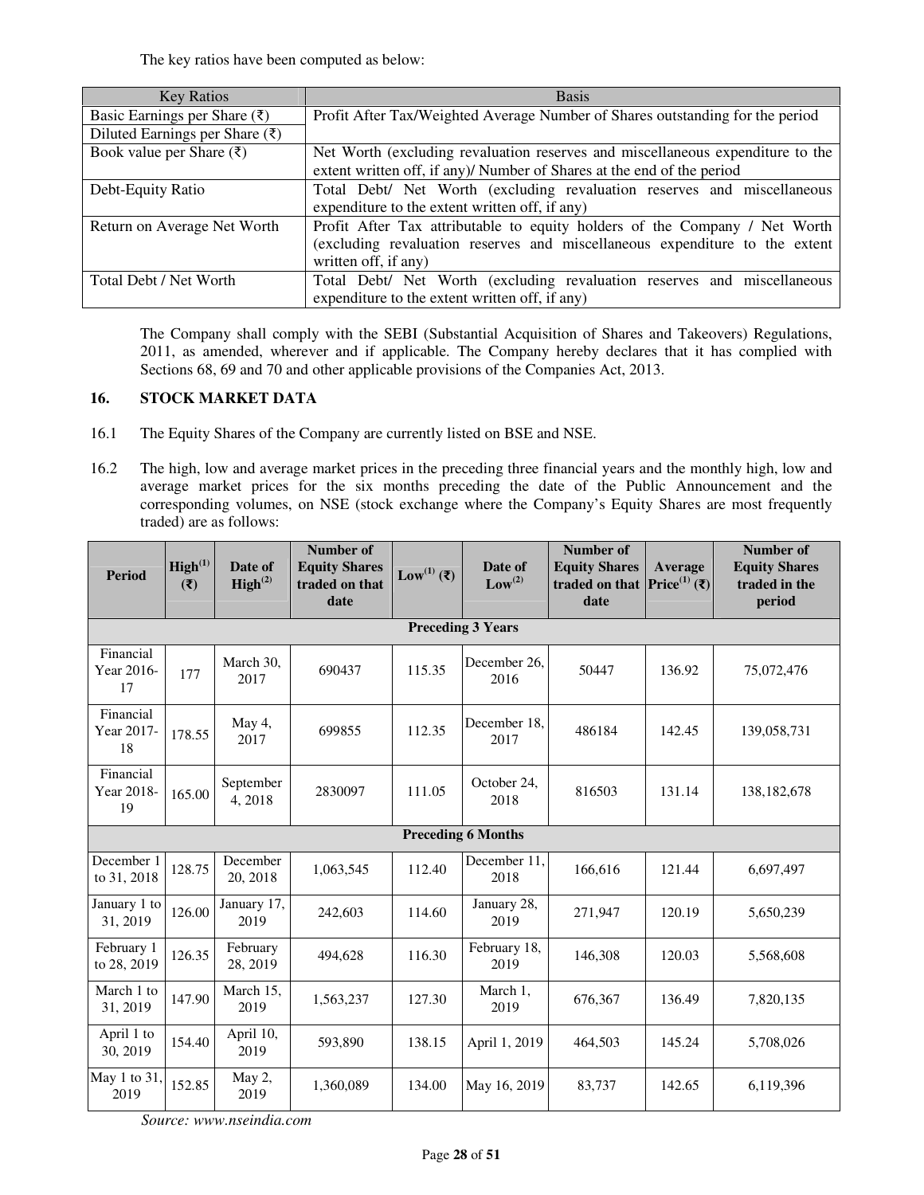The key ratios have been computed as below:

| <b>Key Ratios</b>                          | <b>Basis</b>                                                                   |  |  |  |  |
|--------------------------------------------|--------------------------------------------------------------------------------|--|--|--|--|
| Basic Earnings per Share $(\bar{\zeta})$   | Profit After Tax/Weighted Average Number of Shares outstanding for the period  |  |  |  |  |
| Diluted Earnings per Share $(\bar{\zeta})$ |                                                                                |  |  |  |  |
| Book value per Share $(\bar{\zeta})$       | Net Worth (excluding revaluation reserves and miscellaneous expenditure to the |  |  |  |  |
|                                            | extent written off, if any)/ Number of Shares at the end of the period         |  |  |  |  |
| Debt-Equity Ratio                          | Total Debt/ Net Worth (excluding revaluation reserves and miscellaneous        |  |  |  |  |
|                                            | expenditure to the extent written off, if any)                                 |  |  |  |  |
| Return on Average Net Worth                | Profit After Tax attributable to equity holders of the Company / Net Worth     |  |  |  |  |
|                                            | (excluding revaluation reserves and miscellaneous expenditure to the extent    |  |  |  |  |
|                                            | written off, if any)                                                           |  |  |  |  |
| Total Debt / Net Worth                     | Total Debt/ Net Worth (excluding revaluation reserves and miscellaneous        |  |  |  |  |
|                                            | expenditure to the extent written off, if any)                                 |  |  |  |  |

The Company shall comply with the SEBI (Substantial Acquisition of Shares and Takeovers) Regulations, 2011, as amended, wherever and if applicable. The Company hereby declares that it has complied with Sections 68, 69 and 70 and other applicable provisions of the Companies Act, 2013.

## **16. STOCK MARKET DATA**

- 16.1 The Equity Shares of the Company are currently listed on BSE and NSE.
- 16.2 The high, low and average market prices in the preceding three financial years and the monthly high, low and average market prices for the six months preceding the date of the Public Announcement and the corresponding volumes, on NSE (stock exchange where the Company's Equity Shares are most frequently traded) are as follows:

| <b>Period</b>                 | High <sup>(1)</sup><br>$(\overline{\mathbf{x}})$ | Date of<br>$\text{High}^{(2)}$ | Number of<br><b>Equity Shares</b><br>traded on that<br>date | Low <sup>(1)</sup> (₹) | Date of<br>Low <sup>(2)</sup> | Number of<br><b>Equity Shares</b><br>traded on that<br>date | Average<br><b>Price</b> <sup>(1)</sup> (₹) | Number of<br><b>Equity Shares</b><br>traded in the<br>period |
|-------------------------------|--------------------------------------------------|--------------------------------|-------------------------------------------------------------|------------------------|-------------------------------|-------------------------------------------------------------|--------------------------------------------|--------------------------------------------------------------|
|                               |                                                  |                                |                                                             |                        | <b>Preceding 3 Years</b>      |                                                             |                                            |                                                              |
| Financial<br>Year 2016-<br>17 | 177                                              | March 30,<br>2017              | 690437                                                      | 115.35                 | December 26.<br>2016          | 50447                                                       | 136.92                                     | 75,072,476                                                   |
| Financial<br>Year 2017-<br>18 | 178.55                                           | May 4,<br>2017                 | 699855                                                      | 112.35                 | December 18.<br>2017          | 486184                                                      | 142.45                                     | 139,058,731                                                  |
| Financial<br>Year 2018-<br>19 | 165.00                                           | September<br>4,2018            | 2830097                                                     | 111.05                 | October 24,<br>2018           | 816503                                                      | 131.14                                     | 138, 182, 678                                                |
|                               |                                                  |                                |                                                             |                        | <b>Preceding 6 Months</b>     |                                                             |                                            |                                                              |
| December 1<br>to 31, 2018     | 128.75                                           | December<br>20, 2018           | 1,063,545                                                   | 112.40                 | December 11.<br>2018          | 166,616                                                     | 121.44                                     | 6,697,497                                                    |
| January 1 to<br>31, 2019      | 126.00                                           | January 17,<br>2019            | 242,603                                                     | 114.60                 | January 28,<br>2019           | 271,947                                                     | 120.19                                     | 5,650,239                                                    |
| February 1<br>to 28, 2019     | 126.35                                           | February<br>28, 2019           | 494.628                                                     | 116.30                 | February 18,<br>2019          | 146.308                                                     | 120.03                                     | 5,568,608                                                    |
| March 1 to<br>31, 2019        | 147.90                                           | March 15,<br>2019              | 1,563,237                                                   | 127.30                 | March 1,<br>2019              | 676,367                                                     | 136.49                                     | 7,820,135                                                    |
| April 1 to<br>30, 2019        | 154.40                                           | April 10,<br>2019              | 593.890                                                     | 138.15                 | April 1, 2019                 | 464,503                                                     | 145.24                                     | 5,708,026                                                    |
| May 1 to 31,<br>2019          | 152.85                                           | May 2,<br>2019                 | 1,360,089                                                   | 134.00                 | May 16, 2019                  | 83,737                                                      | 142.65                                     | 6,119,396                                                    |

*Source: www.nseindia.com*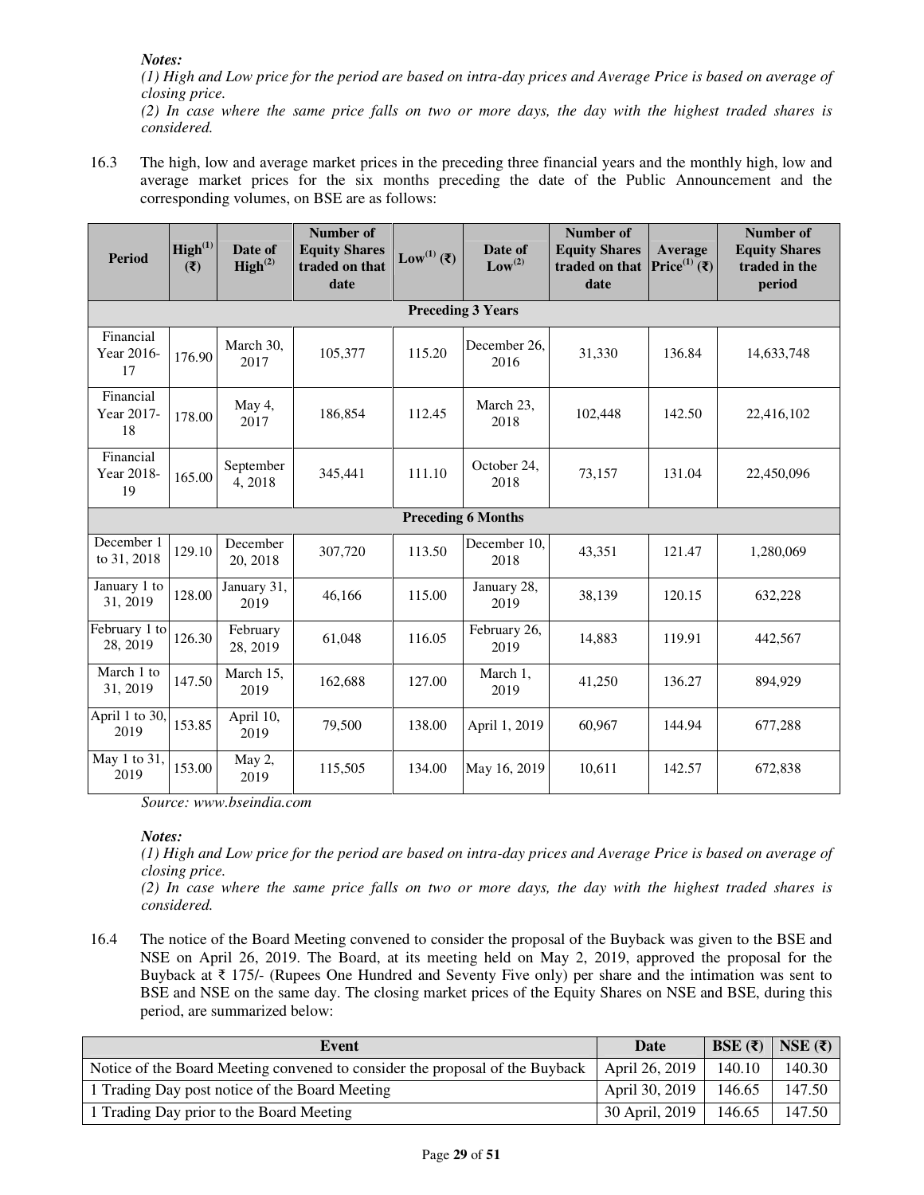*considered.*

*(1) High and Low price for the period are based on intra-day prices and Average Price is based on average of closing price. (2) In case where the same price falls on two or more days, the day with the highest traded shares is* 

16.3 The high, low and average market prices in the preceding three financial years and the monthly high, low and average market prices for the six months preceding the date of the Public Announcement and the corresponding volumes, on BSE are as follows:

| <b>Period</b>                 | $\text{High}^{(1)}$<br>(3) | Date of<br>$\text{High}^{(2)}$ | <b>Number of</b><br><b>Equity Shares</b><br>traded on that<br>date | Low <sup>(1)</sup> (₹) | Date of<br>Low <sup>(2)</sup> | Number of<br><b>Equity Shares</b><br>traded on that<br>date | Average<br>Price <sup>(1)</sup> (₹) | <b>Number of</b><br><b>Equity Shares</b><br>traded in the<br>period |
|-------------------------------|----------------------------|--------------------------------|--------------------------------------------------------------------|------------------------|-------------------------------|-------------------------------------------------------------|-------------------------------------|---------------------------------------------------------------------|
|                               |                            |                                |                                                                    |                        | <b>Preceding 3 Years</b>      |                                                             |                                     |                                                                     |
| Financial<br>Year 2016-<br>17 | 176.90                     | March 30,<br>2017              | 105,377                                                            | 115.20                 | December 26.<br>2016          | 31,330                                                      | 136.84                              | 14,633,748                                                          |
| Financial<br>Year 2017-<br>18 | 178.00                     | May 4,<br>2017                 | 186,854                                                            | 112.45                 | March 23,<br>2018             | 102,448                                                     | 142.50                              | 22,416,102                                                          |
| Financial<br>Year 2018-<br>19 | 165.00                     | September<br>4, 2018           | 345,441                                                            | 111.10                 | October 24,<br>2018           | 73,157                                                      | 131.04                              | 22,450,096                                                          |
|                               |                            |                                |                                                                    |                        | <b>Preceding 6 Months</b>     |                                                             |                                     |                                                                     |
| December 1<br>to 31, 2018     | 129.10                     | December<br>20, 2018           | 307,720                                                            | 113.50                 | December 10,<br>2018          | 43,351                                                      | 121.47                              | 1,280,069                                                           |
| January 1 to<br>31, 2019      | 128.00                     | January 31,<br>2019            | 46,166                                                             | 115.00                 | January 28,<br>2019           | 38,139                                                      | 120.15                              | 632,228                                                             |
| February 1 to<br>28, 2019     | 126.30                     | February<br>28, 2019           | 61,048                                                             | 116.05                 | February 26,<br>2019          | 14,883                                                      | 119.91                              | 442,567                                                             |
| March 1 to<br>31, 2019        | 147.50                     | March 15,<br>2019              | 162,688                                                            | 127.00                 | March 1,<br>2019              | 41,250                                                      | 136.27                              | 894,929                                                             |
| April 1 to 30,<br>2019        | 153.85                     | April 10,<br>2019              | 79,500                                                             | 138.00                 | April 1, 2019                 | 60,967                                                      | 144.94                              | 677,288                                                             |
| May 1 to 31,<br>2019          | 153.00                     | May 2,<br>2019                 | 115,505                                                            | 134.00                 | May 16, 2019                  | 10,611                                                      | 142.57                              | 672,838                                                             |

*Source: www.bseindia.com* 

## *Notes:*

*(1) High and Low price for the period are based on intra-day prices and Average Price is based on average of closing price.* 

*(2) In case where the same price falls on two or more days, the day with the highest traded shares is considered.*

16.4 The notice of the Board Meeting convened to consider the proposal of the Buyback was given to the BSE and NSE on April 26, 2019. The Board, at its meeting held on May 2, 2019, approved the proposal for the Buyback at ₹ 175/- (Rupees One Hundred and Seventy Five only) per share and the intimation was sent to BSE and NSE on the same day. The closing market prices of the Equity Shares on NSE and BSE, during this period, are summarized below:

| Event                                                                        | Date           | BSE $(\overline{\mathbf{x}})$ | NSE $(\bar{\zeta})$ |
|------------------------------------------------------------------------------|----------------|-------------------------------|---------------------|
| Notice of the Board Meeting convened to consider the proposal of the Buyback | April 26, 2019 | 140.10                        | 140.30              |
| 1 Trading Day post notice of the Board Meeting                               | April 30, 2019 | 146.65                        | 147.50              |
| 1 Trading Day prior to the Board Meeting                                     | 30 April, 2019 | 146.65                        | 147.50              |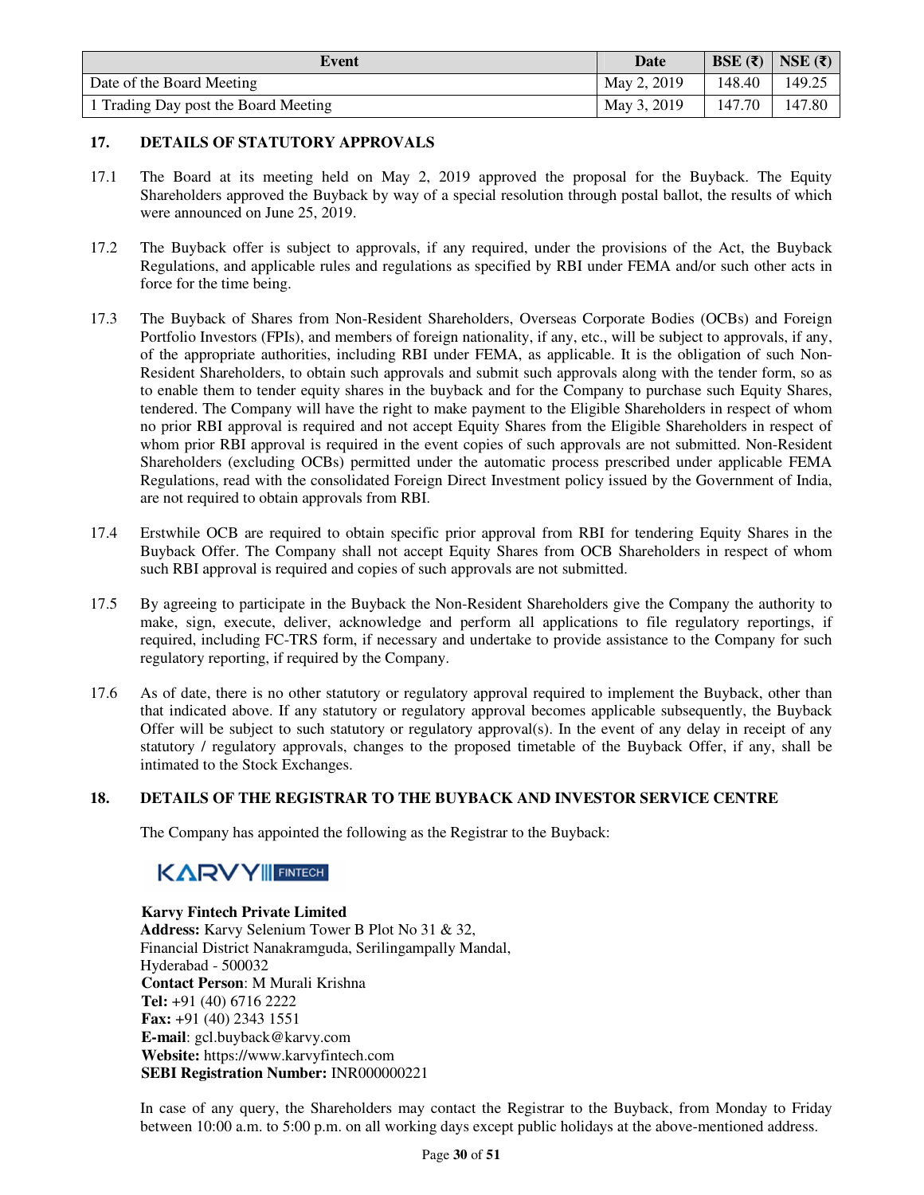| Event                                | Date        | BSE $(\bar{z})$ | NSE $(\overline{\mathbf{z}})$ |
|--------------------------------------|-------------|-----------------|-------------------------------|
| Date of the Board Meeting            | May 2, 2019 | 148.40          | 149.25                        |
| 1 Trading Day post the Board Meeting | May 3, 2019 | 147.70          | 147.80                        |

## **17. DETAILS OF STATUTORY APPROVALS**

- 17.1 The Board at its meeting held on May 2, 2019 approved the proposal for the Buyback. The Equity Shareholders approved the Buyback by way of a special resolution through postal ballot, the results of which were announced on June 25, 2019.
- 17.2 The Buyback offer is subject to approvals, if any required, under the provisions of the Act, the Buyback Regulations, and applicable rules and regulations as specified by RBI under FEMA and/or such other acts in force for the time being.
- 17.3 The Buyback of Shares from Non-Resident Shareholders, Overseas Corporate Bodies (OCBs) and Foreign Portfolio Investors (FPIs), and members of foreign nationality, if any, etc., will be subject to approvals, if any, of the appropriate authorities, including RBI under FEMA, as applicable. It is the obligation of such Non-Resident Shareholders, to obtain such approvals and submit such approvals along with the tender form, so as to enable them to tender equity shares in the buyback and for the Company to purchase such Equity Shares, tendered. The Company will have the right to make payment to the Eligible Shareholders in respect of whom no prior RBI approval is required and not accept Equity Shares from the Eligible Shareholders in respect of whom prior RBI approval is required in the event copies of such approvals are not submitted. Non-Resident Shareholders (excluding OCBs) permitted under the automatic process prescribed under applicable FEMA Regulations, read with the consolidated Foreign Direct Investment policy issued by the Government of India, are not required to obtain approvals from RBI.
- 17.4 Erstwhile OCB are required to obtain specific prior approval from RBI for tendering Equity Shares in the Buyback Offer. The Company shall not accept Equity Shares from OCB Shareholders in respect of whom such RBI approval is required and copies of such approvals are not submitted.
- 17.5 By agreeing to participate in the Buyback the Non-Resident Shareholders give the Company the authority to make, sign, execute, deliver, acknowledge and perform all applications to file regulatory reportings, if required, including FC-TRS form, if necessary and undertake to provide assistance to the Company for such regulatory reporting, if required by the Company.
- 17.6 As of date, there is no other statutory or regulatory approval required to implement the Buyback, other than that indicated above. If any statutory or regulatory approval becomes applicable subsequently, the Buyback Offer will be subject to such statutory or regulatory approval(s). In the event of any delay in receipt of any statutory / regulatory approvals, changes to the proposed timetable of the Buyback Offer, if any, shall be intimated to the Stock Exchanges.

## **18. DETAILS OF THE REGISTRAR TO THE BUYBACK AND INVESTOR SERVICE CENTRE**

The Company has appointed the following as the Registrar to the Buyback:

# **KARVY FINTECH**

## **Karvy Fintech Private Limited**

**Address:** Karvy Selenium Tower B Plot No 31 & 32, Financial District Nanakramguda, Serilingampally Mandal, Hyderabad - 500032 **Contact Person**: M Murali Krishna **Tel:** +91 (40) 6716 2222 **Fax:** +91 (40) 2343 1551 **E-mail**: gcl.buyback@karvy.com **Website:** https://www.karvyfintech.com **SEBI Registration Number:** INR000000221

In case of any query, the Shareholders may contact the Registrar to the Buyback, from Monday to Friday between 10:00 a.m. to 5:00 p.m. on all working days except public holidays at the above-mentioned address.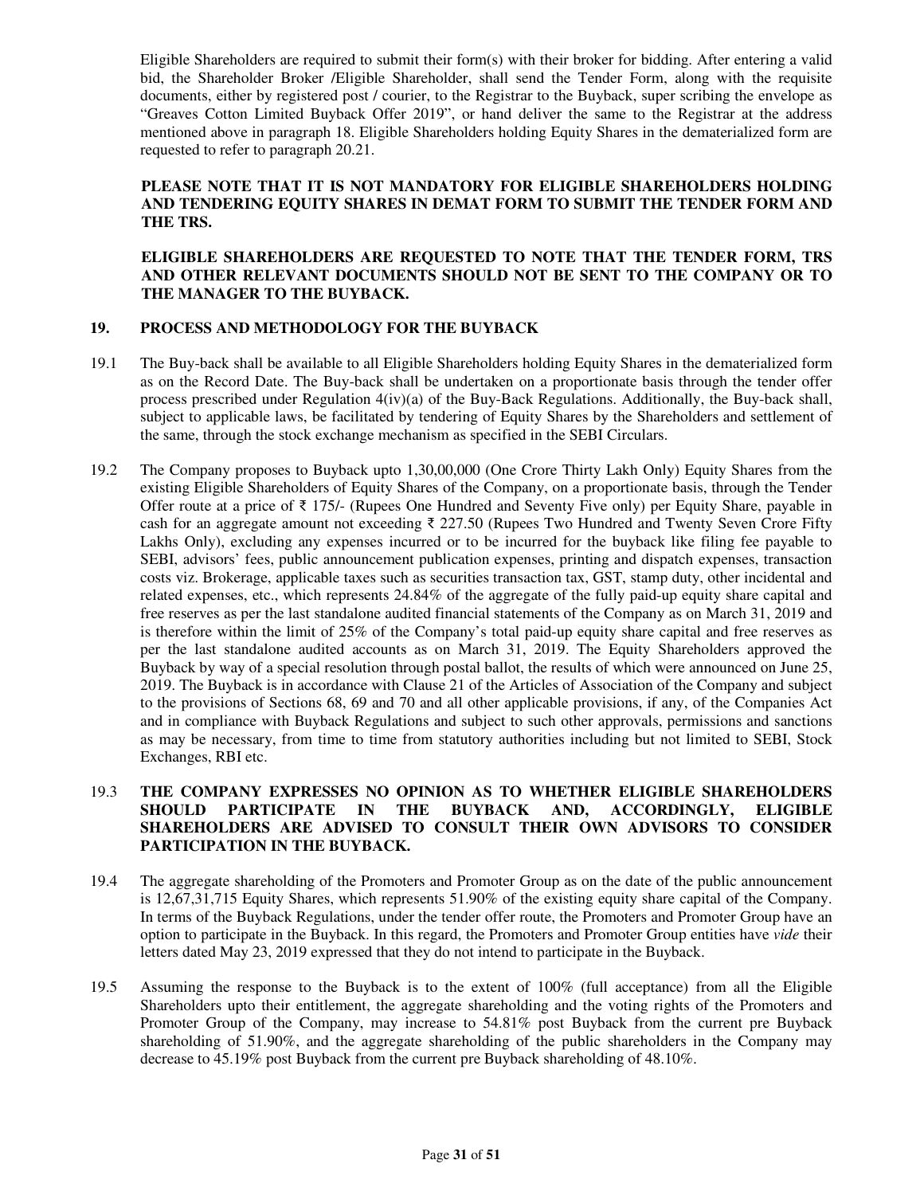Eligible Shareholders are required to submit their form(s) with their broker for bidding. After entering a valid bid, the Shareholder Broker /Eligible Shareholder, shall send the Tender Form, along with the requisite documents, either by registered post / courier, to the Registrar to the Buyback, super scribing the envelope as "Greaves Cotton Limited Buyback Offer 2019", or hand deliver the same to the Registrar at the address mentioned above in paragraph 18. Eligible Shareholders holding Equity Shares in the dematerialized form are requested to refer to paragraph 20.21.

## **PLEASE NOTE THAT IT IS NOT MANDATORY FOR ELIGIBLE SHAREHOLDERS HOLDING AND TENDERING EQUITY SHARES IN DEMAT FORM TO SUBMIT THE TENDER FORM AND THE TRS.**

**ELIGIBLE SHAREHOLDERS ARE REQUESTED TO NOTE THAT THE TENDER FORM, TRS AND OTHER RELEVANT DOCUMENTS SHOULD NOT BE SENT TO THE COMPANY OR TO THE MANAGER TO THE BUYBACK.** 

## **19. PROCESS AND METHODOLOGY FOR THE BUYBACK**

- 19.1 The Buy-back shall be available to all Eligible Shareholders holding Equity Shares in the dematerialized form as on the Record Date. The Buy-back shall be undertaken on a proportionate basis through the tender offer process prescribed under Regulation 4(iv)(a) of the Buy-Back Regulations. Additionally, the Buy-back shall, subject to applicable laws, be facilitated by tendering of Equity Shares by the Shareholders and settlement of the same, through the stock exchange mechanism as specified in the SEBI Circulars.
- 19.2 The Company proposes to Buyback upto 1,30,00,000 (One Crore Thirty Lakh Only) Equity Shares from the existing Eligible Shareholders of Equity Shares of the Company, on a proportionate basis, through the Tender Offer route at a price of  $\bar{\tau}$  175/- (Rupees One Hundred and Seventy Five only) per Equity Share, payable in cash for an aggregate amount not exceeding ₹ 227.50 (Rupees Two Hundred and Twenty Seven Crore Fifty Lakhs Only), excluding any expenses incurred or to be incurred for the buyback like filing fee payable to SEBI, advisors' fees, public announcement publication expenses, printing and dispatch expenses, transaction costs viz. Brokerage, applicable taxes such as securities transaction tax, GST, stamp duty, other incidental and related expenses, etc., which represents 24.84% of the aggregate of the fully paid-up equity share capital and free reserves as per the last standalone audited financial statements of the Company as on March 31, 2019 and is therefore within the limit of 25% of the Company's total paid-up equity share capital and free reserves as per the last standalone audited accounts as on March 31, 2019. The Equity Shareholders approved the Buyback by way of a special resolution through postal ballot, the results of which were announced on June 25, 2019. The Buyback is in accordance with Clause 21 of the Articles of Association of the Company and subject to the provisions of Sections 68, 69 and 70 and all other applicable provisions, if any, of the Companies Act and in compliance with Buyback Regulations and subject to such other approvals, permissions and sanctions as may be necessary, from time to time from statutory authorities including but not limited to SEBI, Stock Exchanges, RBI etc.

## 19.3 **THE COMPANY EXPRESSES NO OPINION AS TO WHETHER ELIGIBLE SHAREHOLDERS SHOULD PARTICIPATE IN THE BUYBACK AND, ACCORDINGLY, ELIGIBLE SHAREHOLDERS ARE ADVISED TO CONSULT THEIR OWN ADVISORS TO CONSIDER PARTICIPATION IN THE BUYBACK.**

- 19.4 The aggregate shareholding of the Promoters and Promoter Group as on the date of the public announcement is 12,67,31,715 Equity Shares, which represents 51.90% of the existing equity share capital of the Company. In terms of the Buyback Regulations, under the tender offer route, the Promoters and Promoter Group have an option to participate in the Buyback. In this regard, the Promoters and Promoter Group entities have *vide* their letters dated May 23, 2019 expressed that they do not intend to participate in the Buyback.
- 19.5 Assuming the response to the Buyback is to the extent of 100% (full acceptance) from all the Eligible Shareholders upto their entitlement, the aggregate shareholding and the voting rights of the Promoters and Promoter Group of the Company, may increase to 54.81% post Buyback from the current pre Buyback shareholding of 51.90%, and the aggregate shareholding of the public shareholders in the Company may decrease to 45.19% post Buyback from the current pre Buyback shareholding of 48.10%.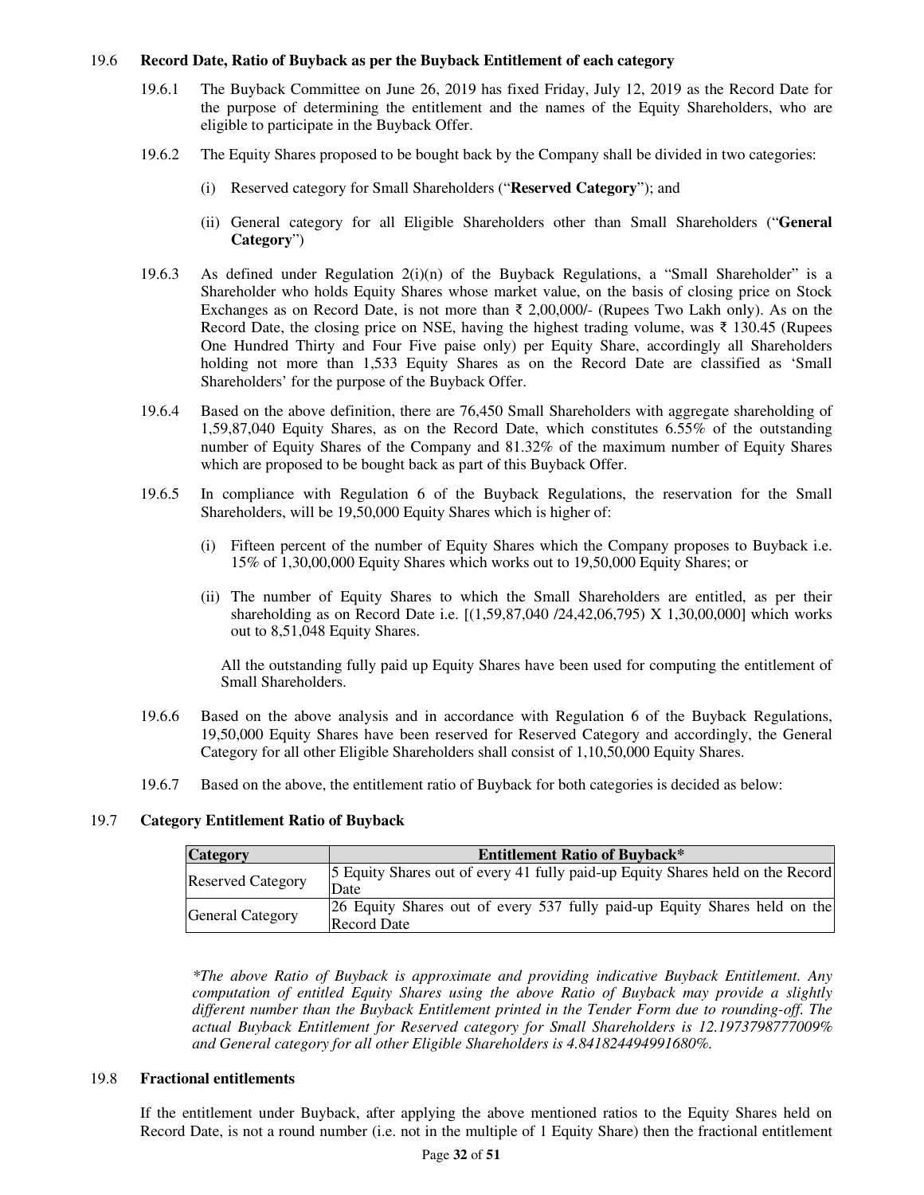### 19.6 **Record Date, Ratio of Buyback as per the Buyback Entitlement of each category**

- 19.6.1 The Buyback Committee on June 26, 2019 has fixed Friday, July 12, 2019 as the Record Date for the purpose of determining the entitlement and the names of the Equity Shareholders, who are eligible to participate in the Buyback Offer.
- 19.6.2 The Equity Shares proposed to be bought back by the Company shall be divided in two categories:
	- (i) Reserved category for Small Shareholders ("**Reserved Category**"); and
	- (ii) General category for all Eligible Shareholders other than Small Shareholders ("**General Category**")
- 19.6.3 As defined under Regulation  $2(i)(n)$  of the Buyback Regulations, a "Small Shareholder" is a Shareholder who holds Equity Shares whose market value, on the basis of closing price on Stock Exchanges as on Record Date, is not more than  $\bar{\xi}$  2,00,000/- (Rupees Two Lakh only). As on the Record Date, the closing price on NSE, having the highest trading volume, was  $\bar{\tau}$  130.45 (Rupees One Hundred Thirty and Four Five paise only) per Equity Share, accordingly all Shareholders holding not more than 1,533 Equity Shares as on the Record Date are classified as 'Small Shareholders' for the purpose of the Buyback Offer.
- 19.6.4 Based on the above definition, there are 76,450 Small Shareholders with aggregate shareholding of 1,59,87,040 Equity Shares, as on the Record Date, which constitutes 6.55% of the outstanding number of Equity Shares of the Company and 81.32% of the maximum number of Equity Shares which are proposed to be bought back as part of this Buyback Offer.
- 19.6.5 In compliance with Regulation 6 of the Buyback Regulations, the reservation for the Small Shareholders, will be 19,50,000 Equity Shares which is higher of:
	- (i) Fifteen percent of the number of Equity Shares which the Company proposes to Buyback i.e. 15% of 1,30,00,000 Equity Shares which works out to 19,50,000 Equity Shares; or
	- (ii) The number of Equity Shares to which the Small Shareholders are entitled, as per their shareholding as on Record Date i.e. [(1,59,87,040 /24,42,06,795) X 1,30,00,000] which works out to 8,51,048 Equity Shares.

All the outstanding fully paid up Equity Shares have been used for computing the entitlement of Small Shareholders.

- 19.6.6 Based on the above analysis and in accordance with Regulation 6 of the Buyback Regulations, 19,50,000 Equity Shares have been reserved for Reserved Category and accordingly, the General Category for all other Eligible Shareholders shall consist of 1,10,50,000 Equity Shares.
- 19.6.7 Based on the above, the entitlement ratio of Buyback for both categories is decided as below:

## 19.7 **Category Entitlement Ratio of Buyback**

| <b>Category</b>          | <b>Entitlement Ratio of Buyback*</b>                                                     |
|--------------------------|------------------------------------------------------------------------------------------|
| <b>Reserved Category</b> | 5 Equity Shares out of every 41 fully paid-up Equity Shares held on the Record<br>Date   |
| <b>General Category</b>  | 26 Equity Shares out of every 537 fully paid-up Equity Shares held on the<br>Record Date |

*\*The above Ratio of Buyback is approximate and providing indicative Buyback Entitlement. Any computation of entitled Equity Shares using the above Ratio of Buyback may provide a slightly different number than the Buyback Entitlement printed in the Tender Form due to rounding-off. The actual Buyback Entitlement for Reserved category for Small Shareholders is 12.1973798777009% and General category for all other Eligible Shareholders is 4.841824494991680%.* 

### 19.8 **Fractional entitlements**

If the entitlement under Buyback, after applying the above mentioned ratios to the Equity Shares held on Record Date, is not a round number (i.e. not in the multiple of 1 Equity Share) then the fractional entitlement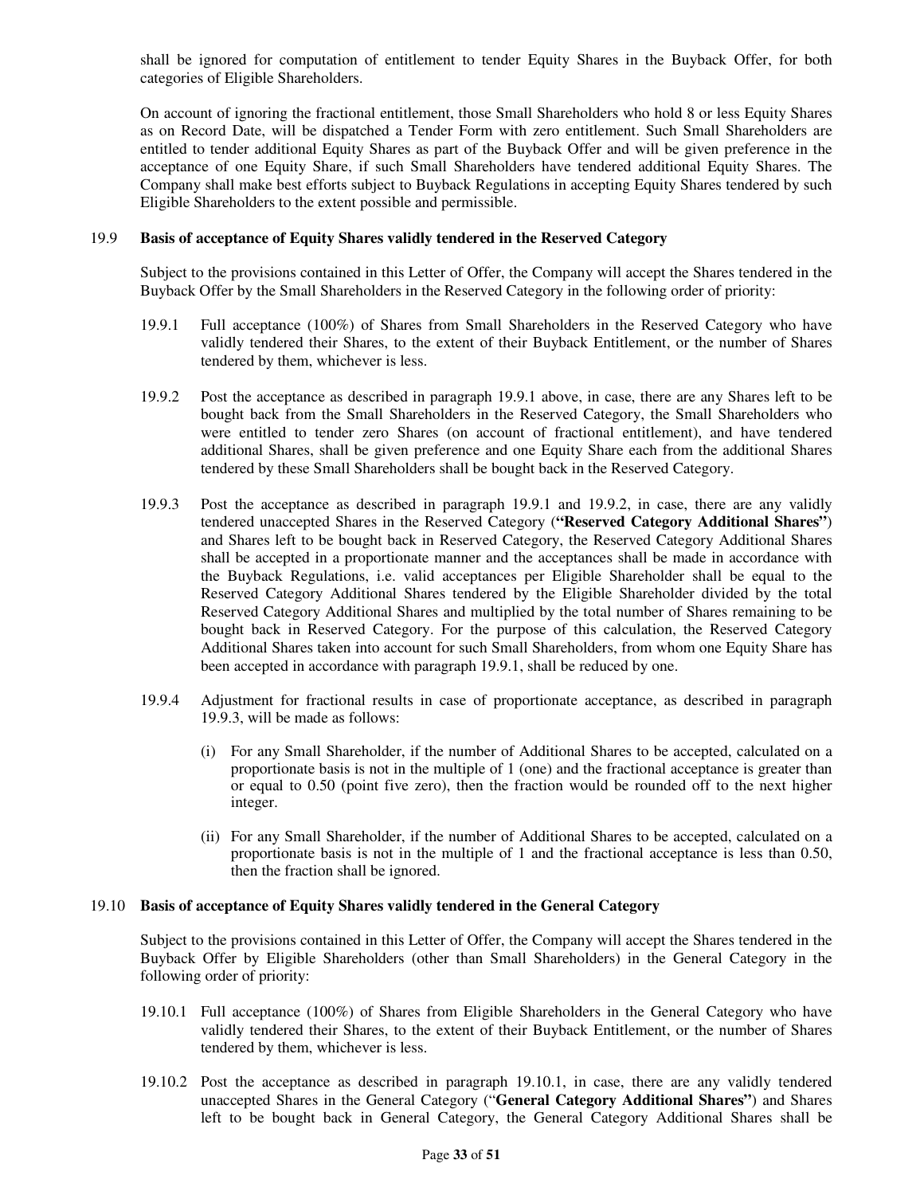shall be ignored for computation of entitlement to tender Equity Shares in the Buyback Offer, for both categories of Eligible Shareholders.

On account of ignoring the fractional entitlement, those Small Shareholders who hold 8 or less Equity Shares as on Record Date, will be dispatched a Tender Form with zero entitlement. Such Small Shareholders are entitled to tender additional Equity Shares as part of the Buyback Offer and will be given preference in the acceptance of one Equity Share, if such Small Shareholders have tendered additional Equity Shares. The Company shall make best efforts subject to Buyback Regulations in accepting Equity Shares tendered by such Eligible Shareholders to the extent possible and permissible.

### 19.9 **Basis of acceptance of Equity Shares validly tendered in the Reserved Category**

Subject to the provisions contained in this Letter of Offer, the Company will accept the Shares tendered in the Buyback Offer by the Small Shareholders in the Reserved Category in the following order of priority:

- 19.9.1 Full acceptance (100%) of Shares from Small Shareholders in the Reserved Category who have validly tendered their Shares, to the extent of their Buyback Entitlement, or the number of Shares tendered by them, whichever is less.
- 19.9.2 Post the acceptance as described in paragraph 19.9.1 above, in case, there are any Shares left to be bought back from the Small Shareholders in the Reserved Category, the Small Shareholders who were entitled to tender zero Shares (on account of fractional entitlement), and have tendered additional Shares, shall be given preference and one Equity Share each from the additional Shares tendered by these Small Shareholders shall be bought back in the Reserved Category.
- 19.9.3 Post the acceptance as described in paragraph 19.9.1 and 19.9.2, in case, there are any validly tendered unaccepted Shares in the Reserved Category (**"Reserved Category Additional Shares"**) and Shares left to be bought back in Reserved Category, the Reserved Category Additional Shares shall be accepted in a proportionate manner and the acceptances shall be made in accordance with the Buyback Regulations, i.e. valid acceptances per Eligible Shareholder shall be equal to the Reserved Category Additional Shares tendered by the Eligible Shareholder divided by the total Reserved Category Additional Shares and multiplied by the total number of Shares remaining to be bought back in Reserved Category. For the purpose of this calculation, the Reserved Category Additional Shares taken into account for such Small Shareholders, from whom one Equity Share has been accepted in accordance with paragraph 19.9.1, shall be reduced by one.
- 19.9.4 Adjustment for fractional results in case of proportionate acceptance, as described in paragraph 19.9.3, will be made as follows:
	- (i) For any Small Shareholder, if the number of Additional Shares to be accepted, calculated on a proportionate basis is not in the multiple of 1 (one) and the fractional acceptance is greater than or equal to 0.50 (point five zero), then the fraction would be rounded off to the next higher integer.
	- (ii) For any Small Shareholder, if the number of Additional Shares to be accepted, calculated on a proportionate basis is not in the multiple of 1 and the fractional acceptance is less than 0.50, then the fraction shall be ignored.

#### 19.10 **Basis of acceptance of Equity Shares validly tendered in the General Category**

Subject to the provisions contained in this Letter of Offer, the Company will accept the Shares tendered in the Buyback Offer by Eligible Shareholders (other than Small Shareholders) in the General Category in the following order of priority:

- 19.10.1 Full acceptance (100%) of Shares from Eligible Shareholders in the General Category who have validly tendered their Shares, to the extent of their Buyback Entitlement, or the number of Shares tendered by them, whichever is less.
- 19.10.2 Post the acceptance as described in paragraph 19.10.1, in case, there are any validly tendered unaccepted Shares in the General Category ("**General Category Additional Shares"**) and Shares left to be bought back in General Category, the General Category Additional Shares shall be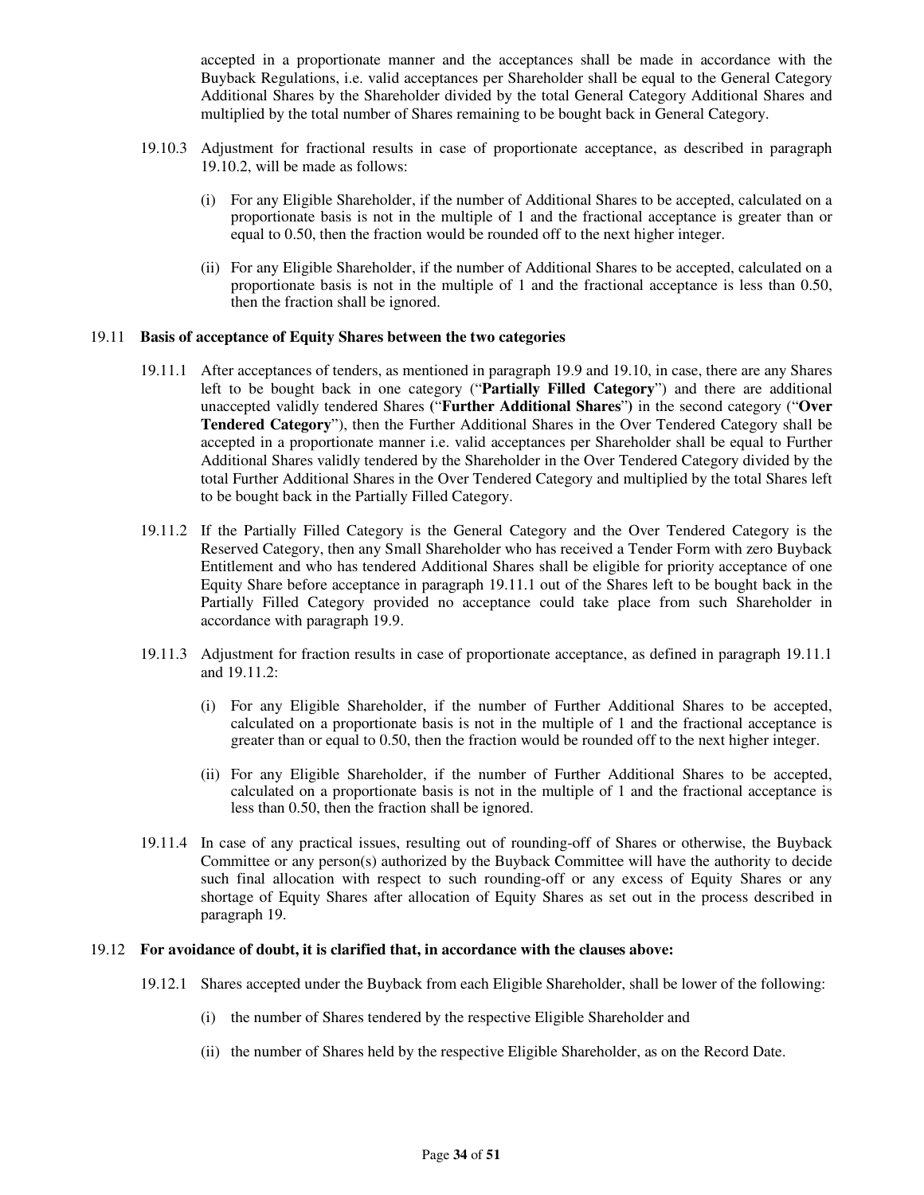accepted in a proportionate manner and the acceptances shall be made in accordance with the Buyback Regulations, i.e. valid acceptances per Shareholder shall be equal to the General Category Additional Shares by the Shareholder divided by the total General Category Additional Shares and multiplied by the total number of Shares remaining to be bought back in General Category.

- 19.10.3 Adjustment for fractional results in case of proportionate acceptance, as described in paragraph 19.10.2, will be made as follows:
	- (i) For any Eligible Shareholder, if the number of Additional Shares to be accepted, calculated on a proportionate basis is not in the multiple of 1 and the fractional acceptance is greater than or equal to 0.50, then the fraction would be rounded off to the next higher integer.
	- (ii) For any Eligible Shareholder, if the number of Additional Shares to be accepted, calculated on a proportionate basis is not in the multiple of 1 and the fractional acceptance is less than 0.50, then the fraction shall be ignored.

#### 19.11 **Basis of acceptance of Equity Shares between the two categories**

- 19.11.1 After acceptances of tenders, as mentioned in paragraph 19.9 and 19.10, in case, there are any Shares left to be bought back in one category ("**Partially Filled Category**") and there are additional unaccepted validly tendered Shares **(**"**Further Additional Shares**"**)** in the second category ("**Over Tendered Category**"), then the Further Additional Shares in the Over Tendered Category shall be accepted in a proportionate manner i.e. valid acceptances per Shareholder shall be equal to Further Additional Shares validly tendered by the Shareholder in the Over Tendered Category divided by the total Further Additional Shares in the Over Tendered Category and multiplied by the total Shares left to be bought back in the Partially Filled Category.
- 19.11.2 If the Partially Filled Category is the General Category and the Over Tendered Category is the Reserved Category, then any Small Shareholder who has received a Tender Form with zero Buyback Entitlement and who has tendered Additional Shares shall be eligible for priority acceptance of one Equity Share before acceptance in paragraph 19.11.1 out of the Shares left to be bought back in the Partially Filled Category provided no acceptance could take place from such Shareholder in accordance with paragraph 19.9.
- 19.11.3 Adjustment for fraction results in case of proportionate acceptance, as defined in paragraph 19.11.1 and 19.11.2:
	- (i) For any Eligible Shareholder, if the number of Further Additional Shares to be accepted, calculated on a proportionate basis is not in the multiple of 1 and the fractional acceptance is greater than or equal to 0.50, then the fraction would be rounded off to the next higher integer.
	- (ii) For any Eligible Shareholder, if the number of Further Additional Shares to be accepted, calculated on a proportionate basis is not in the multiple of 1 and the fractional acceptance is less than 0.50, then the fraction shall be ignored.
- 19.11.4 In case of any practical issues, resulting out of rounding-off of Shares or otherwise, the Buyback Committee or any person(s) authorized by the Buyback Committee will have the authority to decide such final allocation with respect to such rounding-off or any excess of Equity Shares or any shortage of Equity Shares after allocation of Equity Shares as set out in the process described in paragraph 19.

### 19.12 **For avoidance of doubt, it is clarified that, in accordance with the clauses above:**

- 19.12.1 Shares accepted under the Buyback from each Eligible Shareholder, shall be lower of the following:
	- (i) the number of Shares tendered by the respective Eligible Shareholder and
	- (ii) the number of Shares held by the respective Eligible Shareholder, as on the Record Date.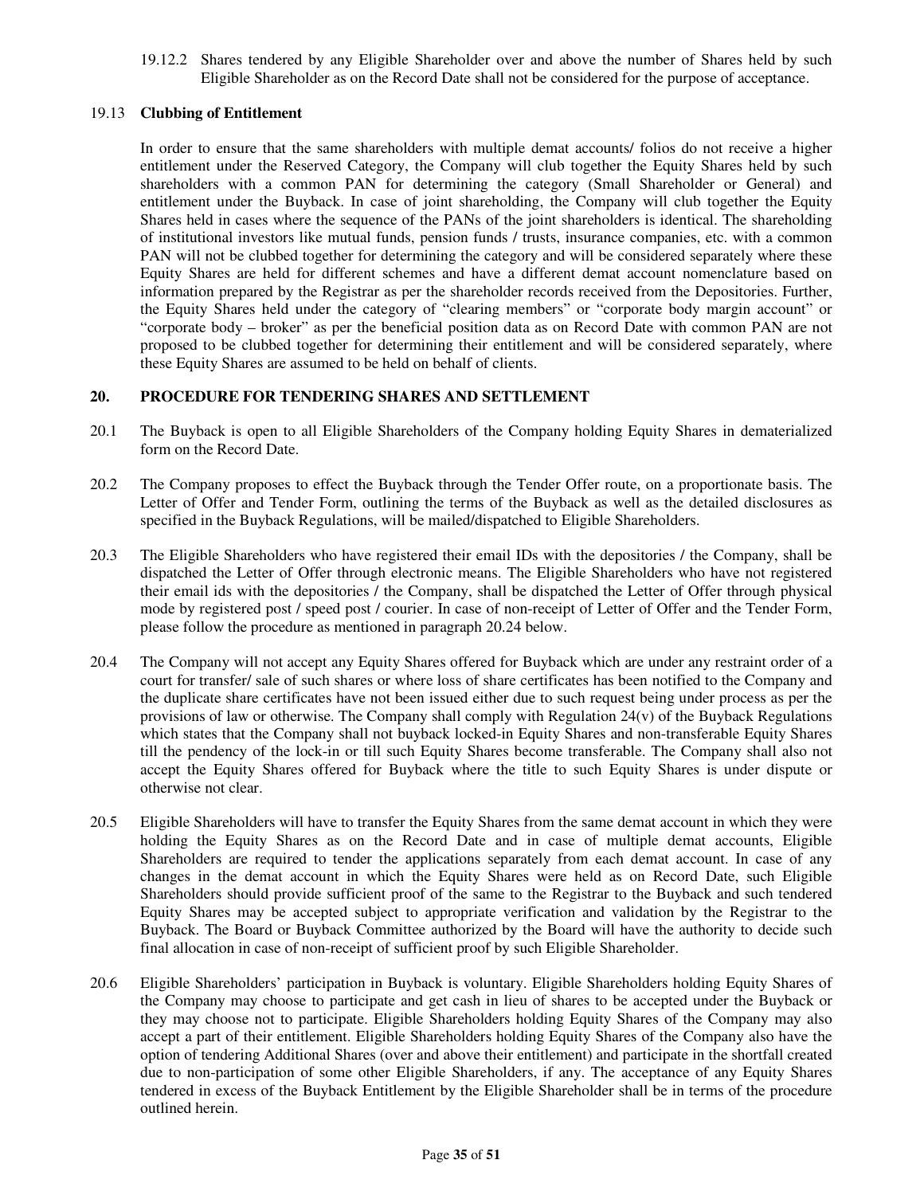19.12.2 Shares tendered by any Eligible Shareholder over and above the number of Shares held by such Eligible Shareholder as on the Record Date shall not be considered for the purpose of acceptance.

## 19.13 **Clubbing of Entitlement**

In order to ensure that the same shareholders with multiple demat accounts/ folios do not receive a higher entitlement under the Reserved Category, the Company will club together the Equity Shares held by such shareholders with a common PAN for determining the category (Small Shareholder or General) and entitlement under the Buyback. In case of joint shareholding, the Company will club together the Equity Shares held in cases where the sequence of the PANs of the joint shareholders is identical. The shareholding of institutional investors like mutual funds, pension funds / trusts, insurance companies, etc. with a common PAN will not be clubbed together for determining the category and will be considered separately where these Equity Shares are held for different schemes and have a different demat account nomenclature based on information prepared by the Registrar as per the shareholder records received from the Depositories. Further, the Equity Shares held under the category of "clearing members" or "corporate body margin account" or "corporate body – broker" as per the beneficial position data as on Record Date with common PAN are not proposed to be clubbed together for determining their entitlement and will be considered separately, where these Equity Shares are assumed to be held on behalf of clients.

## **20. PROCEDURE FOR TENDERING SHARES AND SETTLEMENT**

- 20.1 The Buyback is open to all Eligible Shareholders of the Company holding Equity Shares in dematerialized form on the Record Date.
- 20.2 The Company proposes to effect the Buyback through the Tender Offer route, on a proportionate basis. The Letter of Offer and Tender Form, outlining the terms of the Buyback as well as the detailed disclosures as specified in the Buyback Regulations, will be mailed/dispatched to Eligible Shareholders.
- 20.3 The Eligible Shareholders who have registered their email IDs with the depositories / the Company, shall be dispatched the Letter of Offer through electronic means. The Eligible Shareholders who have not registered their email ids with the depositories / the Company, shall be dispatched the Letter of Offer through physical mode by registered post / speed post / courier. In case of non-receipt of Letter of Offer and the Tender Form, please follow the procedure as mentioned in paragraph 20.24 below.
- 20.4 The Company will not accept any Equity Shares offered for Buyback which are under any restraint order of a court for transfer/ sale of such shares or where loss of share certificates has been notified to the Company and the duplicate share certificates have not been issued either due to such request being under process as per the provisions of law or otherwise. The Company shall comply with Regulation  $24(v)$  of the Buyback Regulations which states that the Company shall not buyback locked-in Equity Shares and non-transferable Equity Shares till the pendency of the lock-in or till such Equity Shares become transferable. The Company shall also not accept the Equity Shares offered for Buyback where the title to such Equity Shares is under dispute or otherwise not clear.
- 20.5 Eligible Shareholders will have to transfer the Equity Shares from the same demat account in which they were holding the Equity Shares as on the Record Date and in case of multiple demat accounts, Eligible Shareholders are required to tender the applications separately from each demat account. In case of any changes in the demat account in which the Equity Shares were held as on Record Date, such Eligible Shareholders should provide sufficient proof of the same to the Registrar to the Buyback and such tendered Equity Shares may be accepted subject to appropriate verification and validation by the Registrar to the Buyback. The Board or Buyback Committee authorized by the Board will have the authority to decide such final allocation in case of non-receipt of sufficient proof by such Eligible Shareholder.
- 20.6 Eligible Shareholders' participation in Buyback is voluntary. Eligible Shareholders holding Equity Shares of the Company may choose to participate and get cash in lieu of shares to be accepted under the Buyback or they may choose not to participate. Eligible Shareholders holding Equity Shares of the Company may also accept a part of their entitlement. Eligible Shareholders holding Equity Shares of the Company also have the option of tendering Additional Shares (over and above their entitlement) and participate in the shortfall created due to non-participation of some other Eligible Shareholders, if any. The acceptance of any Equity Shares tendered in excess of the Buyback Entitlement by the Eligible Shareholder shall be in terms of the procedure outlined herein.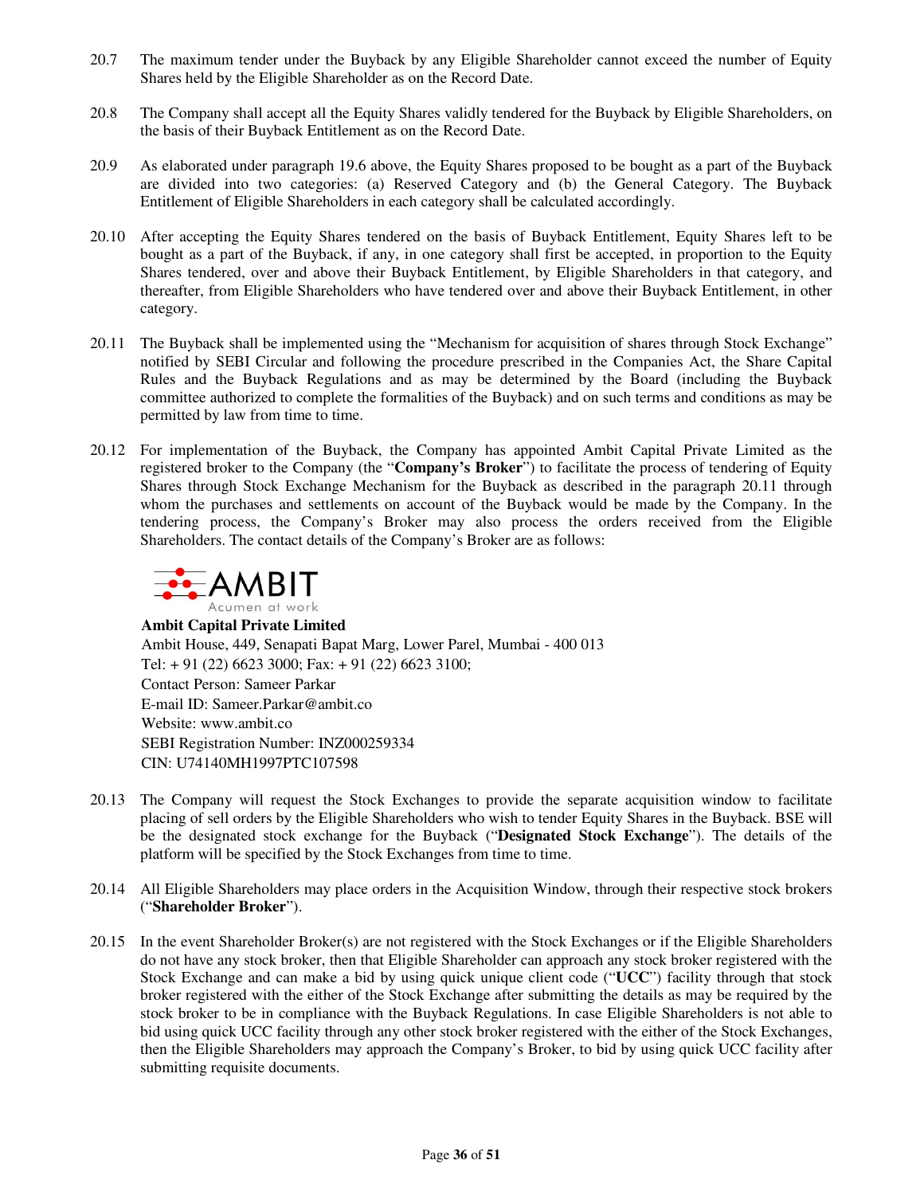- 20.7 The maximum tender under the Buyback by any Eligible Shareholder cannot exceed the number of Equity Shares held by the Eligible Shareholder as on the Record Date.
- 20.8 The Company shall accept all the Equity Shares validly tendered for the Buyback by Eligible Shareholders, on the basis of their Buyback Entitlement as on the Record Date.
- 20.9 As elaborated under paragraph 19.6 above, the Equity Shares proposed to be bought as a part of the Buyback are divided into two categories: (a) Reserved Category and (b) the General Category. The Buyback Entitlement of Eligible Shareholders in each category shall be calculated accordingly.
- 20.10 After accepting the Equity Shares tendered on the basis of Buyback Entitlement, Equity Shares left to be bought as a part of the Buyback, if any, in one category shall first be accepted, in proportion to the Equity Shares tendered, over and above their Buyback Entitlement, by Eligible Shareholders in that category, and thereafter, from Eligible Shareholders who have tendered over and above their Buyback Entitlement, in other category.
- 20.11 The Buyback shall be implemented using the "Mechanism for acquisition of shares through Stock Exchange" notified by SEBI Circular and following the procedure prescribed in the Companies Act, the Share Capital Rules and the Buyback Regulations and as may be determined by the Board (including the Buyback committee authorized to complete the formalities of the Buyback) and on such terms and conditions as may be permitted by law from time to time.
- 20.12 For implementation of the Buyback, the Company has appointed Ambit Capital Private Limited as the registered broker to the Company (the "**Company's Broker**") to facilitate the process of tendering of Equity Shares through Stock Exchange Mechanism for the Buyback as described in the paragraph 20.11 through whom the purchases and settlements on account of the Buyback would be made by the Company. In the tendering process, the Company's Broker may also process the orders received from the Eligible Shareholders. The contact details of the Company's Broker are as follows:



**Ambit Capital Private Limited**  Ambit House, 449, Senapati Bapat Marg, Lower Parel, Mumbai - 400 013 Tel: + 91 (22) 6623 3000; Fax: + 91 (22) 6623 3100; Contact Person: Sameer Parkar E-mail ID: Sameer.Parkar@ambit.co Website: www.ambit.co SEBI Registration Number: INZ000259334 CIN: U74140MH1997PTC107598

- 20.13 The Company will request the Stock Exchanges to provide the separate acquisition window to facilitate placing of sell orders by the Eligible Shareholders who wish to tender Equity Shares in the Buyback. BSE will be the designated stock exchange for the Buyback ("**Designated Stock Exchange**"). The details of the platform will be specified by the Stock Exchanges from time to time.
- 20.14 All Eligible Shareholders may place orders in the Acquisition Window, through their respective stock brokers ("**Shareholder Broker**").
- 20.15 In the event Shareholder Broker(s) are not registered with the Stock Exchanges or if the Eligible Shareholders do not have any stock broker, then that Eligible Shareholder can approach any stock broker registered with the Stock Exchange and can make a bid by using quick unique client code ("**UCC**") facility through that stock broker registered with the either of the Stock Exchange after submitting the details as may be required by the stock broker to be in compliance with the Buyback Regulations. In case Eligible Shareholders is not able to bid using quick UCC facility through any other stock broker registered with the either of the Stock Exchanges, then the Eligible Shareholders may approach the Company's Broker, to bid by using quick UCC facility after submitting requisite documents.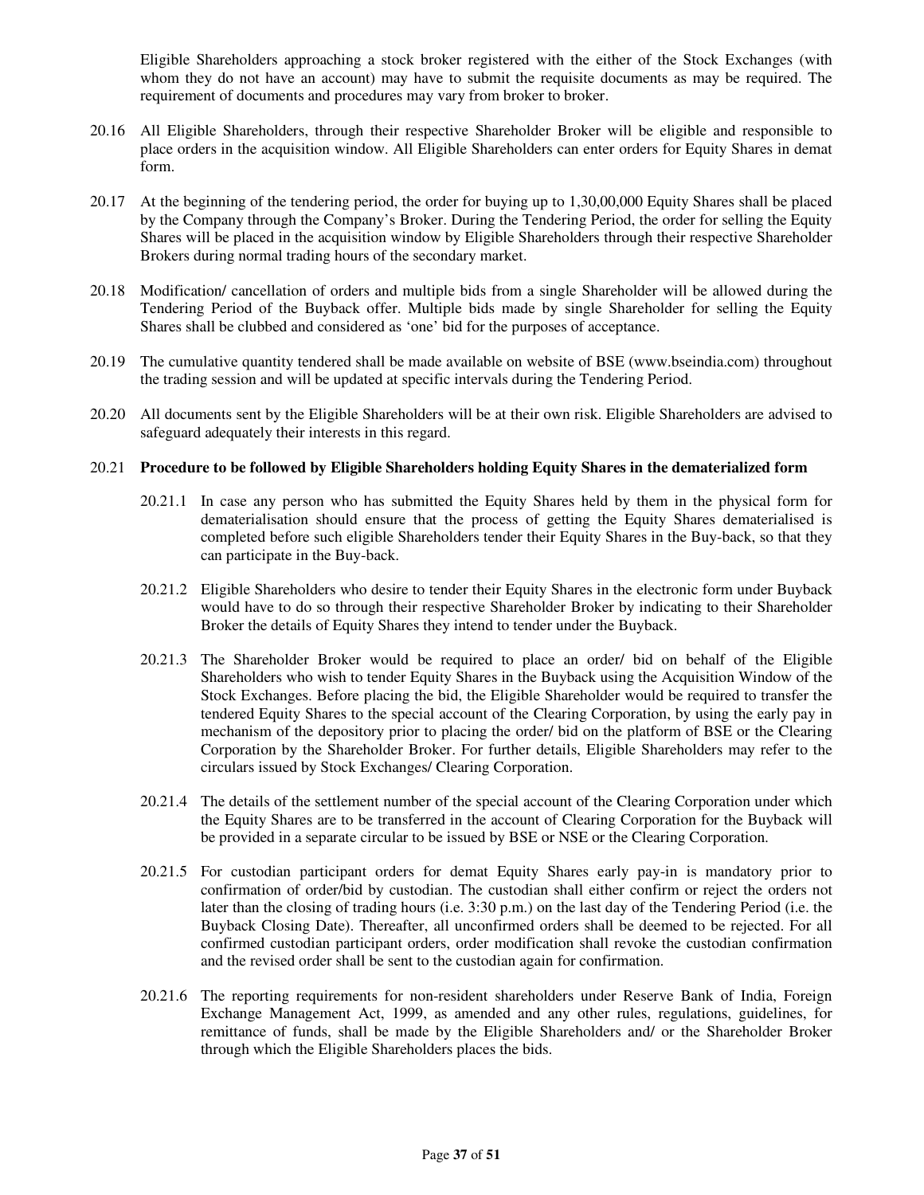Eligible Shareholders approaching a stock broker registered with the either of the Stock Exchanges (with whom they do not have an account) may have to submit the requisite documents as may be required. The requirement of documents and procedures may vary from broker to broker.

- 20.16 All Eligible Shareholders, through their respective Shareholder Broker will be eligible and responsible to place orders in the acquisition window. All Eligible Shareholders can enter orders for Equity Shares in demat form.
- 20.17 At the beginning of the tendering period, the order for buying up to 1,30,00,000 Equity Shares shall be placed by the Company through the Company's Broker. During the Tendering Period, the order for selling the Equity Shares will be placed in the acquisition window by Eligible Shareholders through their respective Shareholder Brokers during normal trading hours of the secondary market.
- 20.18 Modification/ cancellation of orders and multiple bids from a single Shareholder will be allowed during the Tendering Period of the Buyback offer. Multiple bids made by single Shareholder for selling the Equity Shares shall be clubbed and considered as 'one' bid for the purposes of acceptance.
- 20.19 The cumulative quantity tendered shall be made available on website of BSE (www.bseindia.com) throughout the trading session and will be updated at specific intervals during the Tendering Period.
- 20.20 All documents sent by the Eligible Shareholders will be at their own risk. Eligible Shareholders are advised to safeguard adequately their interests in this regard.

#### 20.21 **Procedure to be followed by Eligible Shareholders holding Equity Shares in the dematerialized form**

- 20.21.1 In case any person who has submitted the Equity Shares held by them in the physical form for dematerialisation should ensure that the process of getting the Equity Shares dematerialised is completed before such eligible Shareholders tender their Equity Shares in the Buy-back, so that they can participate in the Buy-back.
- 20.21.2 Eligible Shareholders who desire to tender their Equity Shares in the electronic form under Buyback would have to do so through their respective Shareholder Broker by indicating to their Shareholder Broker the details of Equity Shares they intend to tender under the Buyback.
- 20.21.3 The Shareholder Broker would be required to place an order/ bid on behalf of the Eligible Shareholders who wish to tender Equity Shares in the Buyback using the Acquisition Window of the Stock Exchanges. Before placing the bid, the Eligible Shareholder would be required to transfer the tendered Equity Shares to the special account of the Clearing Corporation, by using the early pay in mechanism of the depository prior to placing the order/ bid on the platform of BSE or the Clearing Corporation by the Shareholder Broker. For further details, Eligible Shareholders may refer to the circulars issued by Stock Exchanges/ Clearing Corporation.
- 20.21.4 The details of the settlement number of the special account of the Clearing Corporation under which the Equity Shares are to be transferred in the account of Clearing Corporation for the Buyback will be provided in a separate circular to be issued by BSE or NSE or the Clearing Corporation.
- 20.21.5 For custodian participant orders for demat Equity Shares early pay-in is mandatory prior to confirmation of order/bid by custodian. The custodian shall either confirm or reject the orders not later than the closing of trading hours (i.e. 3:30 p.m.) on the last day of the Tendering Period (i.e. the Buyback Closing Date). Thereafter, all unconfirmed orders shall be deemed to be rejected. For all confirmed custodian participant orders, order modification shall revoke the custodian confirmation and the revised order shall be sent to the custodian again for confirmation.
- 20.21.6 The reporting requirements for non-resident shareholders under Reserve Bank of India, Foreign Exchange Management Act, 1999, as amended and any other rules, regulations, guidelines, for remittance of funds, shall be made by the Eligible Shareholders and/ or the Shareholder Broker through which the Eligible Shareholders places the bids.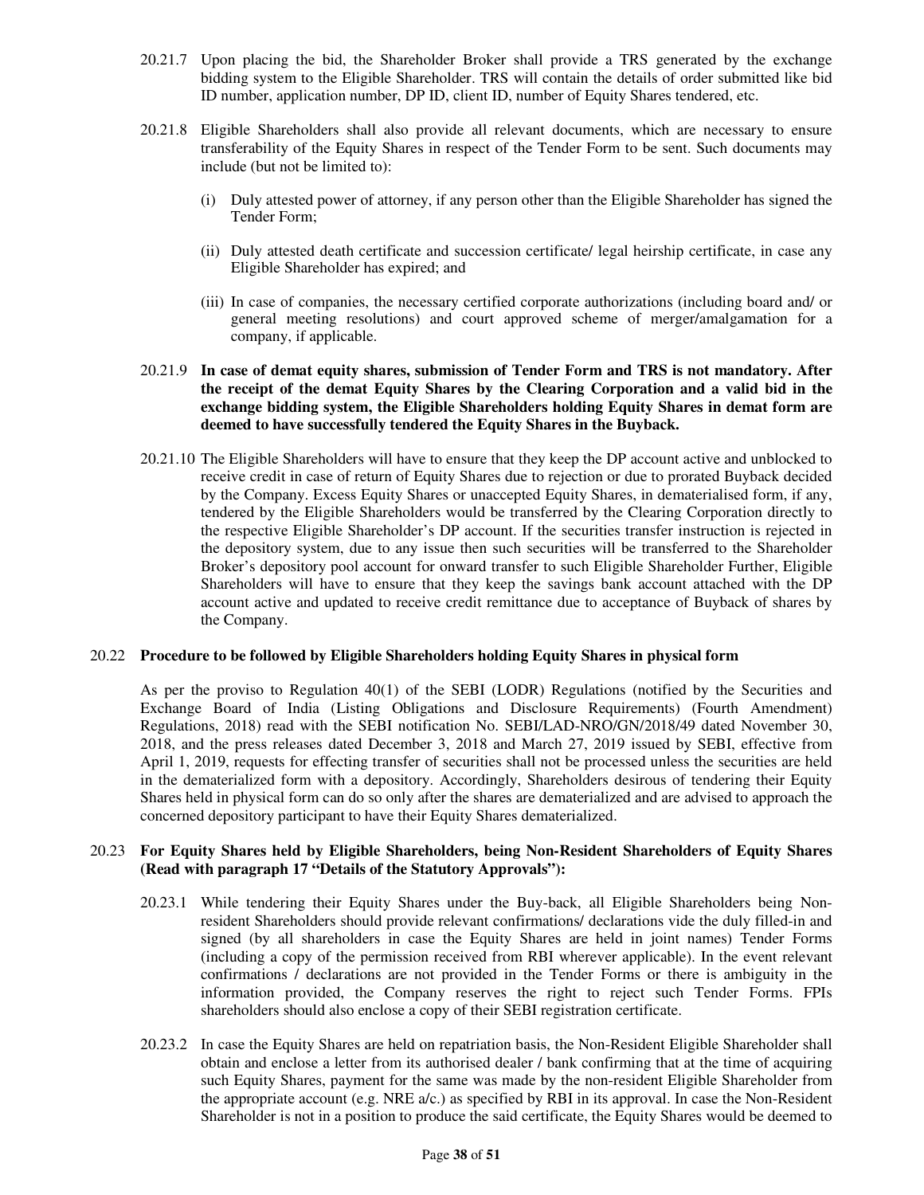- 20.21.7 Upon placing the bid, the Shareholder Broker shall provide a TRS generated by the exchange bidding system to the Eligible Shareholder. TRS will contain the details of order submitted like bid ID number, application number, DP ID, client ID, number of Equity Shares tendered, etc.
- 20.21.8 Eligible Shareholders shall also provide all relevant documents, which are necessary to ensure transferability of the Equity Shares in respect of the Tender Form to be sent. Such documents may include (but not be limited to):
	- (i) Duly attested power of attorney, if any person other than the Eligible Shareholder has signed the Tender Form;
	- (ii) Duly attested death certificate and succession certificate/ legal heirship certificate, in case any Eligible Shareholder has expired; and
	- (iii) In case of companies, the necessary certified corporate authorizations (including board and/ or general meeting resolutions) and court approved scheme of merger/amalgamation for a company, if applicable.
- 20.21.9 **In case of demat equity shares, submission of Tender Form and TRS is not mandatory. After the receipt of the demat Equity Shares by the Clearing Corporation and a valid bid in the exchange bidding system, the Eligible Shareholders holding Equity Shares in demat form are deemed to have successfully tendered the Equity Shares in the Buyback.**
- 20.21.10 The Eligible Shareholders will have to ensure that they keep the DP account active and unblocked to receive credit in case of return of Equity Shares due to rejection or due to prorated Buyback decided by the Company. Excess Equity Shares or unaccepted Equity Shares, in dematerialised form, if any, tendered by the Eligible Shareholders would be transferred by the Clearing Corporation directly to the respective Eligible Shareholder's DP account. If the securities transfer instruction is rejected in the depository system, due to any issue then such securities will be transferred to the Shareholder Broker's depository pool account for onward transfer to such Eligible Shareholder Further, Eligible Shareholders will have to ensure that they keep the savings bank account attached with the DP account active and updated to receive credit remittance due to acceptance of Buyback of shares by the Company.

## 20.22 **Procedure to be followed by Eligible Shareholders holding Equity Shares in physical form**

As per the proviso to Regulation 40(1) of the SEBI (LODR) Regulations (notified by the Securities and Exchange Board of India (Listing Obligations and Disclosure Requirements) (Fourth Amendment) Regulations, 2018) read with the SEBI notification No. SEBI/LAD-NRO/GN/2018/49 dated November 30, 2018, and the press releases dated December 3, 2018 and March 27, 2019 issued by SEBI, effective from April 1, 2019, requests for effecting transfer of securities shall not be processed unless the securities are held in the dematerialized form with a depository. Accordingly, Shareholders desirous of tendering their Equity Shares held in physical form can do so only after the shares are dematerialized and are advised to approach the concerned depository participant to have their Equity Shares dematerialized.

## 20.23 **For Equity Shares held by Eligible Shareholders, being Non-Resident Shareholders of Equity Shares (Read with paragraph 17 "Details of the Statutory Approvals"):**

- 20.23.1 While tendering their Equity Shares under the Buy-back, all Eligible Shareholders being Nonresident Shareholders should provide relevant confirmations/ declarations vide the duly filled-in and signed (by all shareholders in case the Equity Shares are held in joint names) Tender Forms (including a copy of the permission received from RBI wherever applicable). In the event relevant confirmations / declarations are not provided in the Tender Forms or there is ambiguity in the information provided, the Company reserves the right to reject such Tender Forms. FPIs shareholders should also enclose a copy of their SEBI registration certificate.
- 20.23.2 In case the Equity Shares are held on repatriation basis, the Non-Resident Eligible Shareholder shall obtain and enclose a letter from its authorised dealer / bank confirming that at the time of acquiring such Equity Shares, payment for the same was made by the non-resident Eligible Shareholder from the appropriate account (e.g. NRE a/c.) as specified by RBI in its approval. In case the Non-Resident Shareholder is not in a position to produce the said certificate, the Equity Shares would be deemed to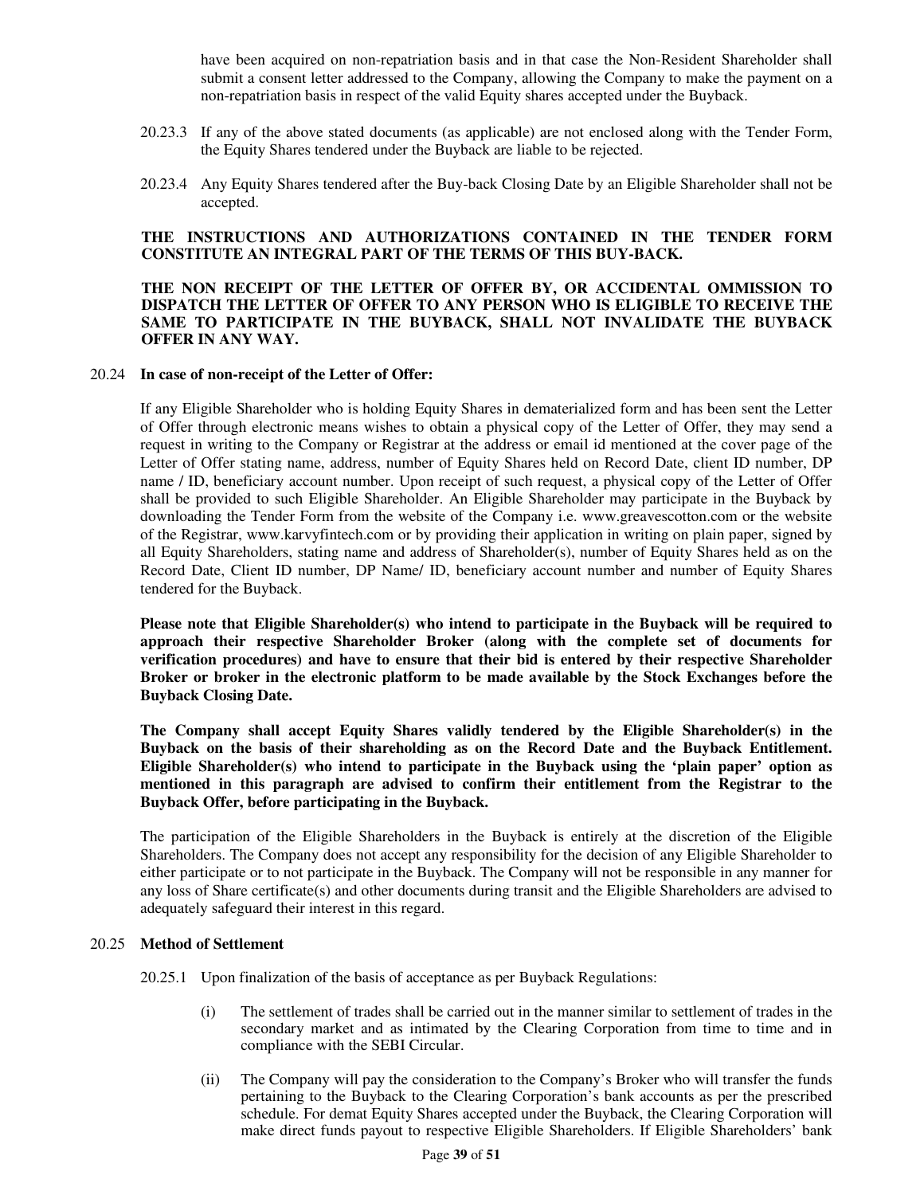have been acquired on non-repatriation basis and in that case the Non-Resident Shareholder shall submit a consent letter addressed to the Company, allowing the Company to make the payment on a non-repatriation basis in respect of the valid Equity shares accepted under the Buyback.

- 20.23.3 If any of the above stated documents (as applicable) are not enclosed along with the Tender Form, the Equity Shares tendered under the Buyback are liable to be rejected.
- 20.23.4 Any Equity Shares tendered after the Buy-back Closing Date by an Eligible Shareholder shall not be accepted.

## **THE INSTRUCTIONS AND AUTHORIZATIONS CONTAINED IN THE TENDER FORM CONSTITUTE AN INTEGRAL PART OF THE TERMS OF THIS BUY-BACK.**

### **THE NON RECEIPT OF THE LETTER OF OFFER BY, OR ACCIDENTAL OMMISSION TO DISPATCH THE LETTER OF OFFER TO ANY PERSON WHO IS ELIGIBLE TO RECEIVE THE SAME TO PARTICIPATE IN THE BUYBACK, SHALL NOT INVALIDATE THE BUYBACK OFFER IN ANY WAY.**

#### 20.24 **In case of non-receipt of the Letter of Offer:**

If any Eligible Shareholder who is holding Equity Shares in dematerialized form and has been sent the Letter of Offer through electronic means wishes to obtain a physical copy of the Letter of Offer, they may send a request in writing to the Company or Registrar at the address or email id mentioned at the cover page of the Letter of Offer stating name, address, number of Equity Shares held on Record Date, client ID number, DP name / ID, beneficiary account number. Upon receipt of such request, a physical copy of the Letter of Offer shall be provided to such Eligible Shareholder. An Eligible Shareholder may participate in the Buyback by downloading the Tender Form from the website of the Company i.e. www.greavescotton.com or the website of the Registrar, www.karvyfintech.com or by providing their application in writing on plain paper, signed by all Equity Shareholders, stating name and address of Shareholder(s), number of Equity Shares held as on the Record Date, Client ID number, DP Name/ ID, beneficiary account number and number of Equity Shares tendered for the Buyback.

**Please note that Eligible Shareholder(s) who intend to participate in the Buyback will be required to approach their respective Shareholder Broker (along with the complete set of documents for verification procedures) and have to ensure that their bid is entered by their respective Shareholder Broker or broker in the electronic platform to be made available by the Stock Exchanges before the Buyback Closing Date.** 

**The Company shall accept Equity Shares validly tendered by the Eligible Shareholder(s) in the Buyback on the basis of their shareholding as on the Record Date and the Buyback Entitlement. Eligible Shareholder(s) who intend to participate in the Buyback using the 'plain paper' option as mentioned in this paragraph are advised to confirm their entitlement from the Registrar to the Buyback Offer, before participating in the Buyback.**

The participation of the Eligible Shareholders in the Buyback is entirely at the discretion of the Eligible Shareholders. The Company does not accept any responsibility for the decision of any Eligible Shareholder to either participate or to not participate in the Buyback. The Company will not be responsible in any manner for any loss of Share certificate(s) and other documents during transit and the Eligible Shareholders are advised to adequately safeguard their interest in this regard.

#### 20.25 **Method of Settlement**

20.25.1 Upon finalization of the basis of acceptance as per Buyback Regulations:

- (i) The settlement of trades shall be carried out in the manner similar to settlement of trades in the secondary market and as intimated by the Clearing Corporation from time to time and in compliance with the SEBI Circular.
- (ii) The Company will pay the consideration to the Company's Broker who will transfer the funds pertaining to the Buyback to the Clearing Corporation's bank accounts as per the prescribed schedule. For demat Equity Shares accepted under the Buyback, the Clearing Corporation will make direct funds payout to respective Eligible Shareholders. If Eligible Shareholders' bank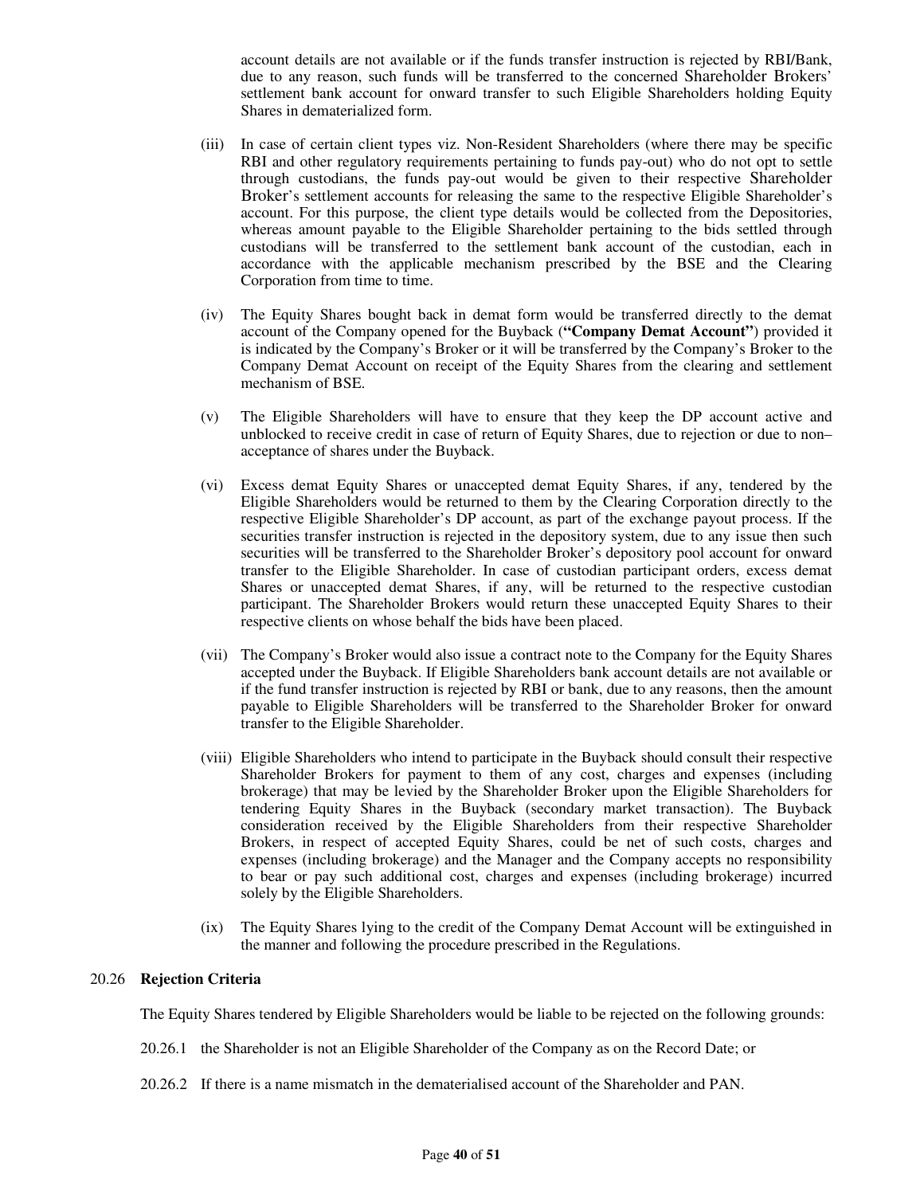account details are not available or if the funds transfer instruction is rejected by RBI/Bank, due to any reason, such funds will be transferred to the concerned Shareholder Brokers' settlement bank account for onward transfer to such Eligible Shareholders holding Equity Shares in dematerialized form.

- (iii) In case of certain client types viz. Non-Resident Shareholders (where there may be specific RBI and other regulatory requirements pertaining to funds pay-out) who do not opt to settle through custodians, the funds pay-out would be given to their respective Shareholder Broker's settlement accounts for releasing the same to the respective Eligible Shareholder's account. For this purpose, the client type details would be collected from the Depositories, whereas amount payable to the Eligible Shareholder pertaining to the bids settled through custodians will be transferred to the settlement bank account of the custodian, each in accordance with the applicable mechanism prescribed by the BSE and the Clearing Corporation from time to time.
- (iv) The Equity Shares bought back in demat form would be transferred directly to the demat account of the Company opened for the Buyback (**"Company Demat Account"**) provided it is indicated by the Company's Broker or it will be transferred by the Company's Broker to the Company Demat Account on receipt of the Equity Shares from the clearing and settlement mechanism of BSE.
- (v) The Eligible Shareholders will have to ensure that they keep the DP account active and unblocked to receive credit in case of return of Equity Shares, due to rejection or due to non– acceptance of shares under the Buyback.
- (vi) Excess demat Equity Shares or unaccepted demat Equity Shares, if any, tendered by the Eligible Shareholders would be returned to them by the Clearing Corporation directly to the respective Eligible Shareholder's DP account, as part of the exchange payout process. If the securities transfer instruction is rejected in the depository system, due to any issue then such securities will be transferred to the Shareholder Broker's depository pool account for onward transfer to the Eligible Shareholder. In case of custodian participant orders, excess demat Shares or unaccepted demat Shares, if any, will be returned to the respective custodian participant. The Shareholder Brokers would return these unaccepted Equity Shares to their respective clients on whose behalf the bids have been placed.
- (vii) The Company's Broker would also issue a contract note to the Company for the Equity Shares accepted under the Buyback. If Eligible Shareholders bank account details are not available or if the fund transfer instruction is rejected by RBI or bank, due to any reasons, then the amount payable to Eligible Shareholders will be transferred to the Shareholder Broker for onward transfer to the Eligible Shareholder.
- (viii) Eligible Shareholders who intend to participate in the Buyback should consult their respective Shareholder Brokers for payment to them of any cost, charges and expenses (including brokerage) that may be levied by the Shareholder Broker upon the Eligible Shareholders for tendering Equity Shares in the Buyback (secondary market transaction). The Buyback consideration received by the Eligible Shareholders from their respective Shareholder Brokers, in respect of accepted Equity Shares, could be net of such costs, charges and expenses (including brokerage) and the Manager and the Company accepts no responsibility to bear or pay such additional cost, charges and expenses (including brokerage) incurred solely by the Eligible Shareholders.
- (ix) The Equity Shares lying to the credit of the Company Demat Account will be extinguished in the manner and following the procedure prescribed in the Regulations.

#### 20.26 **Rejection Criteria**

The Equity Shares tendered by Eligible Shareholders would be liable to be rejected on the following grounds:

- 20.26.1 the Shareholder is not an Eligible Shareholder of the Company as on the Record Date; or
- 20.26.2 If there is a name mismatch in the dematerialised account of the Shareholder and PAN.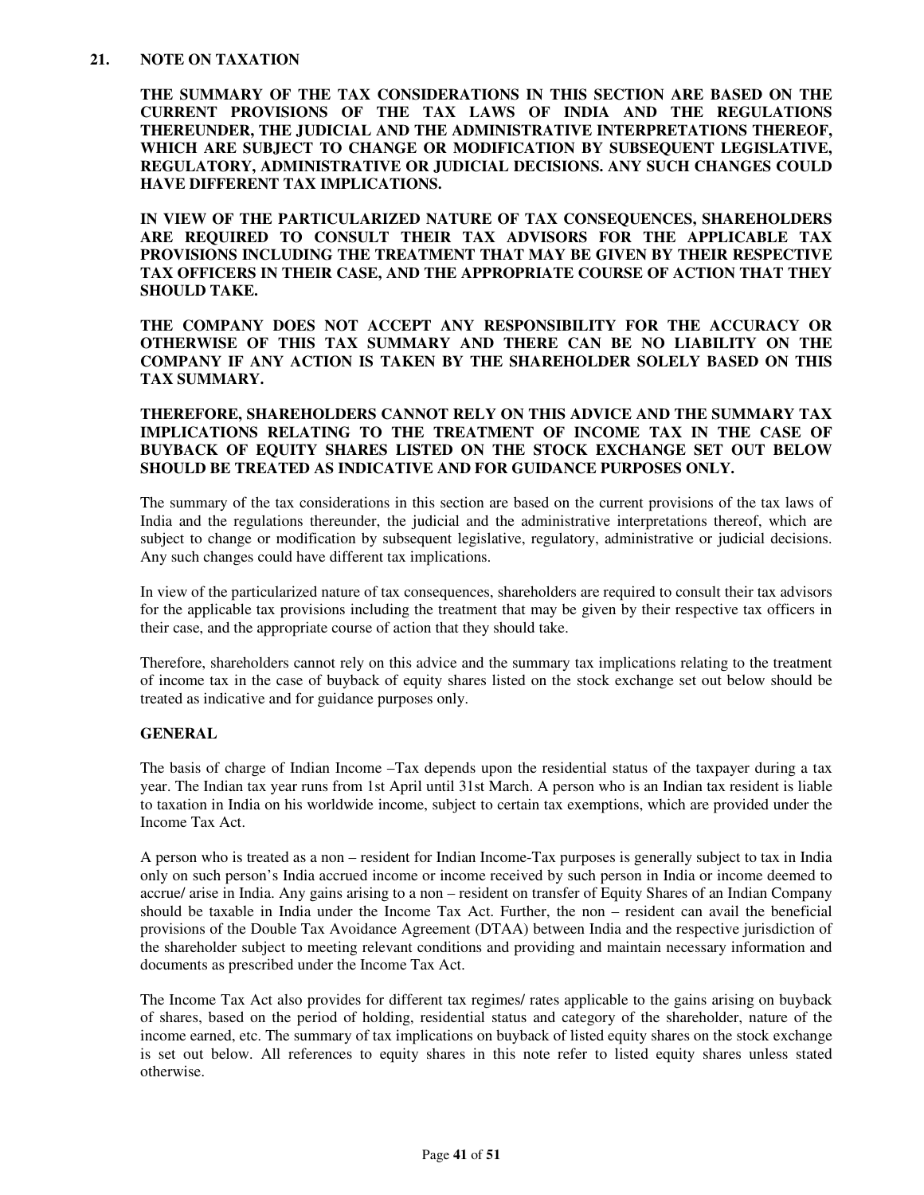## **21. NOTE ON TAXATION**

**THE SUMMARY OF THE TAX CONSIDERATIONS IN THIS SECTION ARE BASED ON THE CURRENT PROVISIONS OF THE TAX LAWS OF INDIA AND THE REGULATIONS THEREUNDER, THE JUDICIAL AND THE ADMINISTRATIVE INTERPRETATIONS THEREOF, WHICH ARE SUBJECT TO CHANGE OR MODIFICATION BY SUBSEQUENT LEGISLATIVE, REGULATORY, ADMINISTRATIVE OR JUDICIAL DECISIONS. ANY SUCH CHANGES COULD HAVE DIFFERENT TAX IMPLICATIONS.** 

**IN VIEW OF THE PARTICULARIZED NATURE OF TAX CONSEQUENCES, SHAREHOLDERS ARE REQUIRED TO CONSULT THEIR TAX ADVISORS FOR THE APPLICABLE TAX PROVISIONS INCLUDING THE TREATMENT THAT MAY BE GIVEN BY THEIR RESPECTIVE TAX OFFICERS IN THEIR CASE, AND THE APPROPRIATE COURSE OF ACTION THAT THEY SHOULD TAKE.** 

**THE COMPANY DOES NOT ACCEPT ANY RESPONSIBILITY FOR THE ACCURACY OR OTHERWISE OF THIS TAX SUMMARY AND THERE CAN BE NO LIABILITY ON THE COMPANY IF ANY ACTION IS TAKEN BY THE SHAREHOLDER SOLELY BASED ON THIS TAX SUMMARY.** 

## **THEREFORE, SHAREHOLDERS CANNOT RELY ON THIS ADVICE AND THE SUMMARY TAX IMPLICATIONS RELATING TO THE TREATMENT OF INCOME TAX IN THE CASE OF BUYBACK OF EQUITY SHARES LISTED ON THE STOCK EXCHANGE SET OUT BELOW SHOULD BE TREATED AS INDICATIVE AND FOR GUIDANCE PURPOSES ONLY.**

The summary of the tax considerations in this section are based on the current provisions of the tax laws of India and the regulations thereunder, the judicial and the administrative interpretations thereof, which are subject to change or modification by subsequent legislative, regulatory, administrative or judicial decisions. Any such changes could have different tax implications.

In view of the particularized nature of tax consequences, shareholders are required to consult their tax advisors for the applicable tax provisions including the treatment that may be given by their respective tax officers in their case, and the appropriate course of action that they should take.

Therefore, shareholders cannot rely on this advice and the summary tax implications relating to the treatment of income tax in the case of buyback of equity shares listed on the stock exchange set out below should be treated as indicative and for guidance purposes only.

## **GENERAL**

The basis of charge of Indian Income –Tax depends upon the residential status of the taxpayer during a tax year. The Indian tax year runs from 1st April until 31st March. A person who is an Indian tax resident is liable to taxation in India on his worldwide income, subject to certain tax exemptions, which are provided under the Income Tax Act.

A person who is treated as a non – resident for Indian Income-Tax purposes is generally subject to tax in India only on such person's India accrued income or income received by such person in India or income deemed to accrue/ arise in India. Any gains arising to a non – resident on transfer of Equity Shares of an Indian Company should be taxable in India under the Income Tax Act. Further, the non – resident can avail the beneficial provisions of the Double Tax Avoidance Agreement (DTAA) between India and the respective jurisdiction of the shareholder subject to meeting relevant conditions and providing and maintain necessary information and documents as prescribed under the Income Tax Act.

The Income Tax Act also provides for different tax regimes/ rates applicable to the gains arising on buyback of shares, based on the period of holding, residential status and category of the shareholder, nature of the income earned, etc. The summary of tax implications on buyback of listed equity shares on the stock exchange is set out below. All references to equity shares in this note refer to listed equity shares unless stated otherwise.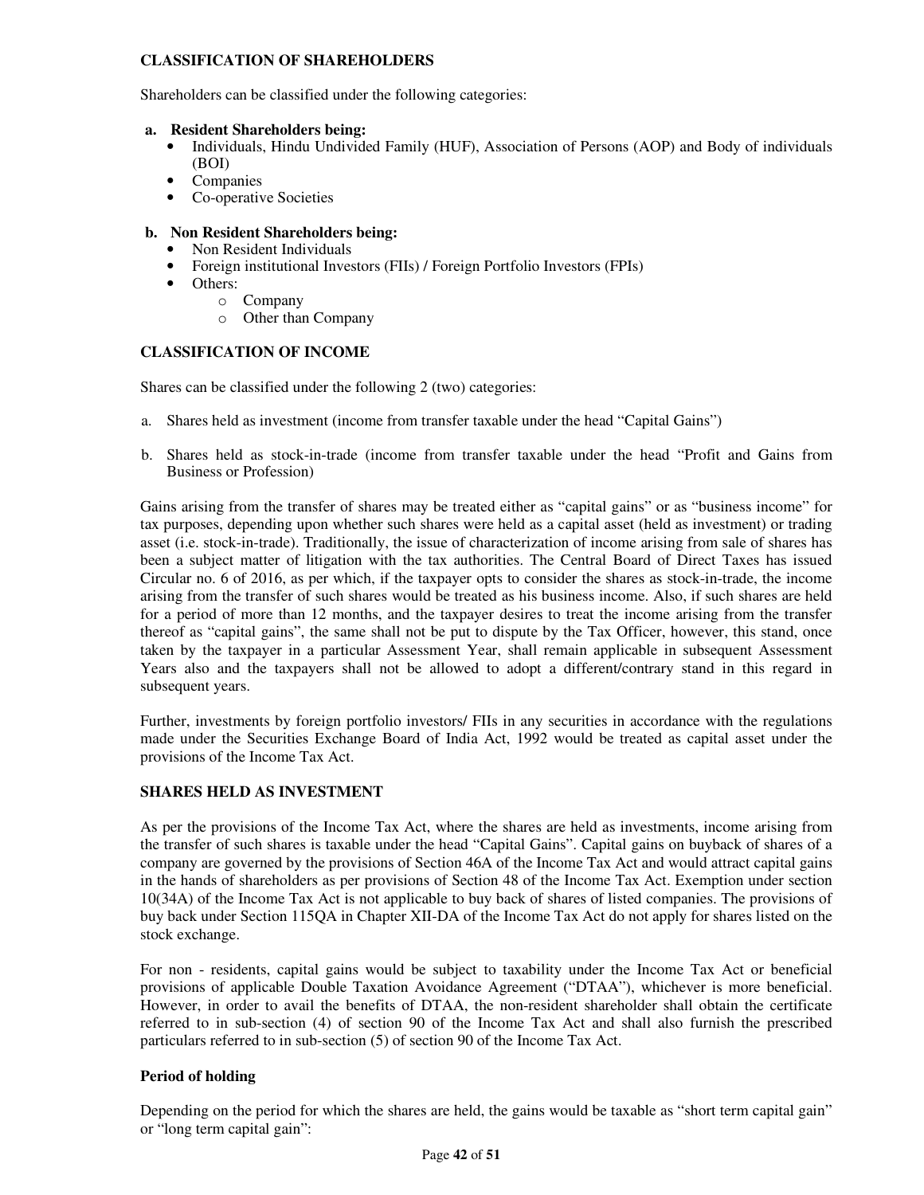## **CLASSIFICATION OF SHAREHOLDERS**

Shareholders can be classified under the following categories:

#### **a. Resident Shareholders being:**

- Individuals, Hindu Undivided Family (HUF), Association of Persons (AOP) and Body of individuals (BOI)
- Companies
- Co-operative Societies

## **b. Non Resident Shareholders being:**

- Non Resident Individuals
- Foreign institutional Investors (FIIs) / Foreign Portfolio Investors (FPIs)
- Others:
	- o Company
	- o Other than Company

## **CLASSIFICATION OF INCOME**

Shares can be classified under the following 2 (two) categories:

- a. Shares held as investment (income from transfer taxable under the head "Capital Gains")
- b. Shares held as stock-in-trade (income from transfer taxable under the head "Profit and Gains from Business or Profession)

Gains arising from the transfer of shares may be treated either as "capital gains" or as "business income" for tax purposes, depending upon whether such shares were held as a capital asset (held as investment) or trading asset (i.e. stock-in-trade). Traditionally, the issue of characterization of income arising from sale of shares has been a subject matter of litigation with the tax authorities. The Central Board of Direct Taxes has issued Circular no. 6 of 2016, as per which, if the taxpayer opts to consider the shares as stock-in-trade, the income arising from the transfer of such shares would be treated as his business income. Also, if such shares are held for a period of more than 12 months, and the taxpayer desires to treat the income arising from the transfer thereof as "capital gains", the same shall not be put to dispute by the Tax Officer, however, this stand, once taken by the taxpayer in a particular Assessment Year, shall remain applicable in subsequent Assessment Years also and the taxpayers shall not be allowed to adopt a different/contrary stand in this regard in subsequent years.

Further, investments by foreign portfolio investors/ FIIs in any securities in accordance with the regulations made under the Securities Exchange Board of India Act, 1992 would be treated as capital asset under the provisions of the Income Tax Act.

## **SHARES HELD AS INVESTMENT**

As per the provisions of the Income Tax Act, where the shares are held as investments, income arising from the transfer of such shares is taxable under the head "Capital Gains". Capital gains on buyback of shares of a company are governed by the provisions of Section 46A of the Income Tax Act and would attract capital gains in the hands of shareholders as per provisions of Section 48 of the Income Tax Act. Exemption under section 10(34A) of the Income Tax Act is not applicable to buy back of shares of listed companies. The provisions of buy back under Section 115QA in Chapter XII-DA of the Income Tax Act do not apply for shares listed on the stock exchange.

For non - residents, capital gains would be subject to taxability under the Income Tax Act or beneficial provisions of applicable Double Taxation Avoidance Agreement ("DTAA"), whichever is more beneficial. However, in order to avail the benefits of DTAA, the non-resident shareholder shall obtain the certificate referred to in sub-section (4) of section 90 of the Income Tax Act and shall also furnish the prescribed particulars referred to in sub-section (5) of section 90 of the Income Tax Act.

## **Period of holding**

Depending on the period for which the shares are held, the gains would be taxable as "short term capital gain" or "long term capital gain":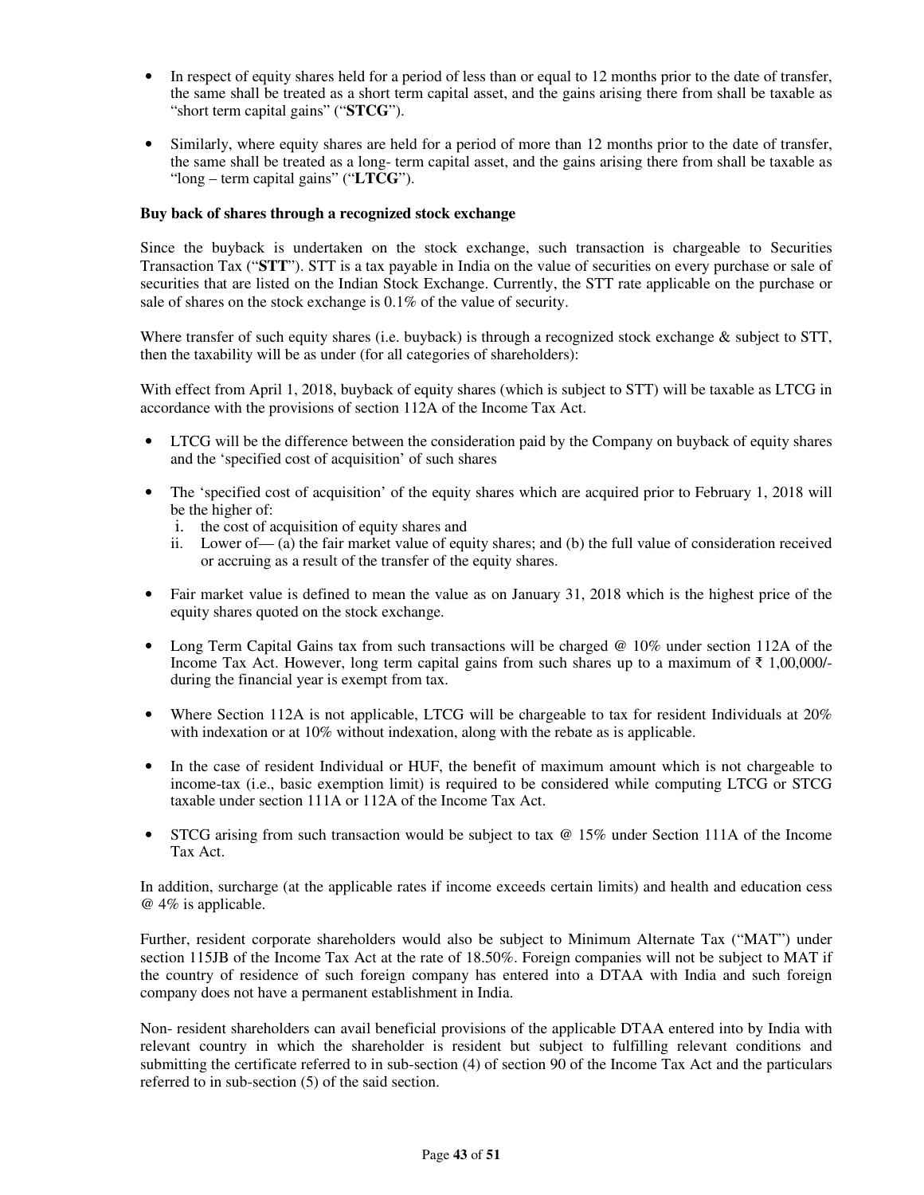- In respect of equity shares held for a period of less than or equal to 12 months prior to the date of transfer, the same shall be treated as a short term capital asset, and the gains arising there from shall be taxable as "short term capital gains" ("**STCG**").
- Similarly, where equity shares are held for a period of more than 12 months prior to the date of transfer, the same shall be treated as a long- term capital asset, and the gains arising there from shall be taxable as "long – term capital gains" ("**LTCG**").

## **Buy back of shares through a recognized stock exchange**

Since the buyback is undertaken on the stock exchange, such transaction is chargeable to Securities Transaction Tax ("**STT**"). STT is a tax payable in India on the value of securities on every purchase or sale of securities that are listed on the Indian Stock Exchange. Currently, the STT rate applicable on the purchase or sale of shares on the stock exchange is 0.1% of the value of security.

Where transfer of such equity shares (i.e. buyback) is through a recognized stock exchange & subject to STT, then the taxability will be as under (for all categories of shareholders):

With effect from April 1, 2018, buyback of equity shares (which is subject to STT) will be taxable as LTCG in accordance with the provisions of section 112A of the Income Tax Act.

- LTCG will be the difference between the consideration paid by the Company on buyback of equity shares and the 'specified cost of acquisition' of such shares
- The 'specified cost of acquisition' of the equity shares which are acquired prior to February 1, 2018 will be the higher of:
	- i. the cost of acquisition of equity shares and
	- ii. Lower of— (a) the fair market value of equity shares; and (b) the full value of consideration received or accruing as a result of the transfer of the equity shares.
- Fair market value is defined to mean the value as on January 31, 2018 which is the highest price of the equity shares quoted on the stock exchange.
- Long Term Capital Gains tax from such transactions will be charged @ 10% under section 112A of the Income Tax Act. However, long term capital gains from such shares up to a maximum of ₹ 1,00,000/ during the financial year is exempt from tax.
- Where Section 112A is not applicable, LTCG will be chargeable to tax for resident Individuals at 20% with indexation or at 10% without indexation, along with the rebate as is applicable.
- In the case of resident Individual or HUF, the benefit of maximum amount which is not chargeable to income-tax (i.e., basic exemption limit) is required to be considered while computing LTCG or STCG taxable under section 111A or 112A of the Income Tax Act.
- STCG arising from such transaction would be subject to tax @ 15% under Section 111A of the Income Tax Act.

In addition, surcharge (at the applicable rates if income exceeds certain limits) and health and education cess @ 4% is applicable.

Further, resident corporate shareholders would also be subject to Minimum Alternate Tax ("MAT") under section 115JB of the Income Tax Act at the rate of 18.50%. Foreign companies will not be subject to MAT if the country of residence of such foreign company has entered into a DTAA with India and such foreign company does not have a permanent establishment in India.

Non- resident shareholders can avail beneficial provisions of the applicable DTAA entered into by India with relevant country in which the shareholder is resident but subject to fulfilling relevant conditions and submitting the certificate referred to in sub-section (4) of section 90 of the Income Tax Act and the particulars referred to in sub-section (5) of the said section.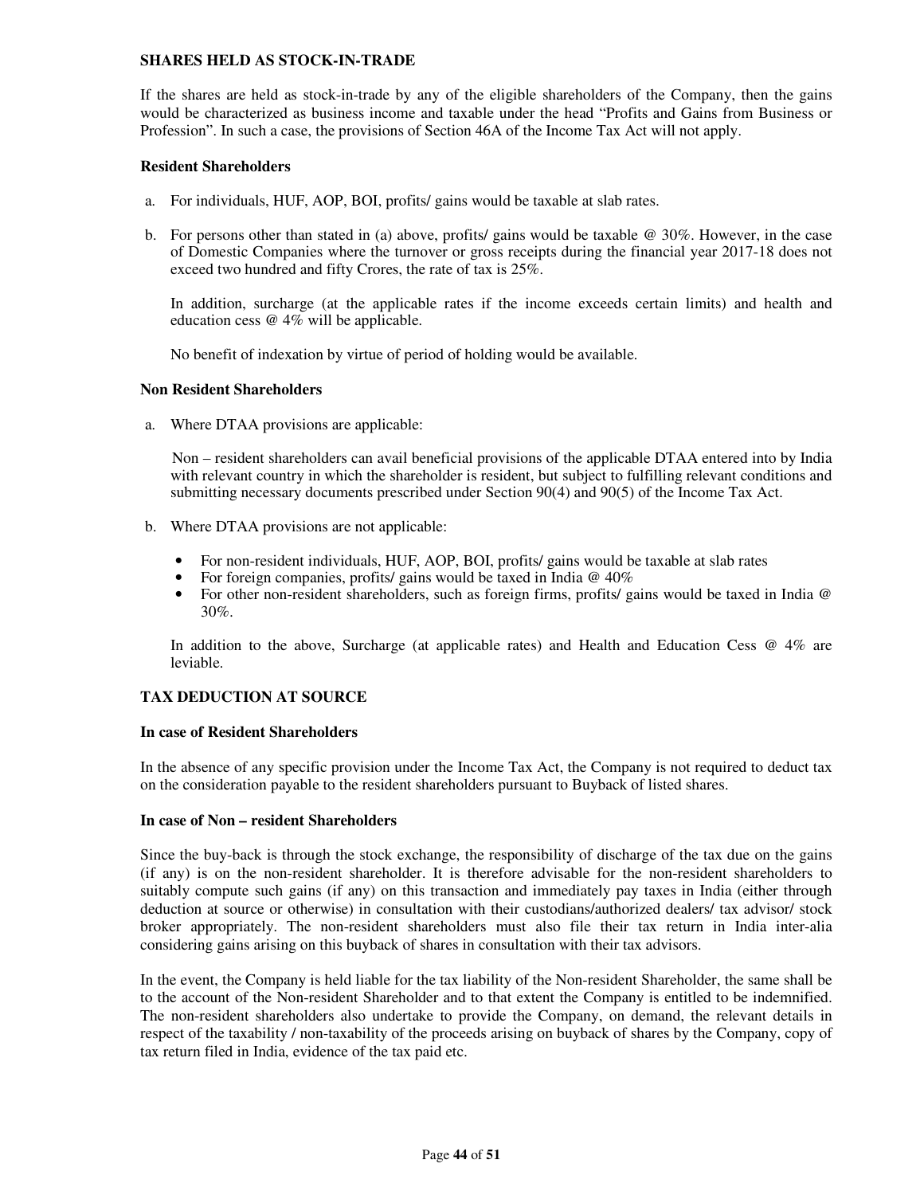#### **SHARES HELD AS STOCK-IN-TRADE**

If the shares are held as stock-in-trade by any of the eligible shareholders of the Company, then the gains would be characterized as business income and taxable under the head "Profits and Gains from Business or Profession". In such a case, the provisions of Section 46A of the Income Tax Act will not apply.

### **Resident Shareholders**

- a. For individuals, HUF, AOP, BOI, profits/ gains would be taxable at slab rates.
- b. For persons other than stated in (a) above, profits/ gains would be taxable @ 30%. However, in the case of Domestic Companies where the turnover or gross receipts during the financial year 2017-18 does not exceed two hundred and fifty Crores, the rate of tax is 25%.

In addition, surcharge (at the applicable rates if the income exceeds certain limits) and health and education cess @ 4% will be applicable.

No benefit of indexation by virtue of period of holding would be available.

#### **Non Resident Shareholders**

a. Where DTAA provisions are applicable:

Non – resident shareholders can avail beneficial provisions of the applicable DTAA entered into by India with relevant country in which the shareholder is resident, but subject to fulfilling relevant conditions and submitting necessary documents prescribed under Section 90(4) and 90(5) of the Income Tax Act.

- b. Where DTAA provisions are not applicable:
	- For non-resident individuals, HUF, AOP, BOI, profits/ gains would be taxable at slab rates
	- For foreign companies, profits/ gains would be taxed in India @ 40%
	- For other non-resident shareholders, such as foreign firms, profits/ gains would be taxed in India @ 30%.

In addition to the above, Surcharge (at applicable rates) and Health and Education Cess @ 4% are leviable.

## **TAX DEDUCTION AT SOURCE**

#### **In case of Resident Shareholders**

In the absence of any specific provision under the Income Tax Act, the Company is not required to deduct tax on the consideration payable to the resident shareholders pursuant to Buyback of listed shares.

#### **In case of Non – resident Shareholders**

Since the buy-back is through the stock exchange, the responsibility of discharge of the tax due on the gains (if any) is on the non-resident shareholder. It is therefore advisable for the non-resident shareholders to suitably compute such gains (if any) on this transaction and immediately pay taxes in India (either through deduction at source or otherwise) in consultation with their custodians/authorized dealers/ tax advisor/ stock broker appropriately. The non-resident shareholders must also file their tax return in India inter-alia considering gains arising on this buyback of shares in consultation with their tax advisors.

In the event, the Company is held liable for the tax liability of the Non-resident Shareholder, the same shall be to the account of the Non-resident Shareholder and to that extent the Company is entitled to be indemnified. The non-resident shareholders also undertake to provide the Company, on demand, the relevant details in respect of the taxability / non-taxability of the proceeds arising on buyback of shares by the Company, copy of tax return filed in India, evidence of the tax paid etc.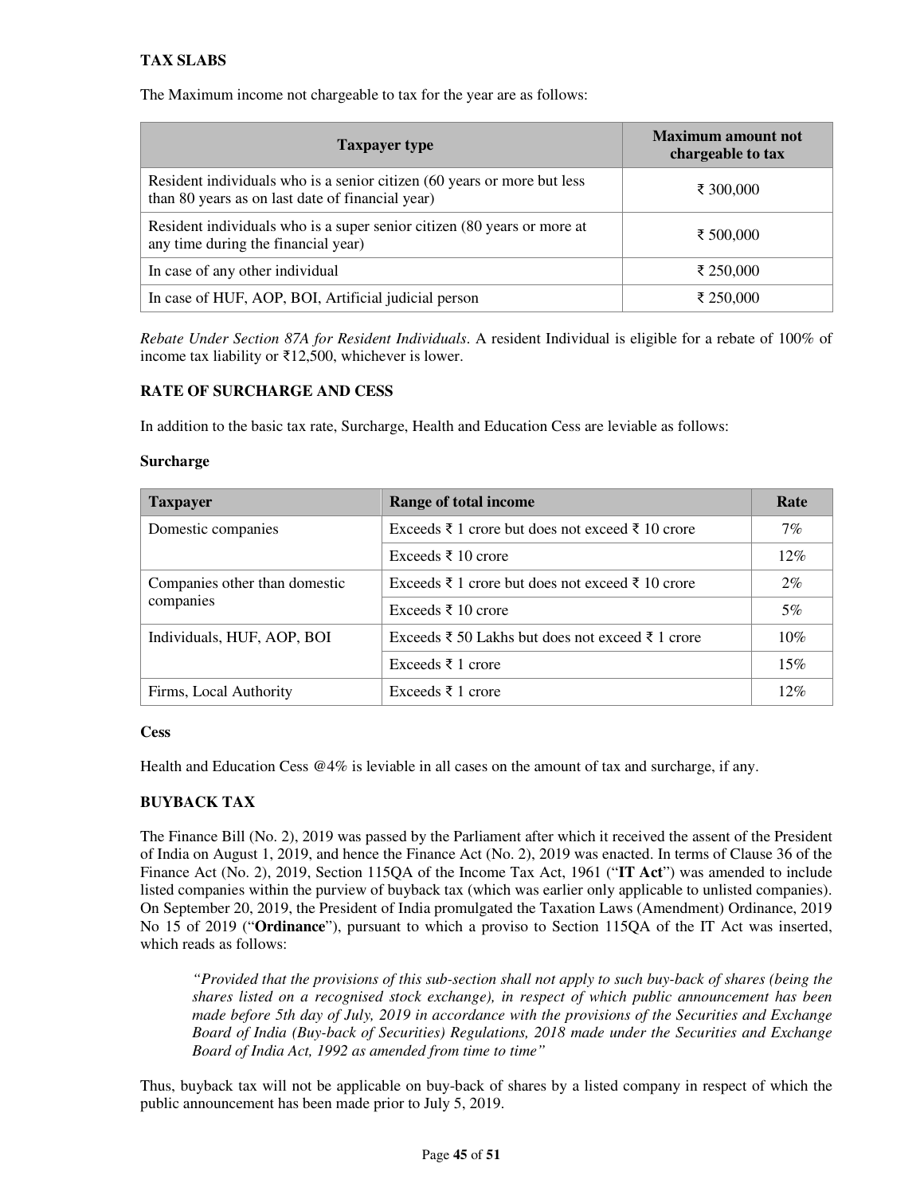## **TAX SLABS**

The Maximum income not chargeable to tax for the year are as follows:

| <b>Taxpayer type</b>                                                                                                        | <b>Maximum amount not</b><br>chargeable to tax |
|-----------------------------------------------------------------------------------------------------------------------------|------------------------------------------------|
| Resident individuals who is a senior citizen (60 years or more but less<br>than 80 years as on last date of financial year) | ₹ 300,000                                      |
| Resident individuals who is a super senior citizen (80 years or more at<br>any time during the financial year)              | ₹ 500,000                                      |
| In case of any other individual                                                                                             | ₹ 250,000                                      |
| In case of HUF, AOP, BOI, Artificial judicial person                                                                        | ₹ 250,000                                      |

*Rebate Under Section 87A for Resident Individuals*. A resident Individual is eligible for a rebate of 100% of income tax liability or ₹12,500, whichever is lower.

## **RATE OF SURCHARGE AND CESS**

In addition to the basic tax rate, Surcharge, Health and Education Cess are leviable as follows:

#### **Surcharge**

| <b>Taxpayer</b>               | Range of total income                            | Rate  |
|-------------------------------|--------------------------------------------------|-------|
| Domestic companies            | Exceeds ₹ 1 crore but does not exceed ₹ 10 crore | $7\%$ |
|                               | Exceeds ₹ 10 crore                               | 12%   |
| Companies other than domestic | Exceeds ₹ 1 crore but does not exceed ₹ 10 crore | $2\%$ |
| companies                     | Exceeds ₹ 10 crore                               | 5%    |
| Individuals, HUF, AOP, BOI    | Exceeds ₹ 50 Lakhs but does not exceed ₹ 1 crore | 10%   |
|                               | Exceeds ₹ 1 crore                                | 15%   |
| Firms, Local Authority        | Exceeds ₹ 1 crore                                | 12%   |

## **Cess**

Health and Education Cess @4% is leviable in all cases on the amount of tax and surcharge, if any.

## **BUYBACK TAX**

The Finance Bill (No. 2), 2019 was passed by the Parliament after which it received the assent of the President of India on August 1, 2019, and hence the Finance Act (No. 2), 2019 was enacted. In terms of Clause 36 of the Finance Act (No. 2), 2019, Section 115QA of the Income Tax Act, 1961 ("**IT Act**") was amended to include listed companies within the purview of buyback tax (which was earlier only applicable to unlisted companies). On September 20, 2019, the President of India promulgated the Taxation Laws (Amendment) Ordinance, 2019 No 15 of 2019 ("**Ordinance**"), pursuant to which a proviso to Section 115QA of the IT Act was inserted, which reads as follows:

*"Provided that the provisions of this sub-section shall not apply to such buy-back of shares (being the shares listed on a recognised stock exchange), in respect of which public announcement has been made before 5th day of July, 2019 in accordance with the provisions of the Securities and Exchange Board of India (Buy-back of Securities) Regulations, 2018 made under the Securities and Exchange Board of India Act, 1992 as amended from time to time"*

Thus, buyback tax will not be applicable on buy-back of shares by a listed company in respect of which the public announcement has been made prior to July 5, 2019.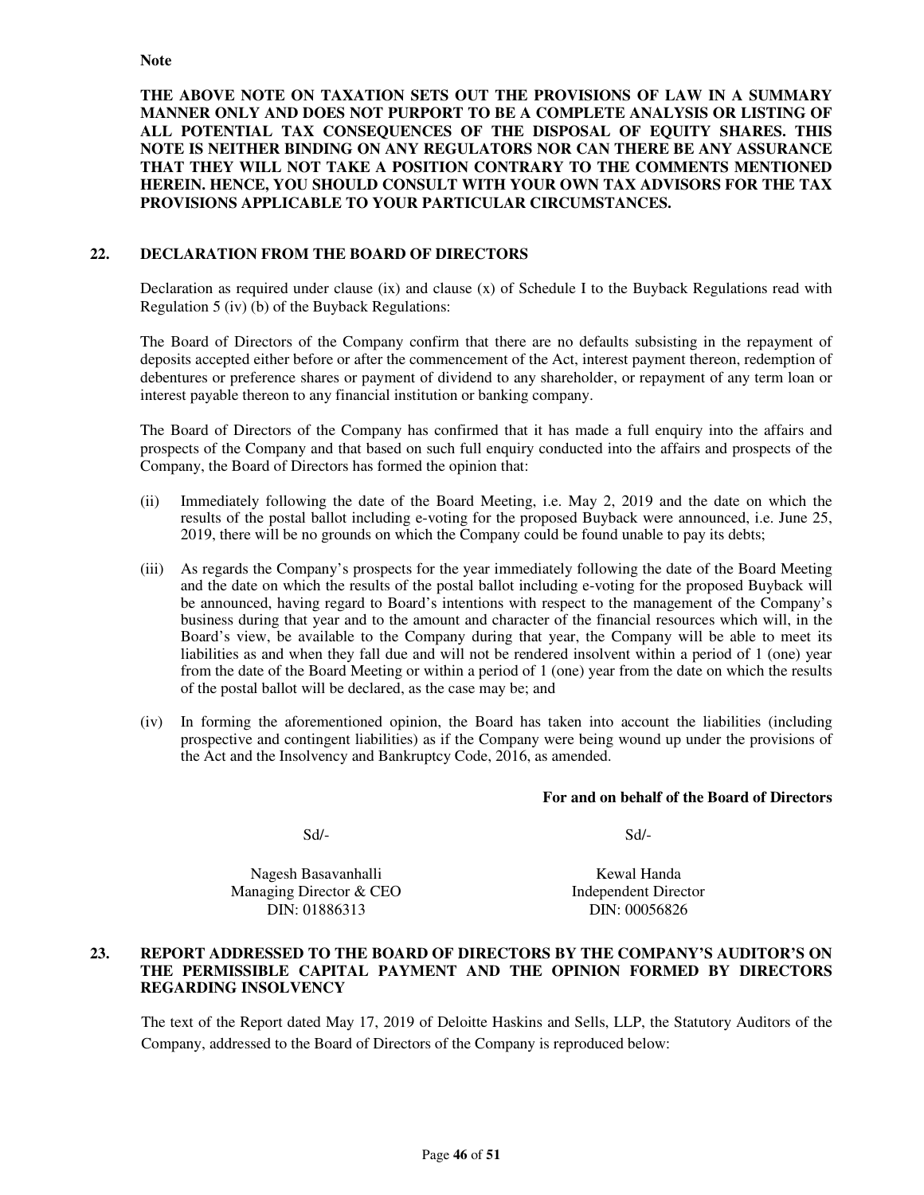**THE ABOVE NOTE ON TAXATION SETS OUT THE PROVISIONS OF LAW IN A SUMMARY MANNER ONLY AND DOES NOT PURPORT TO BE A COMPLETE ANALYSIS OR LISTING OF ALL POTENTIAL TAX CONSEQUENCES OF THE DISPOSAL OF EQUITY SHARES. THIS NOTE IS NEITHER BINDING ON ANY REGULATORS NOR CAN THERE BE ANY ASSURANCE THAT THEY WILL NOT TAKE A POSITION CONTRARY TO THE COMMENTS MENTIONED HEREIN. HENCE, YOU SHOULD CONSULT WITH YOUR OWN TAX ADVISORS FOR THE TAX PROVISIONS APPLICABLE TO YOUR PARTICULAR CIRCUMSTANCES.** 

## **22. DECLARATION FROM THE BOARD OF DIRECTORS**

Declaration as required under clause  $(ix)$  and clause  $(x)$  of Schedule I to the Buyback Regulations read with Regulation 5 (iv) (b) of the Buyback Regulations:

The Board of Directors of the Company confirm that there are no defaults subsisting in the repayment of deposits accepted either before or after the commencement of the Act, interest payment thereon, redemption of debentures or preference shares or payment of dividend to any shareholder, or repayment of any term loan or interest payable thereon to any financial institution or banking company.

The Board of Directors of the Company has confirmed that it has made a full enquiry into the affairs and prospects of the Company and that based on such full enquiry conducted into the affairs and prospects of the Company, the Board of Directors has formed the opinion that:

- (ii) Immediately following the date of the Board Meeting, i.e. May 2, 2019 and the date on which the results of the postal ballot including e-voting for the proposed Buyback were announced, i.e. June 25, 2019, there will be no grounds on which the Company could be found unable to pay its debts;
- (iii) As regards the Company's prospects for the year immediately following the date of the Board Meeting and the date on which the results of the postal ballot including e-voting for the proposed Buyback will be announced, having regard to Board's intentions with respect to the management of the Company's business during that year and to the amount and character of the financial resources which will, in the Board's view, be available to the Company during that year, the Company will be able to meet its liabilities as and when they fall due and will not be rendered insolvent within a period of 1 (one) year from the date of the Board Meeting or within a period of 1 (one) year from the date on which the results of the postal ballot will be declared, as the case may be; and
- (iv) In forming the aforementioned opinion, the Board has taken into account the liabilities (including prospective and contingent liabilities) as if the Company were being wound up under the provisions of the Act and the Insolvency and Bankruptcy Code, 2016, as amended.

#### **For and on behalf of the Board of Directors**

 $Sd$ - $Sd$ -

Nagesh Basavanhalli Managing Director & CEO DIN: 01886313

Kewal Handa Independent Director DIN: 00056826

## **23. REPORT ADDRESSED TO THE BOARD OF DIRECTORS BY THE COMPANY'S AUDITOR'S ON THE PERMISSIBLE CAPITAL PAYMENT AND THE OPINION FORMED BY DIRECTORS REGARDING INSOLVENCY**

The text of the Report dated May 17, 2019 of Deloitte Haskins and Sells, LLP, the Statutory Auditors of the Company, addressed to the Board of Directors of the Company is reproduced below: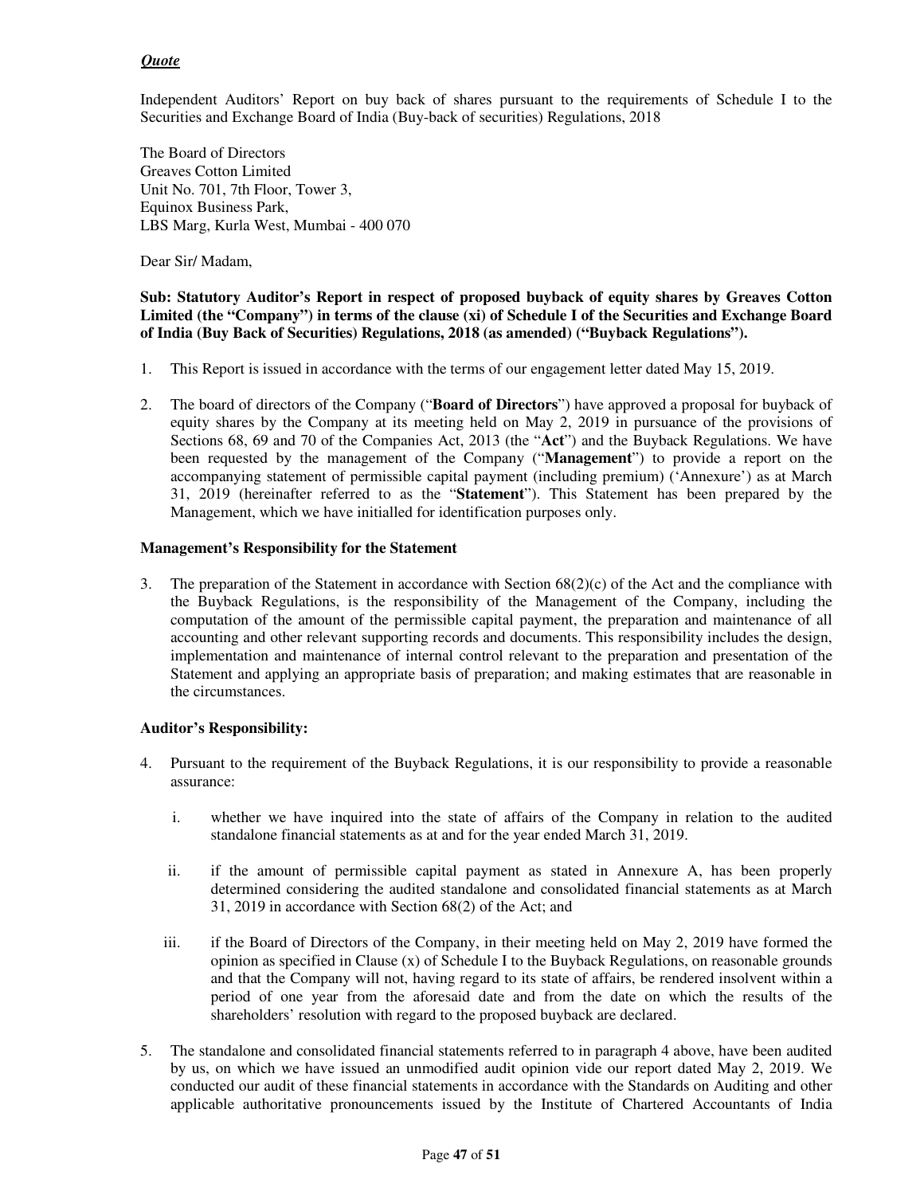## *Quote*

Independent Auditors' Report on buy back of shares pursuant to the requirements of Schedule I to the Securities and Exchange Board of India (Buy-back of securities) Regulations, 2018

The Board of Directors Greaves Cotton Limited Unit No. 701, 7th Floor, Tower 3, Equinox Business Park, LBS Marg, Kurla West, Mumbai - 400 070

Dear Sir/ Madam,

## **Sub: Statutory Auditor's Report in respect of proposed buyback of equity shares by Greaves Cotton Limited (the "Company") in terms of the clause (xi) of Schedule I of the Securities and Exchange Board of India (Buy Back of Securities) Regulations, 2018 (as amended) ("Buyback Regulations").**

- 1. This Report is issued in accordance with the terms of our engagement letter dated May 15, 2019.
- 2. The board of directors of the Company ("**Board of Directors**") have approved a proposal for buyback of equity shares by the Company at its meeting held on May 2, 2019 in pursuance of the provisions of Sections 68, 69 and 70 of the Companies Act, 2013 (the "**Act**") and the Buyback Regulations. We have been requested by the management of the Company ("**Management**") to provide a report on the accompanying statement of permissible capital payment (including premium) ('Annexure') as at March 31, 2019 (hereinafter referred to as the "**Statement**"). This Statement has been prepared by the Management, which we have initialled for identification purposes only.

## **Management's Responsibility for the Statement**

3. The preparation of the Statement in accordance with Section  $68(2)(c)$  of the Act and the compliance with the Buyback Regulations, is the responsibility of the Management of the Company, including the computation of the amount of the permissible capital payment, the preparation and maintenance of all accounting and other relevant supporting records and documents. This responsibility includes the design, implementation and maintenance of internal control relevant to the preparation and presentation of the Statement and applying an appropriate basis of preparation; and making estimates that are reasonable in the circumstances.

## **Auditor's Responsibility:**

- 4. Pursuant to the requirement of the Buyback Regulations, it is our responsibility to provide a reasonable assurance:
	- i. whether we have inquired into the state of affairs of the Company in relation to the audited standalone financial statements as at and for the year ended March 31, 2019.
	- ii. if the amount of permissible capital payment as stated in Annexure A, has been properly determined considering the audited standalone and consolidated financial statements as at March 31, 2019 in accordance with Section 68(2) of the Act; and
	- iii. if the Board of Directors of the Company, in their meeting held on May 2, 2019 have formed the opinion as specified in Clause (x) of Schedule I to the Buyback Regulations, on reasonable grounds and that the Company will not, having regard to its state of affairs, be rendered insolvent within a period of one year from the aforesaid date and from the date on which the results of the shareholders' resolution with regard to the proposed buyback are declared.
- 5. The standalone and consolidated financial statements referred to in paragraph 4 above, have been audited by us, on which we have issued an unmodified audit opinion vide our report dated May 2, 2019. We conducted our audit of these financial statements in accordance with the Standards on Auditing and other applicable authoritative pronouncements issued by the Institute of Chartered Accountants of India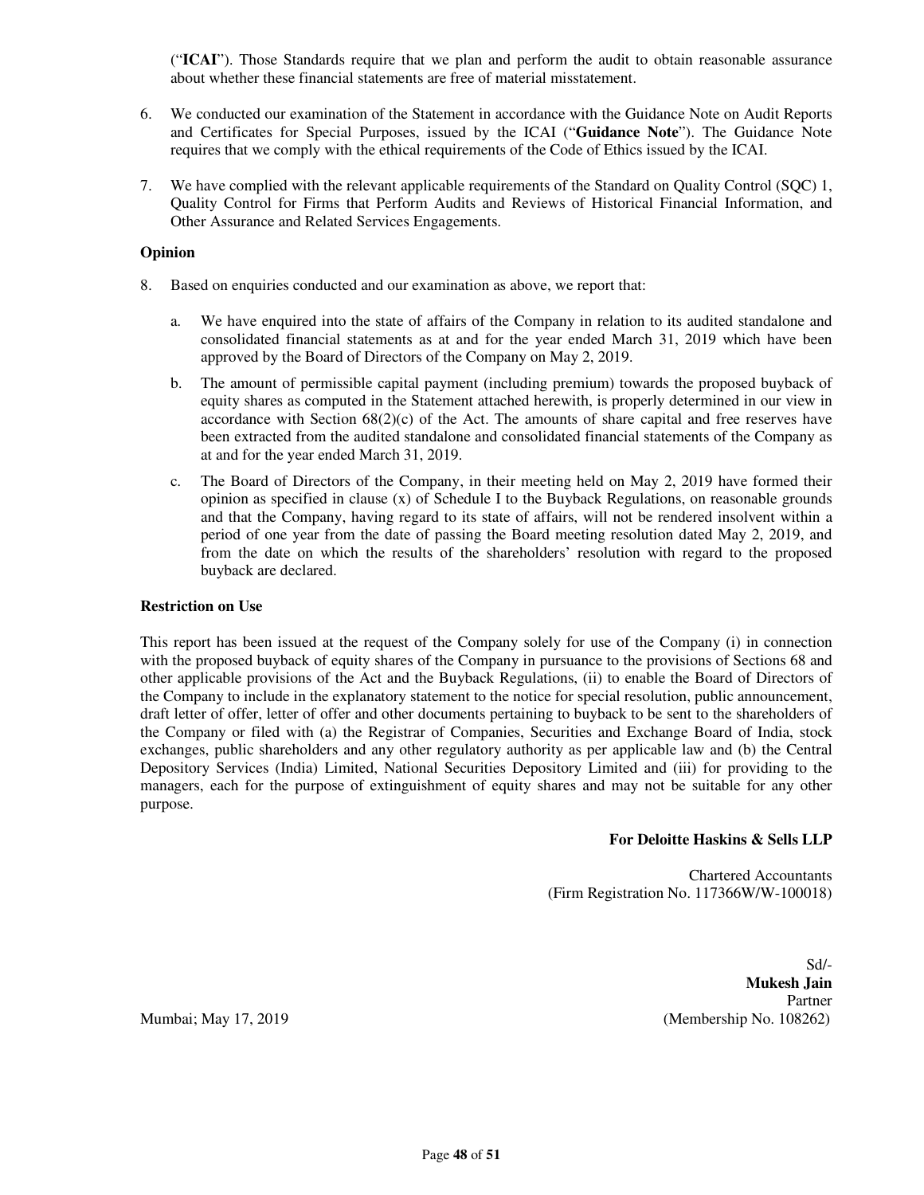("**ICAI**"). Those Standards require that we plan and perform the audit to obtain reasonable assurance about whether these financial statements are free of material misstatement.

- 6. We conducted our examination of the Statement in accordance with the Guidance Note on Audit Reports and Certificates for Special Purposes, issued by the ICAI ("**Guidance Note**"). The Guidance Note requires that we comply with the ethical requirements of the Code of Ethics issued by the ICAI.
- 7. We have complied with the relevant applicable requirements of the Standard on Quality Control (SQC) 1, Quality Control for Firms that Perform Audits and Reviews of Historical Financial Information, and Other Assurance and Related Services Engagements.

### **Opinion**

- 8. Based on enquiries conducted and our examination as above, we report that:
	- a. We have enquired into the state of affairs of the Company in relation to its audited standalone and consolidated financial statements as at and for the year ended March 31, 2019 which have been approved by the Board of Directors of the Company on May 2, 2019.
	- b. The amount of permissible capital payment (including premium) towards the proposed buyback of equity shares as computed in the Statement attached herewith, is properly determined in our view in accordance with Section  $68(2)(c)$  of the Act. The amounts of share capital and free reserves have been extracted from the audited standalone and consolidated financial statements of the Company as at and for the year ended March 31, 2019.
	- c. The Board of Directors of the Company, in their meeting held on May 2, 2019 have formed their opinion as specified in clause  $(x)$  of Schedule I to the Buyback Regulations, on reasonable grounds and that the Company, having regard to its state of affairs, will not be rendered insolvent within a period of one year from the date of passing the Board meeting resolution dated May 2, 2019, and from the date on which the results of the shareholders' resolution with regard to the proposed buyback are declared.

## **Restriction on Use**

This report has been issued at the request of the Company solely for use of the Company (i) in connection with the proposed buyback of equity shares of the Company in pursuance to the provisions of Sections 68 and other applicable provisions of the Act and the Buyback Regulations, (ii) to enable the Board of Directors of the Company to include in the explanatory statement to the notice for special resolution, public announcement, draft letter of offer, letter of offer and other documents pertaining to buyback to be sent to the shareholders of the Company or filed with (a) the Registrar of Companies, Securities and Exchange Board of India, stock exchanges, public shareholders and any other regulatory authority as per applicable law and (b) the Central Depository Services (India) Limited, National Securities Depository Limited and (iii) for providing to the managers, each for the purpose of extinguishment of equity shares and may not be suitable for any other purpose.

#### **For Deloitte Haskins & Sells LLP**

Chartered Accountants (Firm Registration No. 117366W/W-100018)

Sd/- **Mukesh Jain**  Partner Mumbai; May 17, 2019 (Membership No. 108262)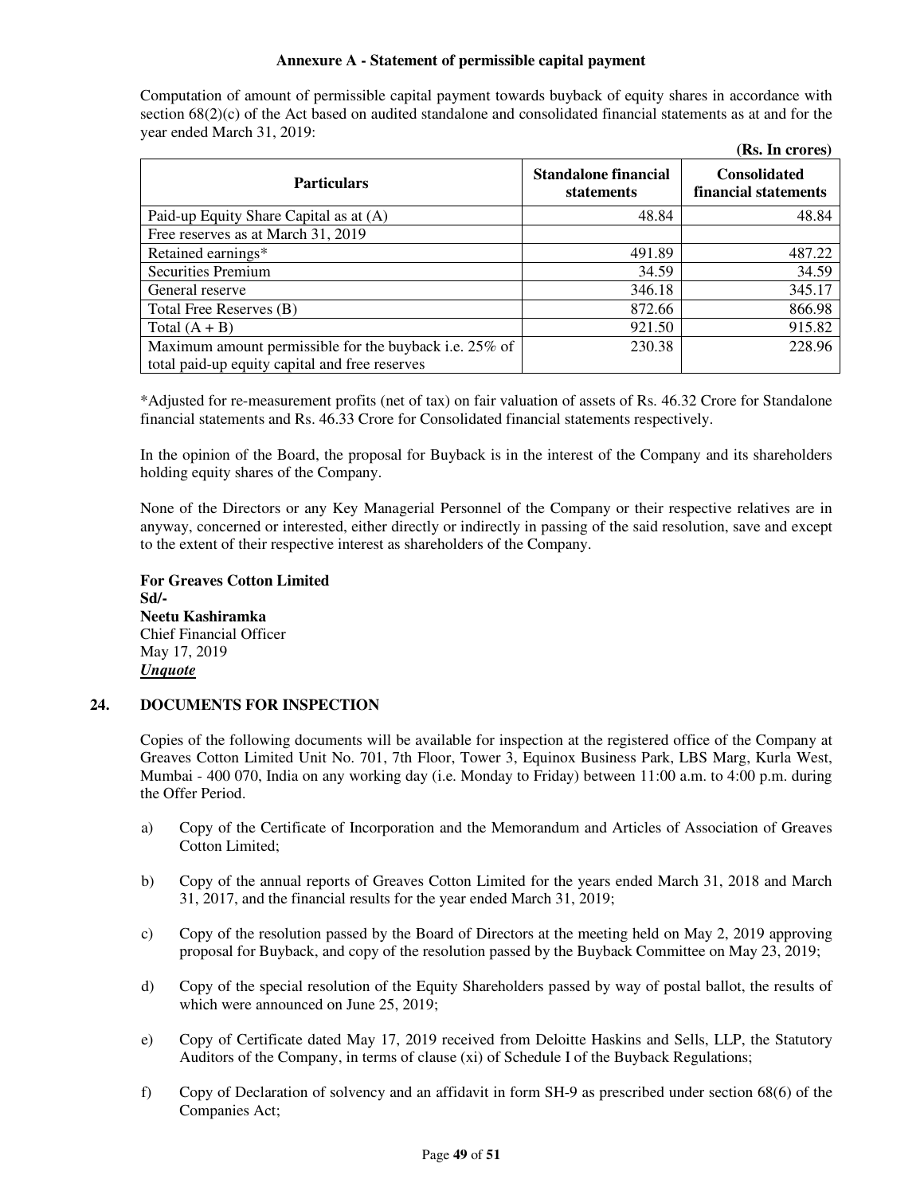### **Annexure A - Statement of permissible capital payment**

Computation of amount of permissible capital payment towards buyback of equity shares in accordance with section 68(2)(c) of the Act based on audited standalone and consolidated financial statements as at and for the year ended March 31, 2019:

|                                                        |                                    | (Rs. In crores)                             |
|--------------------------------------------------------|------------------------------------|---------------------------------------------|
| <b>Particulars</b>                                     | Standalone financial<br>statements | <b>Consolidated</b><br>financial statements |
| Paid-up Equity Share Capital as at (A)                 | 48.84                              | 48.84                                       |
| Free reserves as at March 31, 2019                     |                                    |                                             |
| Retained earnings*                                     | 491.89                             | 487.22                                      |
| <b>Securities Premium</b>                              | 34.59                              | 34.59                                       |
| General reserve                                        | 346.18                             | 345.17                                      |
| Total Free Reserves (B)                                | 872.66                             | 866.98                                      |
| Total $(A + B)$                                        | 921.50                             | 915.82                                      |
| Maximum amount permissible for the buyback i.e. 25% of | 230.38                             | 228.96                                      |
| total paid-up equity capital and free reserves         |                                    |                                             |

\*Adjusted for re-measurement profits (net of tax) on fair valuation of assets of Rs. 46.32 Crore for Standalone financial statements and Rs. 46.33 Crore for Consolidated financial statements respectively.

In the opinion of the Board, the proposal for Buyback is in the interest of the Company and its shareholders holding equity shares of the Company.

None of the Directors or any Key Managerial Personnel of the Company or their respective relatives are in anyway, concerned or interested, either directly or indirectly in passing of the said resolution, save and except to the extent of their respective interest as shareholders of the Company.

**For Greaves Cotton Limited Sd/- Neetu Kashiramka**  Chief Financial Officer May 17, 2019 *Unquote* 

## **24. DOCUMENTS FOR INSPECTION**

Copies of the following documents will be available for inspection at the registered office of the Company at Greaves Cotton Limited Unit No. 701, 7th Floor, Tower 3, Equinox Business Park, LBS Marg, Kurla West, Mumbai - 400 070, India on any working day (i.e. Monday to Friday) between 11:00 a.m. to 4:00 p.m. during the Offer Period.

- a) Copy of the Certificate of Incorporation and the Memorandum and Articles of Association of Greaves Cotton Limited;
- b) Copy of the annual reports of Greaves Cotton Limited for the years ended March 31, 2018 and March 31, 2017, and the financial results for the year ended March 31, 2019;
- c) Copy of the resolution passed by the Board of Directors at the meeting held on May 2, 2019 approving proposal for Buyback, and copy of the resolution passed by the Buyback Committee on May 23, 2019;
- d) Copy of the special resolution of the Equity Shareholders passed by way of postal ballot, the results of which were announced on June 25, 2019;
- e) Copy of Certificate dated May 17, 2019 received from Deloitte Haskins and Sells, LLP, the Statutory Auditors of the Company, in terms of clause (xi) of Schedule I of the Buyback Regulations;
- f) Copy of Declaration of solvency and an affidavit in form SH-9 as prescribed under section 68(6) of the Companies Act;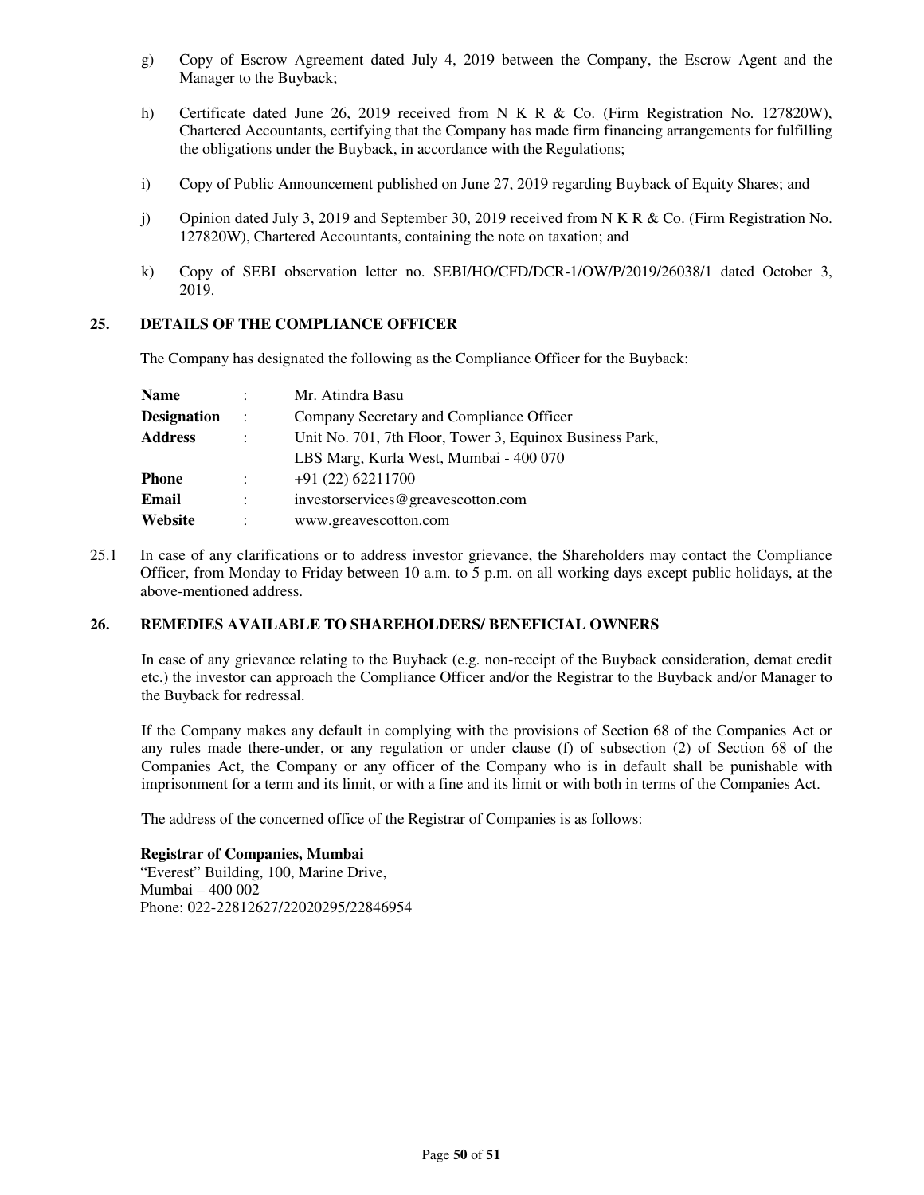- g) Copy of Escrow Agreement dated July 4, 2019 between the Company, the Escrow Agent and the Manager to the Buyback;
- h) Certificate dated June 26, 2019 received from N K R & Co. (Firm Registration No. 127820W), Chartered Accountants, certifying that the Company has made firm financing arrangements for fulfilling the obligations under the Buyback, in accordance with the Regulations;
- i) Copy of Public Announcement published on June 27, 2019 regarding Buyback of Equity Shares; and
- j) Opinion dated July 3, 2019 and September 30, 2019 received from N K R & Co. (Firm Registration No. 127820W), Chartered Accountants, containing the note on taxation; and
- k) Copy of SEBI observation letter no. SEBI/HO/CFD/DCR-1/OW/P/2019/26038/1 dated October 3, 2019.

## **25. DETAILS OF THE COMPLIANCE OFFICER**

The Company has designated the following as the Compliance Officer for the Buyback:

| <b>Name</b> | $\bullet$            | Mr. Atindra Basu                                         |
|-------------|----------------------|----------------------------------------------------------|
| Designation | $\ddot{\phantom{1}}$ | Company Secretary and Compliance Officer                 |
| Address     |                      | Unit No. 701, 7th Floor, Tower 3, Equinox Business Park, |
|             |                      | LBS Marg, Kurla West, Mumbai - 400 070                   |
| Phone       | $\ddot{\cdot}$       | $+91(22)62211700$                                        |
| Email       |                      | investorservices@greavescotton.com                       |
| Website     |                      | www.greavescotton.com                                    |

25.1 In case of any clarifications or to address investor grievance, the Shareholders may contact the Compliance Officer, from Monday to Friday between 10 a.m. to 5 p.m. on all working days except public holidays, at the above-mentioned address.

## **26. REMEDIES AVAILABLE TO SHAREHOLDERS/ BENEFICIAL OWNERS**

In case of any grievance relating to the Buyback (e.g. non-receipt of the Buyback consideration, demat credit etc.) the investor can approach the Compliance Officer and/or the Registrar to the Buyback and/or Manager to the Buyback for redressal.

If the Company makes any default in complying with the provisions of Section 68 of the Companies Act or any rules made there-under, or any regulation or under clause (f) of subsection (2) of Section 68 of the Companies Act, the Company or any officer of the Company who is in default shall be punishable with imprisonment for a term and its limit, or with a fine and its limit or with both in terms of the Companies Act.

The address of the concerned office of the Registrar of Companies is as follows:

## **Registrar of Companies, Mumbai**

"Everest" Building, 100, Marine Drive, Mumbai – 400 002 Phone: 022-22812627/22020295/22846954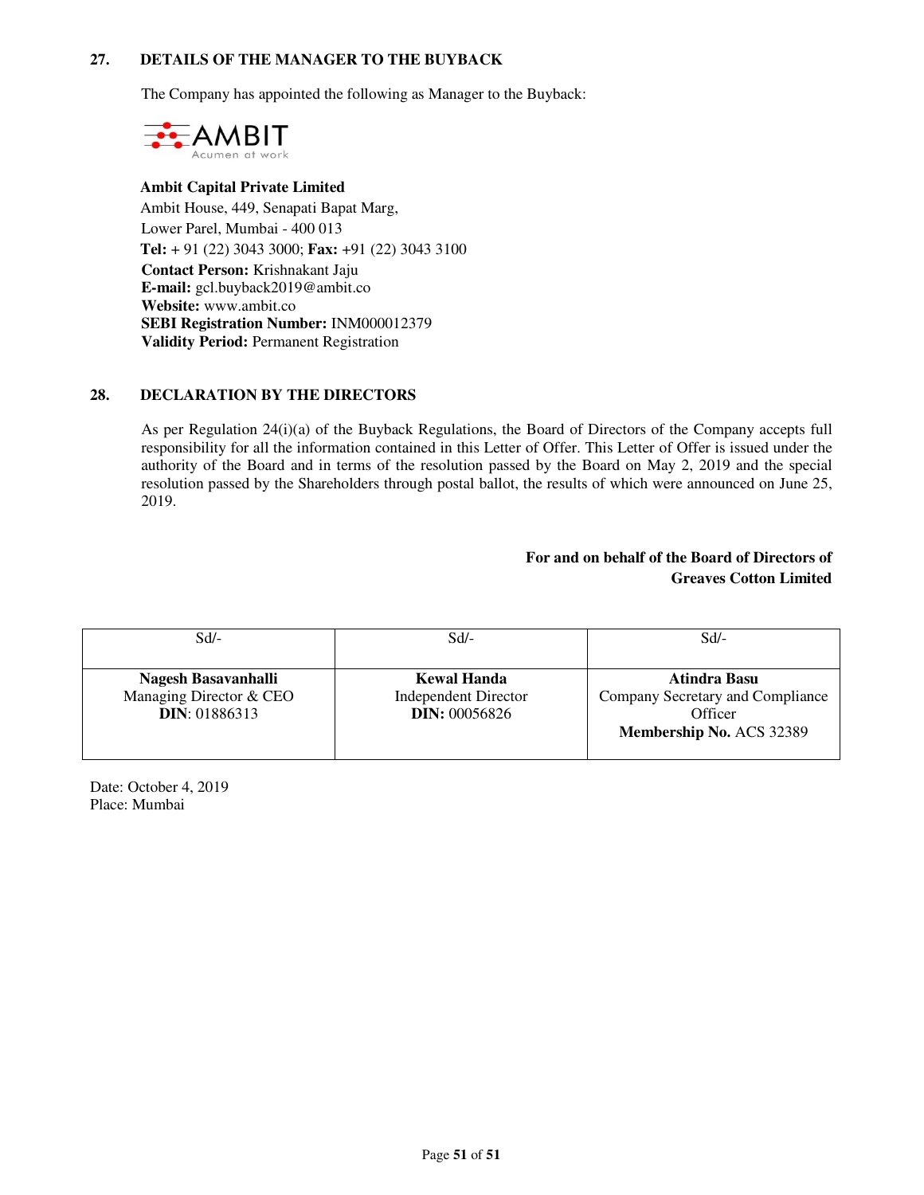## **27. DETAILS OF THE MANAGER TO THE BUYBACK**

The Company has appointed the following as Manager to the Buyback:



## **Ambit Capital Private Limited**  Ambit House, 449, Senapati Bapat Marg, Lower Parel, Mumbai - 400 013 **Tel:** + 91 (22) 3043 3000; **Fax:** +91 (22) 3043 3100 **Contact Person:** Krishnakant Jaju **E-mail:** gcl.buyback2019@ambit.co **Website:** www.ambit.co **SEBI Registration Number:** INM000012379 **Validity Period:** Permanent Registration

## **28. DECLARATION BY THE DIRECTORS**

As per Regulation 24(i)(a) of the Buyback Regulations, the Board of Directors of the Company accepts full responsibility for all the information contained in this Letter of Offer. This Letter of Offer is issued under the authority of the Board and in terms of the resolution passed by the Board on May 2, 2019 and the special resolution passed by the Shareholders through postal ballot, the results of which were announced on June 25, 2019.

## **For and on behalf of the Board of Directors of Greaves Cotton Limited**

| $Sd$ /-                 | $Sd$ -                      | Sd                               |
|-------------------------|-----------------------------|----------------------------------|
|                         |                             |                                  |
| Nagesh Basavanhalli     | <b>Kewal Handa</b>          | Atindra Basu                     |
| Managing Director & CEO | <b>Independent Director</b> | Company Secretary and Compliance |
| <b>DIN: 01886313</b>    | <b>DIN: 00056826</b>        | Officer                          |
|                         |                             | Membership No. ACS 32389         |

Date: October 4, 2019 Place: Mumbai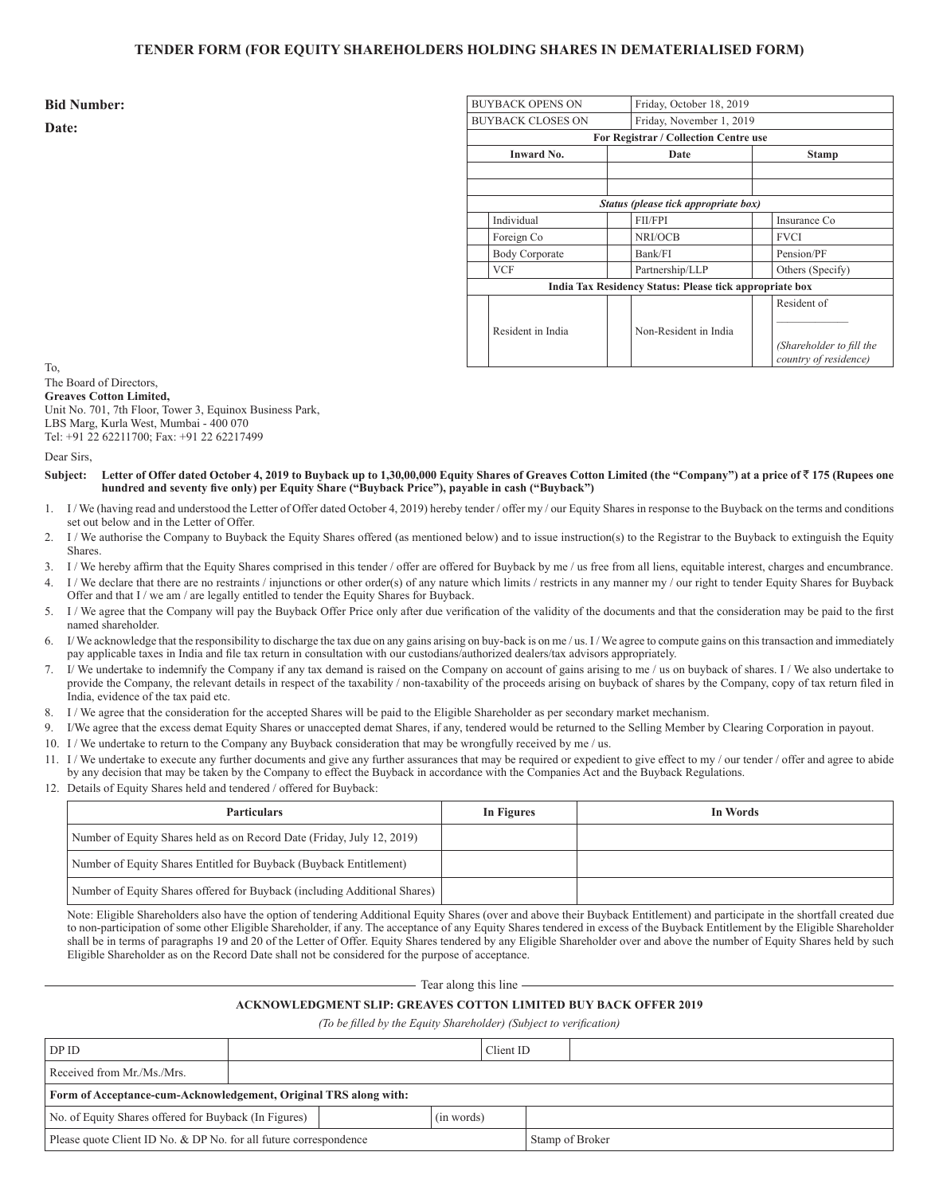#### **TENDER FORM (FOR EQUITY SHAREHOLDERS HOLDING SHARES IN DEMATERIALISED FORM)**

**Bid Number:**

**Date:**

| <b>BUYBACK OPENS ON</b>  | Friday, October 18, 2019                                |                                                   |  |  |
|--------------------------|---------------------------------------------------------|---------------------------------------------------|--|--|
| <b>BUYBACK CLOSES ON</b> |                                                         | Friday, November 1, 2019                          |  |  |
|                          | For Registrar / Collection Centre use                   |                                                   |  |  |
| <b>Inward No.</b>        | Date                                                    | <b>Stamp</b>                                      |  |  |
|                          |                                                         |                                                   |  |  |
|                          | Status (please tick appropriate box)                    |                                                   |  |  |
| Individual               | <b>FIL/FPI</b>                                          | Insurance Co.                                     |  |  |
| Foreign Co               | NRI/OCB                                                 | <b>FVCI</b>                                       |  |  |
| <b>Body Corporate</b>    | Bank/FI                                                 | Pension/PF                                        |  |  |
| <b>VCF</b>               | Partnership/LLP                                         | Others (Specify)                                  |  |  |
|                          | India Tax Residency Status: Please tick appropriate box |                                                   |  |  |
|                          |                                                         | Resident of                                       |  |  |
| Resident in India        | Non-Resident in India                                   |                                                   |  |  |
|                          |                                                         | (Shareholder to fill the<br>country of residence) |  |  |

To,

The Board of Directors, **Greaves Cotton Limited,** Unit No. 701, 7th Floor, Tower 3, Equinox Business Park, LBS Marg, Kurla West, Mumbai - 400 070 Tel: +91 22 62211700; Fax: +91 22 62217499

Dear Sirs,

- **Subject: Letter of Offer dated October 4, 2019 to Buyback up to 1,30,00,000 Equity Shares of Greaves Cotton Limited (the "Company") at a price of** ` **175 (Rupees one hundred and seventy five only) per Equity Share ("Buyback Price"), payable in cash ("Buyback")**
- 1. I / We (having read and understood the Letter of Offer dated October 4, 2019) hereby tender / offer my / our Equity Shares in response to the Buyback on the terms and conditions set out below and in the Letter of Offer.
- 2. I / We authorise the Company to Buyback the Equity Shares offered (as mentioned below) and to issue instruction(s) to the Registrar to the Buyback to extinguish the Equity **Shares**.
- 3. I / We hereby affirm that the Equity Shares comprised in this tender / offer are offered for Buyback by me / us free from all liens, equitable interest, charges and encumbrance.
- 4. I / We declare that there are no restraints / injunctions or other order(s) of any nature which limits / restricts in any manner my / our right to tender Equity Shares for Buyback Offer and that I / we am / are legally entitled to tender the Equity Shares for Buyback.
- 5. I / We agree that the Company will pay the Buyback Offer Price only after due verification of the validity of the documents and that the consideration may be paid to the first named shareholder.
- I/We acknowledge that the responsibility to discharge the tax due on any gains arising on buy-back is on me / us. I/We agree to compute gains on this transaction and immediately pay applicable taxes in India and file tax return in consultation with our custodians/authorized dealers/tax advisors appropriately.
- 7. I/ We undertake to indemnify the Company if any tax demand is raised on the Company on account of gains arising to me / us on buyback of shares. I / We also undertake to provide the Company, the relevant details in respect of the taxability / non-taxability of the proceeds arising on buyback of shares by the Company, copy of tax return filed in India, evidence of the tax paid etc.
- 8. I / We agree that the consideration for the accepted Shares will be paid to the Eligible Shareholder as per secondary market mechanism.
- 9. I/We agree that the excess demat Equity Shares or unaccepted demat Shares, if any, tendered would be returned to the Selling Member by Clearing Corporation in payout.
- 10. I / We undertake to return to the Company any Buyback consideration that may be wrongfully received by me / us.
- 11. I / We undertake to execute any further documents and give any further assurances that may be required or expedient to give effect to my / our tender / offer and agree to abide by any decision that may be taken by the Company to effect the Buyback in accordance with the Companies Act and the Buyback Regulations.
- 12. Details of Equity Shares held and tendered / offered for Buyback:

| <b>Particulars</b>                                                        | In Figures | In Words |
|---------------------------------------------------------------------------|------------|----------|
| Number of Equity Shares held as on Record Date (Friday, July 12, 2019)    |            |          |
| Number of Equity Shares Entitled for Buyback (Buyback Entitlement)        |            |          |
| Number of Equity Shares offered for Buyback (including Additional Shares) |            |          |

Note: Eligible Shareholders also have the option of tendering Additional Equity Shares (over and above their Buyback Entitlement) and participate in the shortfall created due to non-participation of some other Eligible Shareholder, if any. The acceptance of any Equity Shares tendered in excess of the Buyback Entitlement by the Eligible Shareholder shall be in terms of paragraphs 19 and 20 of the Letter of Offer. Equity Shares tendered by any Eligible Shareholder over and above the number of Equity Shares held by such Eligible Shareholder as on the Record Date shall not be considered for the purpose of acceptance.

 $-$  Tear along this line  $-$ 

#### **ACKNOWLEDGMENT SLIP: GREAVES COTTON LIMITED BUY BACK OFFER 2019**

*(To be filled by the Equity Shareholder) (Subject to verification)*

| DP ID                                                                                |  |  | Client ID |  |
|--------------------------------------------------------------------------------------|--|--|-----------|--|
| Received from Mr./Ms./Mrs.                                                           |  |  |           |  |
| Form of Acceptance-cum-Acknowledgement, Original TRS along with:                     |  |  |           |  |
| No. of Equity Shares offered for Buyback (In Figures)<br>(in words)                  |  |  |           |  |
| Please quote Client ID No. & DP No. for all future correspondence<br>Stamp of Broker |  |  |           |  |